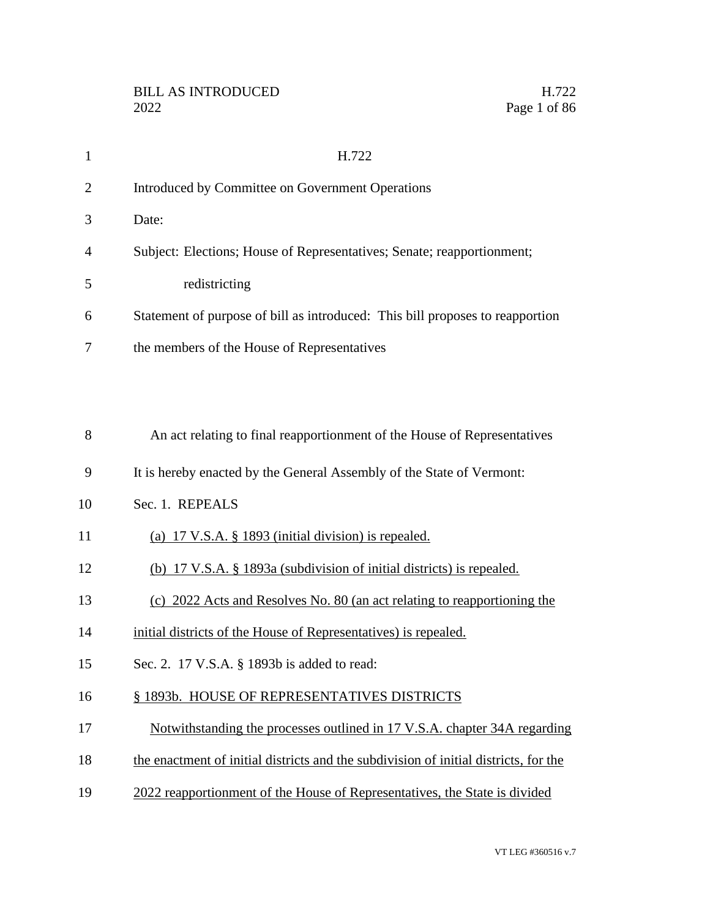| $\mathbf{1}$   | H.722                                                                                |
|----------------|--------------------------------------------------------------------------------------|
| $\overline{2}$ | Introduced by Committee on Government Operations                                     |
| 3              | Date:                                                                                |
| 4              | Subject: Elections; House of Representatives; Senate; reapportionment;               |
| 5              | redistricting                                                                        |
| 6              | Statement of purpose of bill as introduced: This bill proposes to reapportion        |
| 7              | the members of the House of Representatives                                          |
|                |                                                                                      |
|                |                                                                                      |
| 8              | An act relating to final reapportionment of the House of Representatives             |
| 9              | It is hereby enacted by the General Assembly of the State of Vermont:                |
| 10             | Sec. 1. REPEALS                                                                      |
| 11             | (a) $17 \text{ V.S.A. }$ \$ 1893 (initial division) is repealed.                     |
| 12             | (b) 17 V.S.A. § 1893a (subdivision of initial districts) is repealed.                |
| 13             | (c) 2022 Acts and Resolves No. 80 (an act relating to reapportioning the             |
| 14             | initial districts of the House of Representatives) is repealed.                      |
| 15             | Sec. 2. 17 V.S.A. § 1893b is added to read:                                          |
| 16             | § 1893b. HOUSE OF REPRESENTATIVES DISTRICTS                                          |
| 17             | Notwithstanding the processes outlined in 17 V.S.A. chapter 34A regarding            |
| 18             | the enactment of initial districts and the subdivision of initial districts, for the |

2022 reapportionment of the House of Representatives, the State is divided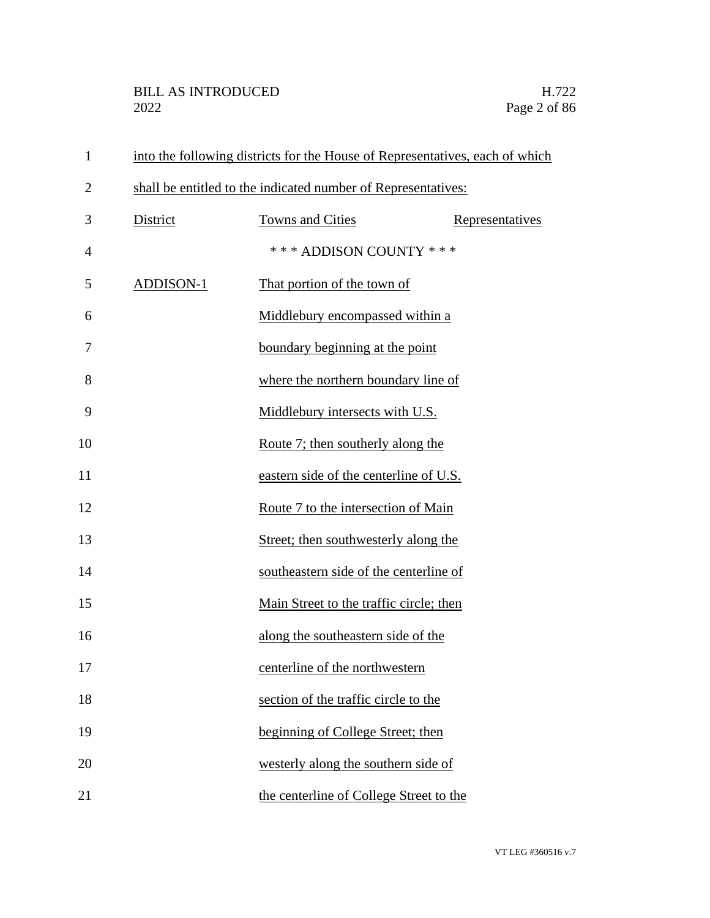| $\mathbf{1}$   | into the following districts for the House of Representatives, each of which |                                         |                 |
|----------------|------------------------------------------------------------------------------|-----------------------------------------|-----------------|
| $\overline{2}$ | shall be entitled to the indicated number of Representatives:                |                                         |                 |
| 3              | District                                                                     | Towns and Cities                        | Representatives |
| 4              |                                                                              | *** ADDISON COUNTY ***                  |                 |
| 5              | ADDISON-1                                                                    | That portion of the town of             |                 |
| 6              |                                                                              | Middlebury encompassed within a         |                 |
| 7              |                                                                              | boundary beginning at the point         |                 |
| 8              |                                                                              | where the northern boundary line of     |                 |
| 9              |                                                                              | Middlebury intersects with U.S.         |                 |
| 10             |                                                                              | Route 7; then southerly along the       |                 |
| 11             |                                                                              | eastern side of the centerline of U.S.  |                 |
| 12             |                                                                              | Route 7 to the intersection of Main     |                 |
| 13             |                                                                              | Street; then southwesterly along the    |                 |
| 14             |                                                                              | southeastern side of the centerline of  |                 |
| 15             |                                                                              | Main Street to the traffic circle; then |                 |
| 16             |                                                                              | along the southeastern side of the      |                 |
| 17             |                                                                              | centerline of the northwestern          |                 |
| 18             |                                                                              | section of the traffic circle to the    |                 |
| 19             |                                                                              | beginning of College Street; then       |                 |
| 20             |                                                                              | westerly along the southern side of     |                 |
| 21             |                                                                              | the centerline of College Street to the |                 |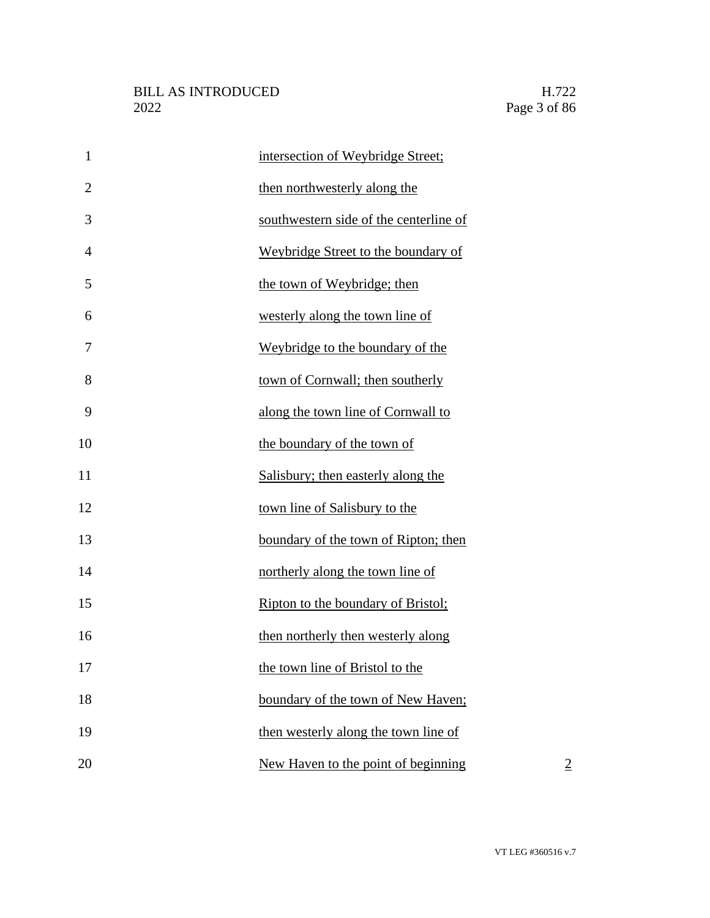| $\mathbf{1}$   | intersection of Weybridge Street;      |                |
|----------------|----------------------------------------|----------------|
| $\overline{2}$ | then northwesterly along the           |                |
| 3              | southwestern side of the centerline of |                |
| $\overline{4}$ | Weybridge Street to the boundary of    |                |
| 5              | the town of Weybridge; then            |                |
| 6              | westerly along the town line of        |                |
| 7              | Weybridge to the boundary of the       |                |
| 8              | town of Cornwall; then southerly       |                |
| 9              | along the town line of Cornwall to     |                |
| 10             | the boundary of the town of            |                |
| 11             | Salisbury; then easterly along the     |                |
| 12             | town line of Salisbury to the          |                |
| 13             | boundary of the town of Ripton; then   |                |
| 14             | northerly along the town line of       |                |
| 15             | Ripton to the boundary of Bristol;     |                |
| 16             | then northerly then westerly along     |                |
| 17             | the town line of Bristol to the        |                |
| 18             | boundary of the town of New Haven;     |                |
| 19             | then westerly along the town line of   |                |
| 20             | New Haven to the point of beginning    | $\overline{2}$ |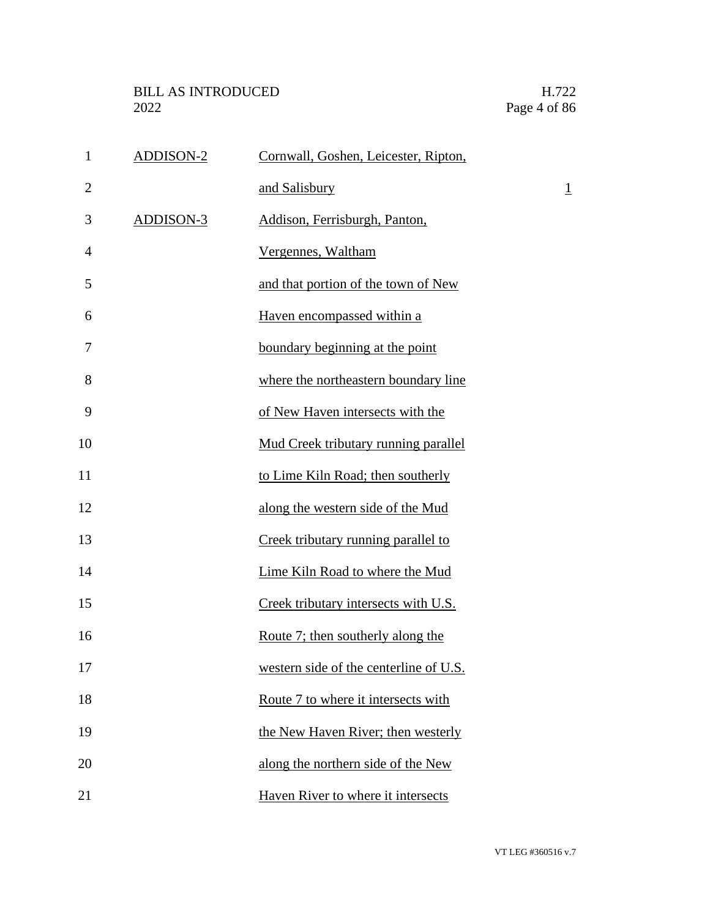| $\mathbf{1}$   | <b>ADDISON-2</b> | Cornwall, Goshen, Leicester, Ripton,   |                |
|----------------|------------------|----------------------------------------|----------------|
| $\overline{2}$ |                  | and Salisbury                          | $\overline{1}$ |
| 3              | ADDISON-3        | Addison, Ferrisburgh, Panton,          |                |
| 4              |                  | Vergennes, Waltham                     |                |
| 5              |                  | and that portion of the town of New    |                |
| 6              |                  | Haven encompassed within a             |                |
| 7              |                  | boundary beginning at the point        |                |
| 8              |                  | where the northeastern boundary line   |                |
| 9              |                  | of New Haven intersects with the       |                |
| 10             |                  | Mud Creek tributary running parallel   |                |
| 11             |                  | to Lime Kiln Road; then southerly      |                |
| 12             |                  | along the western side of the Mud      |                |
| 13             |                  | Creek tributary running parallel to    |                |
| 14             |                  | Lime Kiln Road to where the Mud        |                |
| 15             |                  | Creek tributary intersects with U.S.   |                |
| 16             |                  | Route 7; then southerly along the      |                |
| 17             |                  | western side of the centerline of U.S. |                |
| 18             |                  | Route 7 to where it intersects with    |                |
| 19             |                  | the New Haven River; then westerly     |                |
| 20             |                  | along the northern side of the New     |                |
| 21             |                  | Haven River to where it intersects     |                |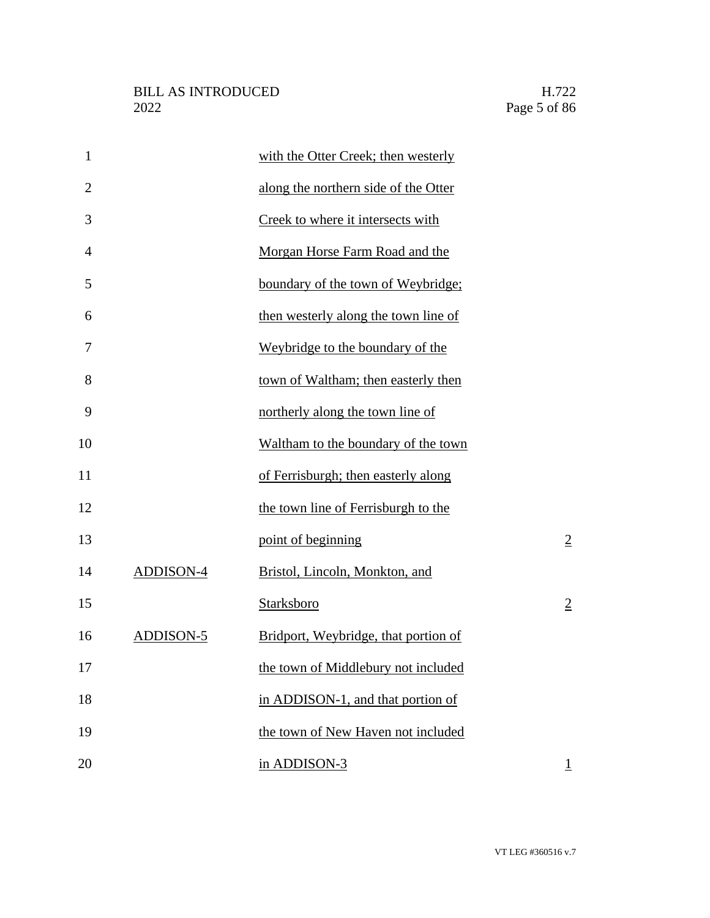| $\mathbf{1}$   |                  | with the Otter Creek; then westerly  |                |
|----------------|------------------|--------------------------------------|----------------|
| $\overline{2}$ |                  | along the northern side of the Otter |                |
| 3              |                  | Creek to where it intersects with    |                |
| $\overline{4}$ |                  | Morgan Horse Farm Road and the       |                |
| 5              |                  | boundary of the town of Weybridge;   |                |
| 6              |                  | then westerly along the town line of |                |
| 7              |                  | Weybridge to the boundary of the     |                |
| 8              |                  | town of Waltham; then easterly then  |                |
| 9              |                  | northerly along the town line of     |                |
| 10             |                  | Waltham to the boundary of the town  |                |
| 11             |                  | of Ferrisburgh; then easterly along  |                |
| 12             |                  | the town line of Ferrisburgh to the  |                |
| 13             |                  | point of beginning                   | $\overline{2}$ |
| 14             | <b>ADDISON-4</b> | Bristol, Lincoln, Monkton, and       |                |
| 15             |                  | Starksboro                           | $\overline{2}$ |
| 16             | ADDISON-5        | Bridport, Weybridge, that portion of |                |
| 17             |                  | the town of Middlebury not included  |                |
| 18             |                  | in ADDISON-1, and that portion of    |                |
| 19             |                  | the town of New Haven not included   |                |
| 20             |                  | in ADDISON-3                         | $\overline{1}$ |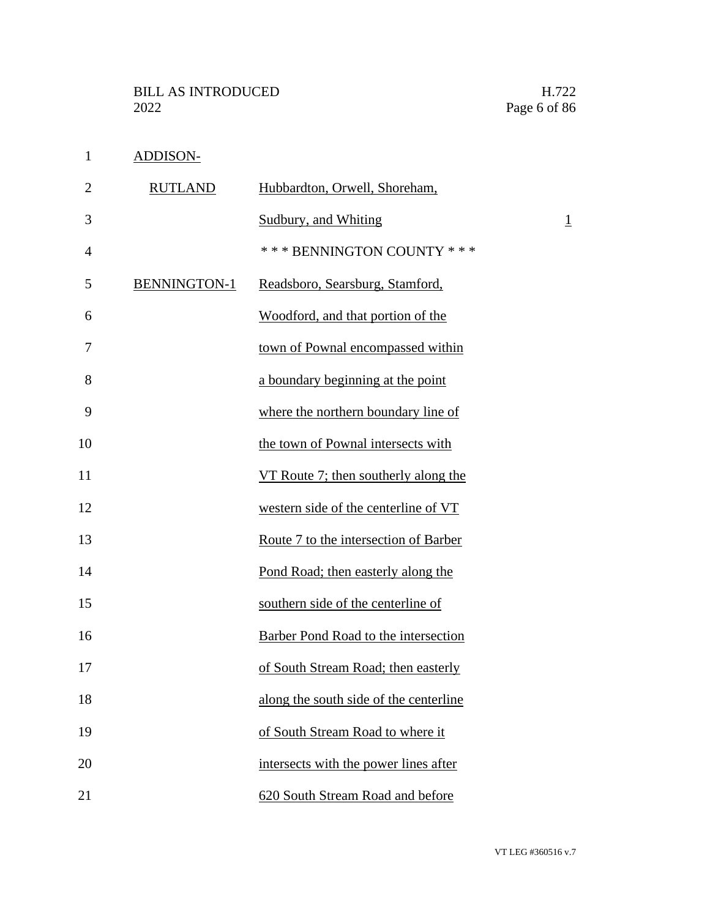ADDISON-

| $\overline{2}$ | <b>RUTLAND</b>      | Hubbardton, Orwell, Shoreham,               |                |
|----------------|---------------------|---------------------------------------------|----------------|
| 3              |                     | Sudbury, and Whiting                        | $\overline{1}$ |
| 4              |                     | *** BENNINGTON COUNTY ***                   |                |
| 5              | <b>BENNINGTON-1</b> | Readsboro, Searsburg, Stamford,             |                |
| 6              |                     | Woodford, and that portion of the           |                |
| 7              |                     | town of Pownal encompassed within           |                |
| 8              |                     | a boundary beginning at the point           |                |
| 9              |                     | where the northern boundary line of         |                |
| 10             |                     | the town of Pownal intersects with          |                |
| 11             |                     | VT Route 7; then southerly along the        |                |
| 12             |                     | western side of the centerline of VT        |                |
| 13             |                     | Route 7 to the intersection of Barber       |                |
| 14             |                     | Pond Road; then easterly along the          |                |
| 15             |                     | southern side of the centerline of          |                |
| 16             |                     | <b>Barber Pond Road to the intersection</b> |                |
| 17             |                     | of South Stream Road; then easterly         |                |
| 18             |                     | along the south side of the centerline      |                |
| 19             |                     | of South Stream Road to where it            |                |
| 20             |                     | intersects with the power lines after       |                |
| 21             |                     | 620 South Stream Road and before            |                |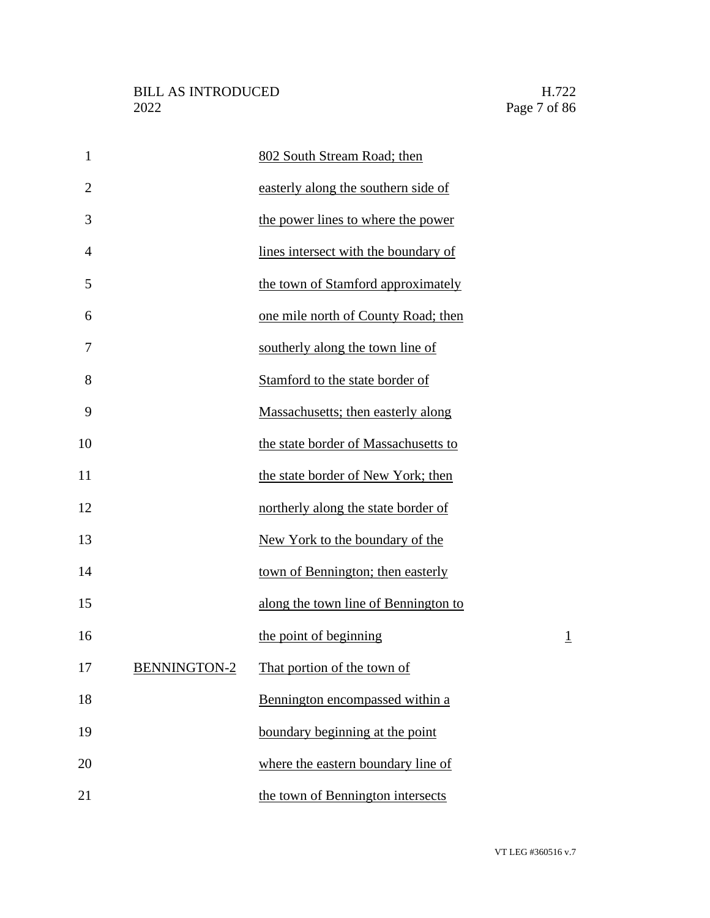| $\mathbf{1}$   |                     | 802 South Stream Road; then          |                |
|----------------|---------------------|--------------------------------------|----------------|
| $\overline{2}$ |                     | easterly along the southern side of  |                |
| 3              |                     | the power lines to where the power   |                |
| 4              |                     | lines intersect with the boundary of |                |
| 5              |                     | the town of Stamford approximately   |                |
| 6              |                     | one mile north of County Road; then  |                |
| 7              |                     | southerly along the town line of     |                |
| 8              |                     | Stamford to the state border of      |                |
| 9              |                     | Massachusetts; then easterly along   |                |
| 10             |                     | the state border of Massachusetts to |                |
| 11             |                     | the state border of New York; then   |                |
| 12             |                     | northerly along the state border of  |                |
| 13             |                     | New York to the boundary of the      |                |
| 14             |                     | town of Bennington; then easterly    |                |
| 15             |                     | along the town line of Bennington to |                |
| 16             |                     | the point of beginning               | $\overline{1}$ |
| 17             | <b>BENNINGTON-2</b> | That portion of the town of          |                |
| 18             |                     | Bennington encompassed within a      |                |
| 19             |                     | boundary beginning at the point      |                |
| 20             |                     | where the eastern boundary line of   |                |
| 21             |                     | the town of Bennington intersects    |                |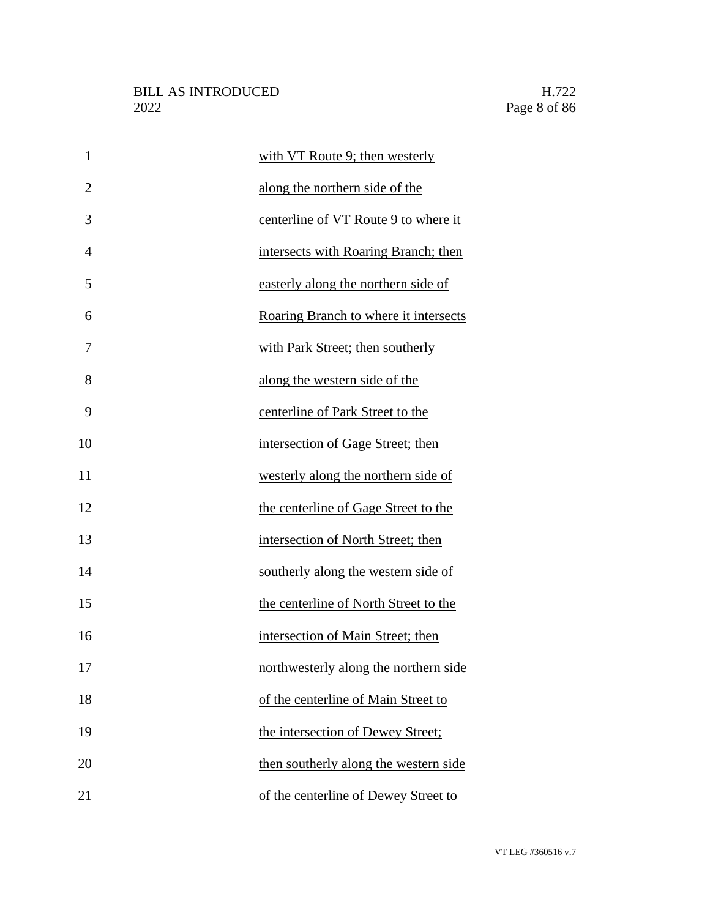| $\mathbf{1}$   | with VT Route 9; then westerly        |
|----------------|---------------------------------------|
| $\overline{2}$ | along the northern side of the        |
| 3              | centerline of VT Route 9 to where it  |
| $\overline{4}$ | intersects with Roaring Branch; then  |
| 5              | easterly along the northern side of   |
| 6              | Roaring Branch to where it intersects |
| 7              | with Park Street; then southerly      |
| 8              | along the western side of the         |
| 9              | centerline of Park Street to the      |
| 10             | intersection of Gage Street; then     |
| 11             | westerly along the northern side of   |
| 12             | the centerline of Gage Street to the  |
| 13             | intersection of North Street; then    |
| 14             | southerly along the western side of   |
| 15             | the centerline of North Street to the |
| 16             | intersection of Main Street; then     |
| 17             | northwesterly along the northern side |
| 18             | of the centerline of Main Street to   |
| 19             | the intersection of Dewey Street;     |
| 20             | then southerly along the western side |
| 21             | of the centerline of Dewey Street to  |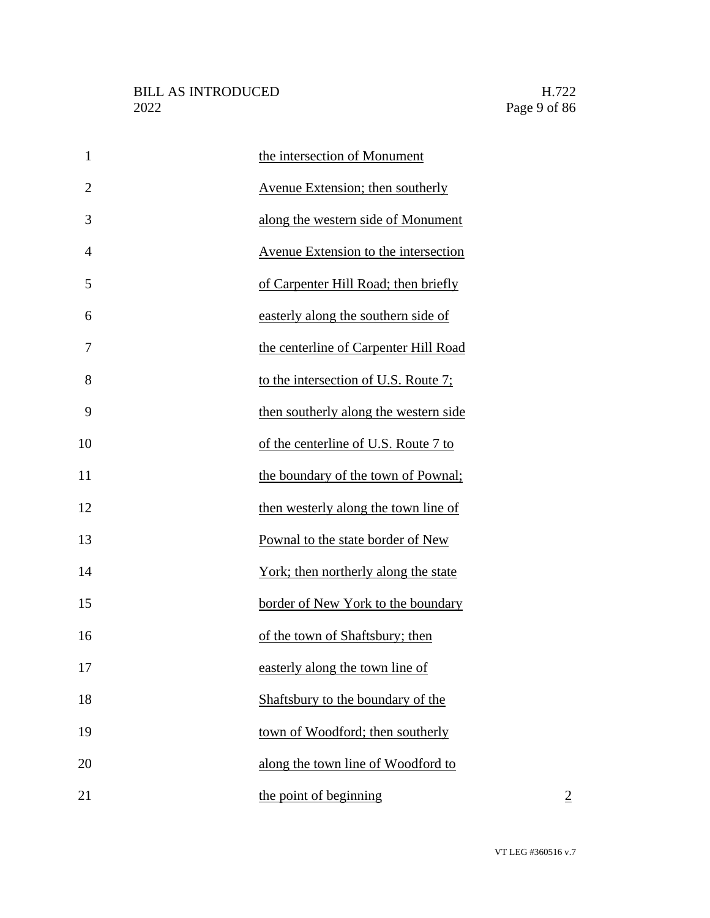| $\mathbf{1}$   | the intersection of Monument                |
|----------------|---------------------------------------------|
| $\overline{2}$ | Avenue Extension; then southerly            |
| 3              | along the western side of Monument          |
| $\overline{4}$ | <b>Avenue Extension to the intersection</b> |
| 5              | of Carpenter Hill Road; then briefly        |
| 6              | easterly along the southern side of         |
| 7              | the centerline of Carpenter Hill Road       |
| 8              | to the intersection of U.S. Route 7;        |
| 9              | then southerly along the western side       |
| 10             | of the centerline of U.S. Route 7 to        |
| 11             | the boundary of the town of Pownal;         |
| 12             | then westerly along the town line of        |
| 13             | Pownal to the state border of New           |
| 14             | York; then northerly along the state        |
| 15             | border of New York to the boundary          |
| 16             | of the town of Shaftsbury; then             |
| 17             | easterly along the town line of             |
| 18             | Shaftsbury to the boundary of the           |
| 19             | town of Woodford; then southerly            |
| 20             | along the town line of Woodford to          |
| 21             | the point of beginning<br>$\overline{2}$    |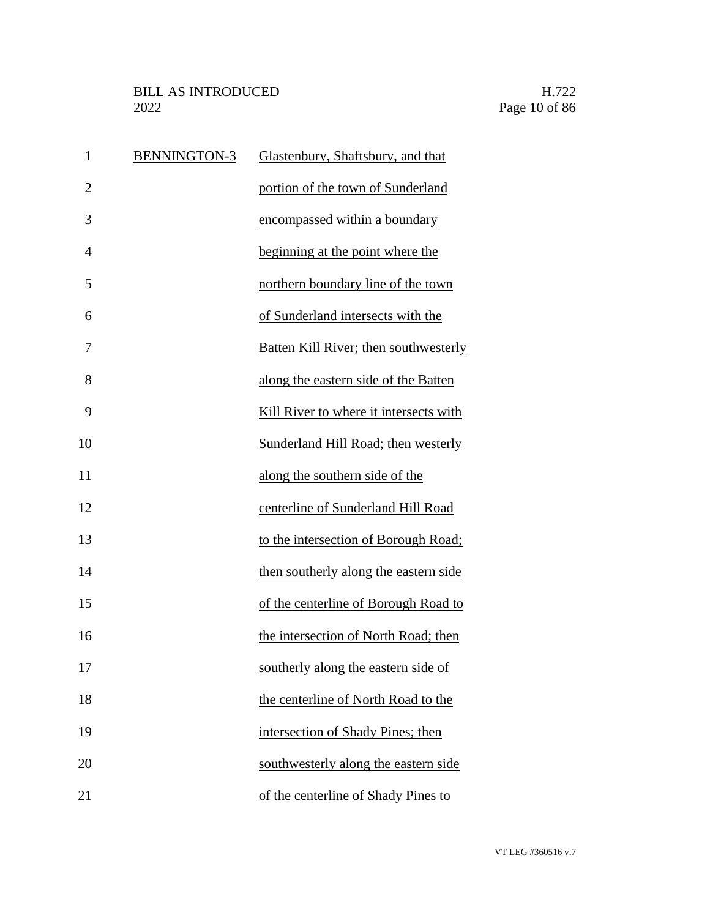| $\mathbf{1}$   | <b>BENNINGTON-3</b> | Glastenbury, Shaftsbury, and that            |
|----------------|---------------------|----------------------------------------------|
| $\overline{2}$ |                     | portion of the town of Sunderland            |
| 3              |                     | encompassed within a boundary                |
| $\overline{4}$ |                     | beginning at the point where the             |
| 5              |                     | northern boundary line of the town           |
| 6              |                     | of Sunderland intersects with the            |
| 7              |                     | <b>Batten Kill River; then southwesterly</b> |
| 8              |                     | along the eastern side of the Batten         |
| 9              |                     | Kill River to where it intersects with       |
| 10             |                     | Sunderland Hill Road; then westerly          |
| 11             |                     | along the southern side of the               |
| 12             |                     | centerline of Sunderland Hill Road           |
| 13             |                     | to the intersection of Borough Road;         |
| 14             |                     | then southerly along the eastern side        |
| 15             |                     | of the centerline of Borough Road to         |
| 16             |                     | the intersection of North Road; then         |
| 17             |                     | southerly along the eastern side of          |
| 18             |                     | the centerline of North Road to the          |
| 19             |                     | intersection of Shady Pines; then            |
| 20             |                     | southwesterly along the eastern side         |
| 21             |                     | of the centerline of Shady Pines to          |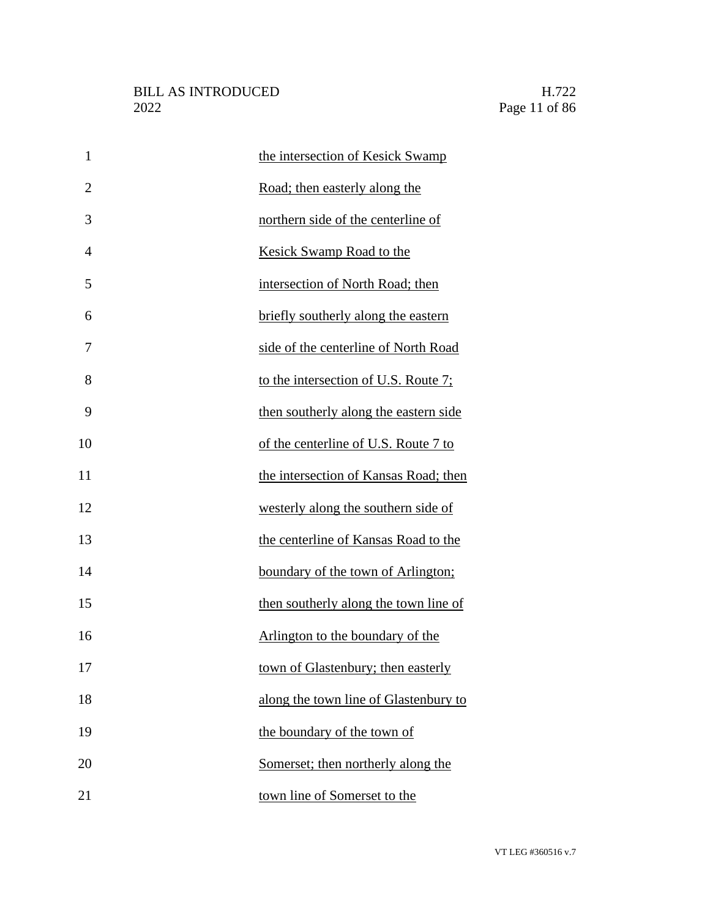| $\mathbf{1}$   | the intersection of Kesick Swamp      |
|----------------|---------------------------------------|
| $\overline{2}$ | Road; then easterly along the         |
| 3              | northern side of the centerline of    |
| 4              | <b>Kesick Swamp Road to the</b>       |
| 5              | intersection of North Road; then      |
| 6              | briefly southerly along the eastern   |
| 7              | side of the centerline of North Road  |
| 8              | to the intersection of U.S. Route 7;  |
| 9              | then southerly along the eastern side |
| 10             | of the centerline of U.S. Route 7 to  |
| 11             | the intersection of Kansas Road; then |
| 12             | westerly along the southern side of   |
| 13             | the centerline of Kansas Road to the  |
| 14             | boundary of the town of Arlington;    |
| 15             | then southerly along the town line of |
| 16             | Arlington to the boundary of the      |
| 17             | town of Glastenbury; then easterly    |
| 18             | along the town line of Glastenbury to |
| 19             | the boundary of the town of           |
| 20             | Somerset; then northerly along the    |
| 21             | town line of Somerset to the          |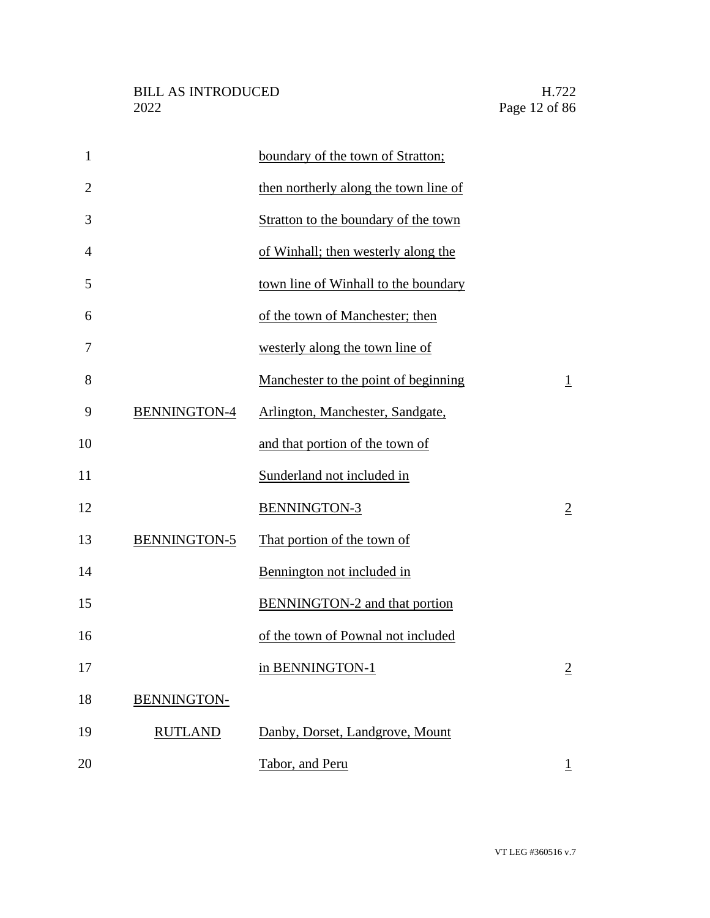| $\mathbf{1}$   |                     | boundary of the town of Stratton;     |                |
|----------------|---------------------|---------------------------------------|----------------|
| $\overline{2}$ |                     | then northerly along the town line of |                |
| 3              |                     | Stratton to the boundary of the town  |                |
| $\overline{4}$ |                     | of Winhall; then westerly along the   |                |
| 5              |                     | town line of Winhall to the boundary  |                |
| 6              |                     | of the town of Manchester; then       |                |
| 7              |                     | westerly along the town line of       |                |
| 8              |                     | Manchester to the point of beginning  | $\overline{1}$ |
| 9              | BENNINGTON-4        | Arlington, Manchester, Sandgate,      |                |
| 10             |                     | and that portion of the town of       |                |
| 11             |                     | Sunderland not included in            |                |
| 12             |                     | BENNINGTON-3                          | $\overline{2}$ |
| 13             | <b>BENNINGTON-5</b> | That portion of the town of           |                |
| 14             |                     | Bennington not included in            |                |
| 15             |                     | <b>BENNINGTON-2</b> and that portion  |                |
| 16             |                     | of the town of Pownal not included    |                |
| 17             |                     | in BENNINGTON-1                       | $\overline{2}$ |
| 18             | BENNINGTON-         |                                       |                |
| 19             | <b>RUTLAND</b>      | Danby, Dorset, Landgrove, Mount       |                |
| 20             |                     | Tabor, and Peru                       | $\perp$        |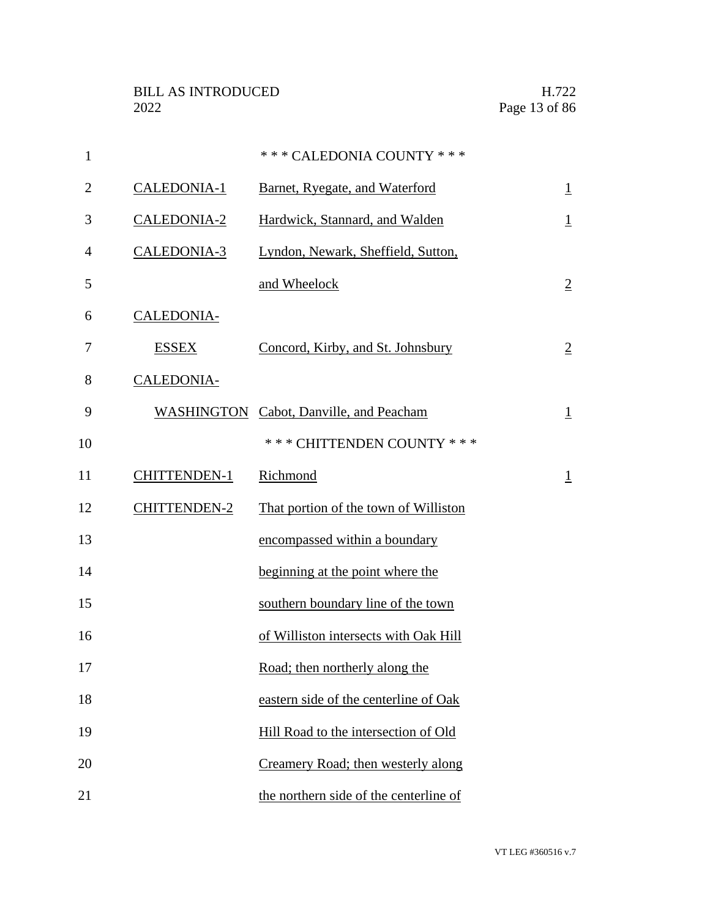| $\mathbf{1}$   |                     | *** CALEDONIA COUNTY ***                |                |
|----------------|---------------------|-----------------------------------------|----------------|
| $\overline{2}$ | CALEDONIA-1         | Barnet, Ryegate, and Waterford          | $\overline{1}$ |
| 3              | CALEDONIA-2         | Hardwick, Stannard, and Walden          | $\overline{1}$ |
| 4              | CALEDONIA-3         | Lyndon, Newark, Sheffield, Sutton,      |                |
| 5              |                     | and Wheelock                            | $\overline{2}$ |
| 6              | CALEDONIA-          |                                         |                |
| 7              | <b>ESSEX</b>        | Concord, Kirby, and St. Johnsbury       | $\overline{2}$ |
| 8              | CALEDONIA-          |                                         |                |
| 9              |                     | WASHINGTON Cabot, Danville, and Peacham | $\overline{1}$ |
| 10             |                     | *** CHITTENDEN COUNTY ***               |                |
| 11             | <b>CHITTENDEN-1</b> | Richmond                                | $\overline{1}$ |
| 12             | <b>CHITTENDEN-2</b> | That portion of the town of Williston   |                |
| 13             |                     | encompassed within a boundary           |                |
| 14             |                     | beginning at the point where the        |                |
| 15             |                     | southern boundary line of the town      |                |
| 16             |                     | of Williston intersects with Oak Hill   |                |
| 17             |                     | Road; then northerly along the          |                |
| 18             |                     | eastern side of the centerline of Oak   |                |
| 19             |                     | Hill Road to the intersection of Old    |                |
| 20             |                     | Creamery Road; then westerly along      |                |
| 21             |                     | the northern side of the centerline of  |                |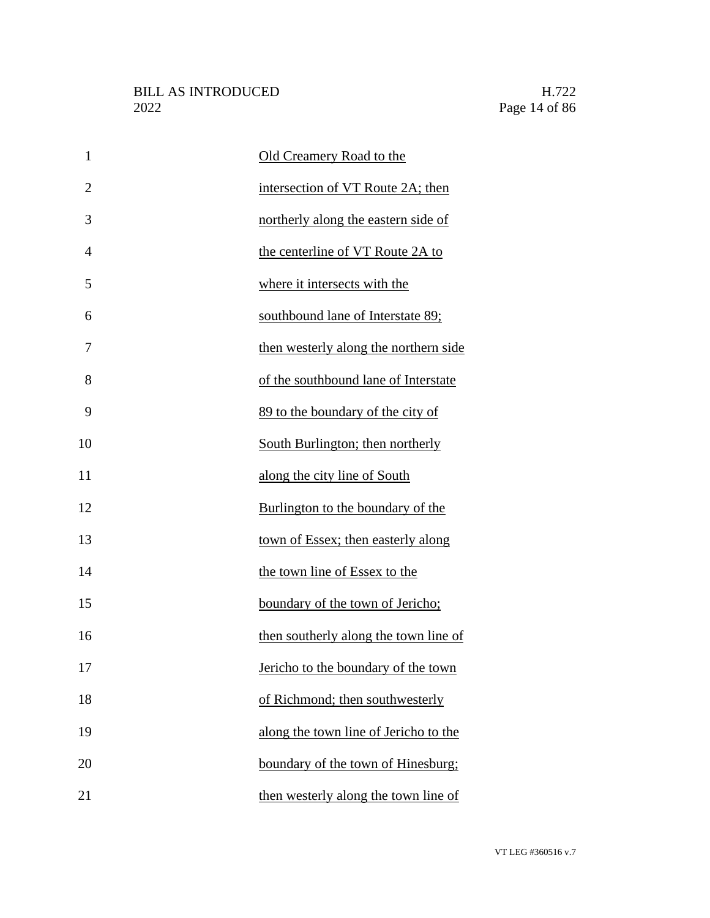| $\mathbf{1}$   | Old Creamery Road to the              |
|----------------|---------------------------------------|
| $\overline{2}$ | intersection of VT Route 2A; then     |
| 3              | northerly along the eastern side of   |
| $\overline{4}$ | the centerline of VT Route 2A to      |
| 5              | where it intersects with the          |
| 6              | southbound lane of Interstate 89;     |
| 7              | then westerly along the northern side |
| 8              | of the southbound lane of Interstate  |
| 9              | 89 to the boundary of the city of     |
| 10             | South Burlington; then northerly      |
| 11             | along the city line of South          |
| 12             | Burlington to the boundary of the     |
| 13             | town of Essex; then easterly along    |
| 14             | the town line of Essex to the         |
| 15             | boundary of the town of Jericho;      |
| 16             | then southerly along the town line of |
| 17             | Jericho to the boundary of the town   |
| 18             | of Richmond; then southwesterly       |
| 19             | along the town line of Jericho to the |
| 20             | boundary of the town of Hinesburg;    |
| 21             | then westerly along the town line of  |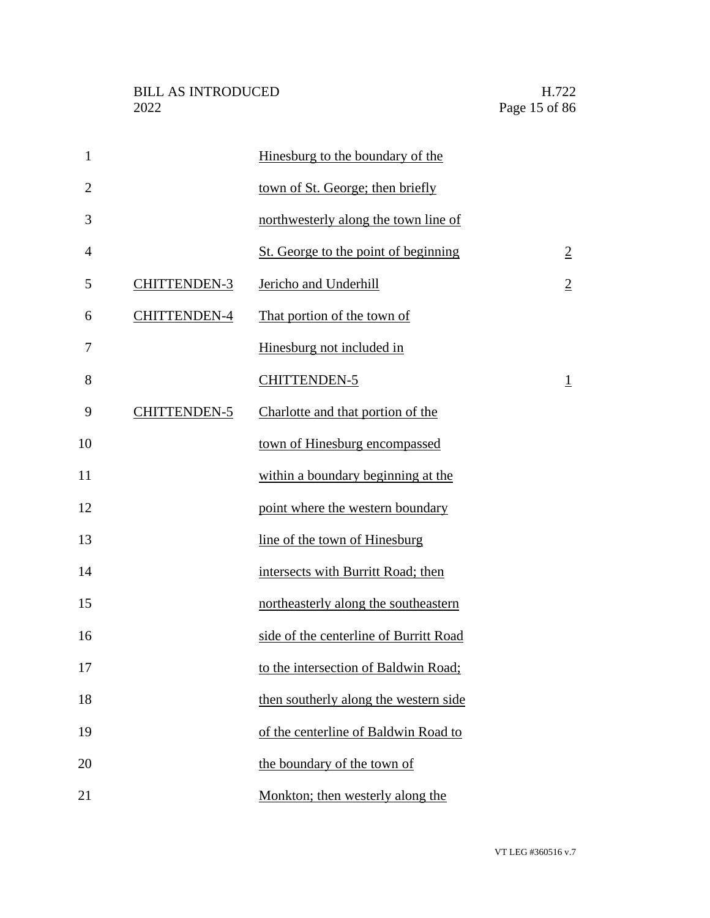| $\mathbf{1}$   |                     | Hinesburg to the boundary of the       |                |
|----------------|---------------------|----------------------------------------|----------------|
| $\overline{2}$ |                     | town of St. George; then briefly       |                |
| 3              |                     | northwesterly along the town line of   |                |
| $\overline{4}$ |                     | St. George to the point of beginning   | $\overline{2}$ |
| 5              | <b>CHITTENDEN-3</b> | Jericho and Underhill                  | $\overline{2}$ |
| 6              | <b>CHITTENDEN-4</b> | That portion of the town of            |                |
| 7              |                     | Hinesburg not included in              |                |
| 8              |                     | <b>CHITTENDEN-5</b>                    | $\overline{1}$ |
| 9              | CHITTENDEN-5        | Charlotte and that portion of the      |                |
| 10             |                     | town of Hinesburg encompassed          |                |
| 11             |                     | within a boundary beginning at the     |                |
| 12             |                     | point where the western boundary       |                |
| 13             |                     | line of the town of Hinesburg          |                |
| 14             |                     | intersects with Burritt Road; then     |                |
| 15             |                     | northeasterly along the southeastern   |                |
| 16             |                     | side of the centerline of Burritt Road |                |
| 17             |                     | to the intersection of Baldwin Road;   |                |
| 18             |                     | then southerly along the western side  |                |
| 19             |                     | of the centerline of Baldwin Road to   |                |
| 20             |                     | the boundary of the town of            |                |
| 21             |                     | Monkton; then westerly along the       |                |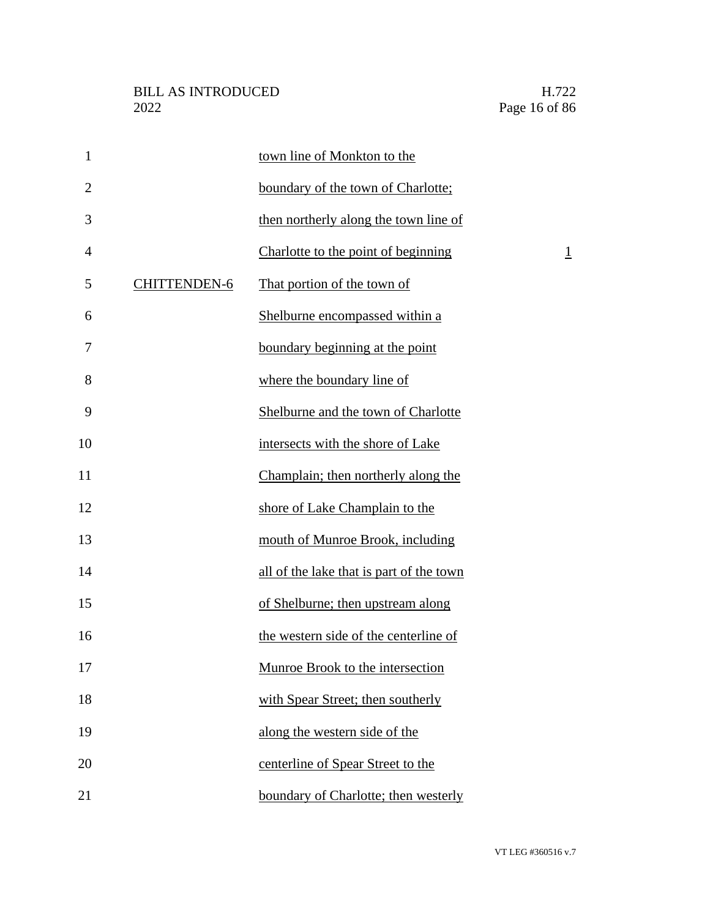| $\mathbf{1}$   |                     | town line of Monkton to the              |                |
|----------------|---------------------|------------------------------------------|----------------|
| $\overline{2}$ |                     | boundary of the town of Charlotte;       |                |
| 3              |                     | then northerly along the town line of    |                |
| $\overline{4}$ |                     | Charlotte to the point of beginning      | $\overline{1}$ |
| 5              | <b>CHITTENDEN-6</b> | That portion of the town of              |                |
| 6              |                     | Shelburne encompassed within a           |                |
| 7              |                     | boundary beginning at the point          |                |
| 8              |                     | where the boundary line of               |                |
| 9              |                     | Shelburne and the town of Charlotte      |                |
| 10             |                     | intersects with the shore of Lake        |                |
| 11             |                     | Champlain; then northerly along the      |                |
| 12             |                     | shore of Lake Champlain to the           |                |
| 13             |                     | mouth of Munroe Brook, including         |                |
| 14             |                     | all of the lake that is part of the town |                |
| 15             |                     | of Shelburne; then upstream along        |                |
| 16             |                     | the western side of the centerline of    |                |
| 17             |                     | Munroe Brook to the intersection         |                |
| 18             |                     | with Spear Street; then southerly        |                |
| 19             |                     | along the western side of the            |                |
| 20             |                     | centerline of Spear Street to the        |                |
| 21             |                     | boundary of Charlotte; then westerly     |                |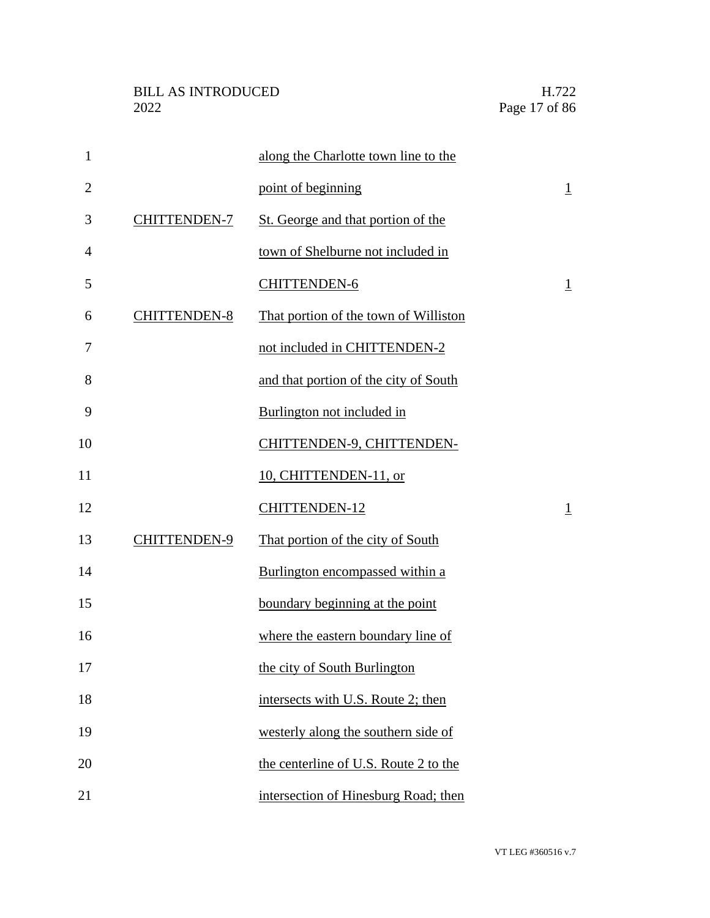| $\mathbf{1}$   |                     | along the Charlotte town line to the  |                |
|----------------|---------------------|---------------------------------------|----------------|
| $\overline{2}$ |                     | point of beginning                    | $\overline{1}$ |
| 3              | <b>CHITTENDEN-7</b> | St. George and that portion of the    |                |
| $\overline{4}$ |                     | town of Shelburne not included in     |                |
| 5              |                     | <b>CHITTENDEN-6</b>                   | $\overline{1}$ |
| 6              | <b>CHITTENDEN-8</b> | That portion of the town of Williston |                |
| 7              |                     | not included in CHITTENDEN-2          |                |
| 8              |                     | and that portion of the city of South |                |
| 9              |                     | Burlington not included in            |                |
| 10             |                     | CHITTENDEN-9, CHITTENDEN-             |                |
| 11             |                     | 10, CHITTENDEN-11, or                 |                |
| 12             |                     | <b>CHITTENDEN-12</b>                  | $\overline{1}$ |
| 13             | <b>CHITTENDEN-9</b> | That portion of the city of South     |                |
| 14             |                     | Burlington encompassed within a       |                |
| 15             |                     | boundary beginning at the point       |                |
| 16             |                     | where the eastern boundary line of    |                |
| 17             |                     | the city of South Burlington          |                |
| 18             |                     | intersects with U.S. Route 2; then    |                |
| 19             |                     | westerly along the southern side of   |                |
| 20             |                     | the centerline of U.S. Route 2 to the |                |
| 21             |                     | intersection of Hinesburg Road; then  |                |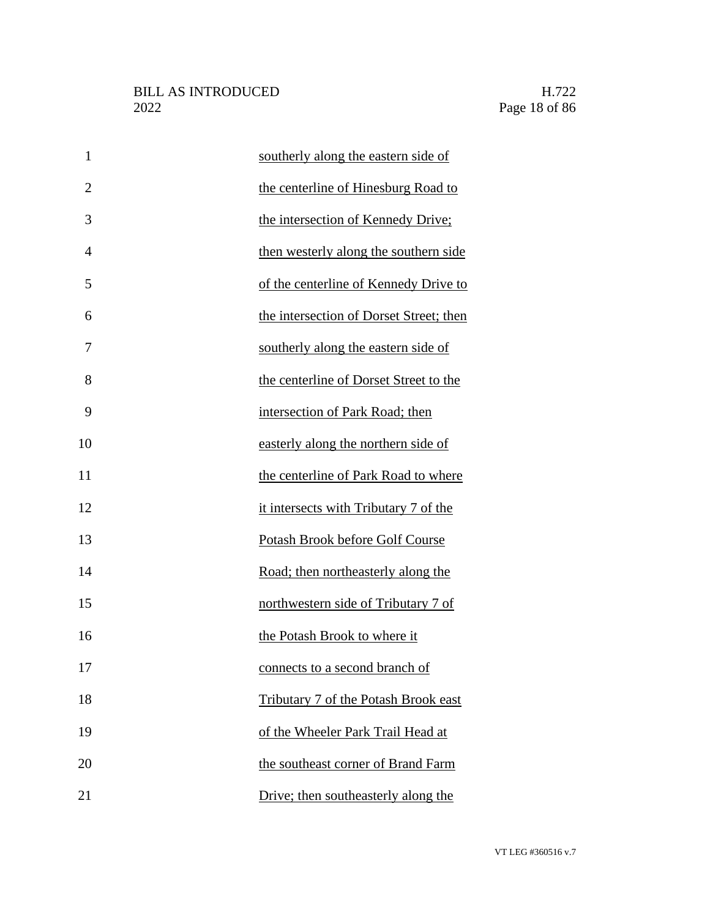| $\mathbf{1}$   | southerly along the eastern side of     |
|----------------|-----------------------------------------|
| $\overline{2}$ | the centerline of Hinesburg Road to     |
| 3              | the intersection of Kennedy Drive;      |
| 4              | then westerly along the southern side   |
| 5              | of the centerline of Kennedy Drive to   |
| 6              | the intersection of Dorset Street; then |
| 7              | southerly along the eastern side of     |
| 8              | the centerline of Dorset Street to the  |
| 9              | intersection of Park Road; then         |
| 10             | easterly along the northern side of     |
| 11             | the centerline of Park Road to where    |
| 12             | it intersects with Tributary 7 of the   |
| 13             | Potash Brook before Golf Course         |
| 14             | Road; then northeasterly along the      |
| 15             | northwestern side of Tributary 7 of     |
| 16             | the Potash Brook to where it            |
| 17             | connects to a second branch of          |
| 18             | Tributary 7 of the Potash Brook east    |
| 19             | of the Wheeler Park Trail Head at       |
| 20             | the southeast corner of Brand Farm      |
| 21             | Drive; then southeasterly along the     |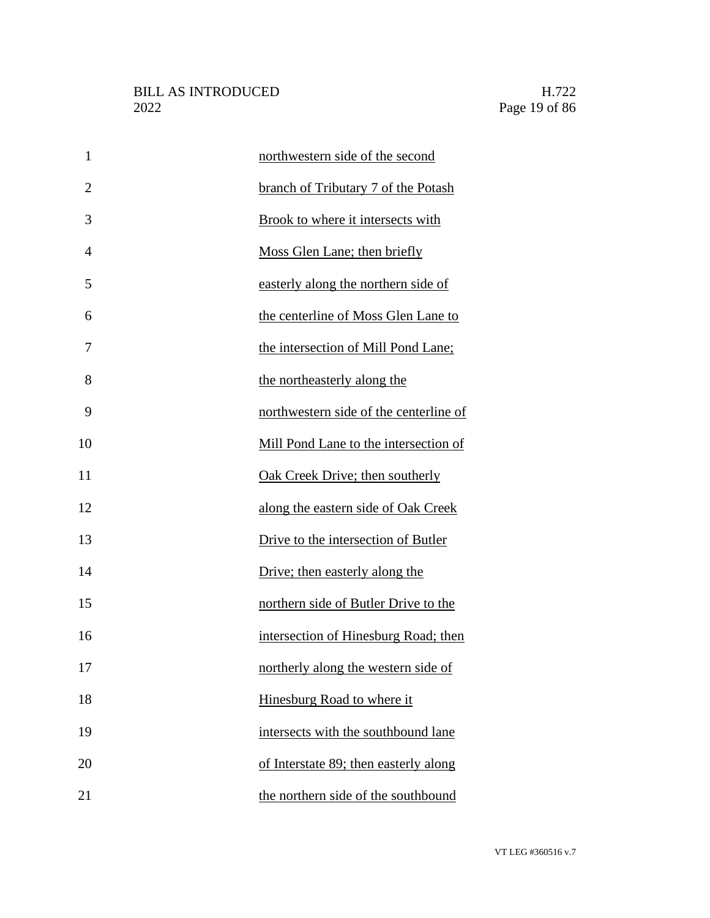| $\mathbf{1}$   | northwestern side of the second        |
|----------------|----------------------------------------|
| $\overline{2}$ | branch of Tributary 7 of the Potash    |
| 3              | Brook to where it intersects with      |
| $\overline{4}$ | Moss Glen Lane; then briefly           |
| 5              | easterly along the northern side of    |
| 6              | the centerline of Moss Glen Lane to    |
| 7              | the intersection of Mill Pond Lane;    |
| 8              | the northeasterly along the            |
| 9              | northwestern side of the centerline of |
| 10             | Mill Pond Lane to the intersection of  |
| 11             | Oak Creek Drive; then southerly        |
| 12             | along the eastern side of Oak Creek    |
| 13             | Drive to the intersection of Butler    |
| 14             | Drive; then easterly along the         |
| 15             | northern side of Butler Drive to the   |
| 16             | intersection of Hinesburg Road; then   |
| 17             | northerly along the western side of    |
| 18             | Hinesburg Road to where it             |
| 19             | intersects with the southbound lane    |
| 20             | of Interstate 89; then easterly along  |
| 21             | the northern side of the southbound    |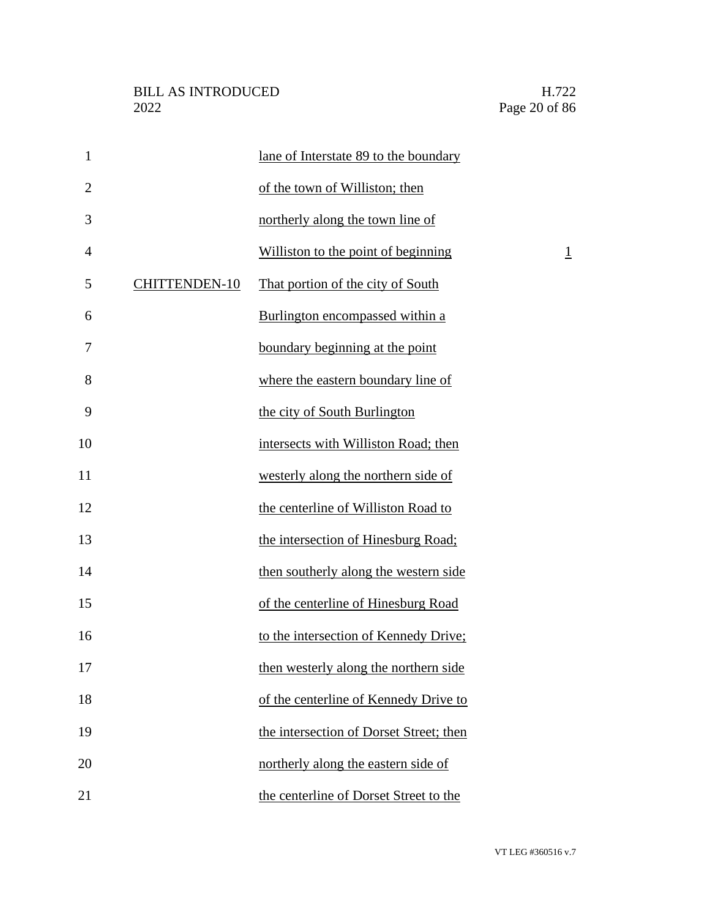| $\mathbf{1}$   |                      | lane of Interstate 89 to the boundary   |                |
|----------------|----------------------|-----------------------------------------|----------------|
| $\overline{2}$ |                      | of the town of Williston; then          |                |
| 3              |                      | northerly along the town line of        |                |
| $\overline{4}$ |                      | Williston to the point of beginning     | $\overline{1}$ |
| 5              | <b>CHITTENDEN-10</b> | That portion of the city of South       |                |
| 6              |                      | Burlington encompassed within a         |                |
| 7              |                      | boundary beginning at the point         |                |
| 8              |                      | where the eastern boundary line of      |                |
| 9              |                      | the city of South Burlington            |                |
| 10             |                      | intersects with Williston Road; then    |                |
| 11             |                      | westerly along the northern side of     |                |
| 12             |                      | the centerline of Williston Road to     |                |
| 13             |                      | the intersection of Hinesburg Road;     |                |
| 14             |                      | then southerly along the western side   |                |
| 15             |                      | of the centerline of Hinesburg Road     |                |
| 16             |                      | to the intersection of Kennedy Drive;   |                |
| 17             |                      | then westerly along the northern side   |                |
| 18             |                      | of the centerline of Kennedy Drive to   |                |
| 19             |                      | the intersection of Dorset Street; then |                |
| 20             |                      | northerly along the eastern side of     |                |
| 21             |                      | the centerline of Dorset Street to the  |                |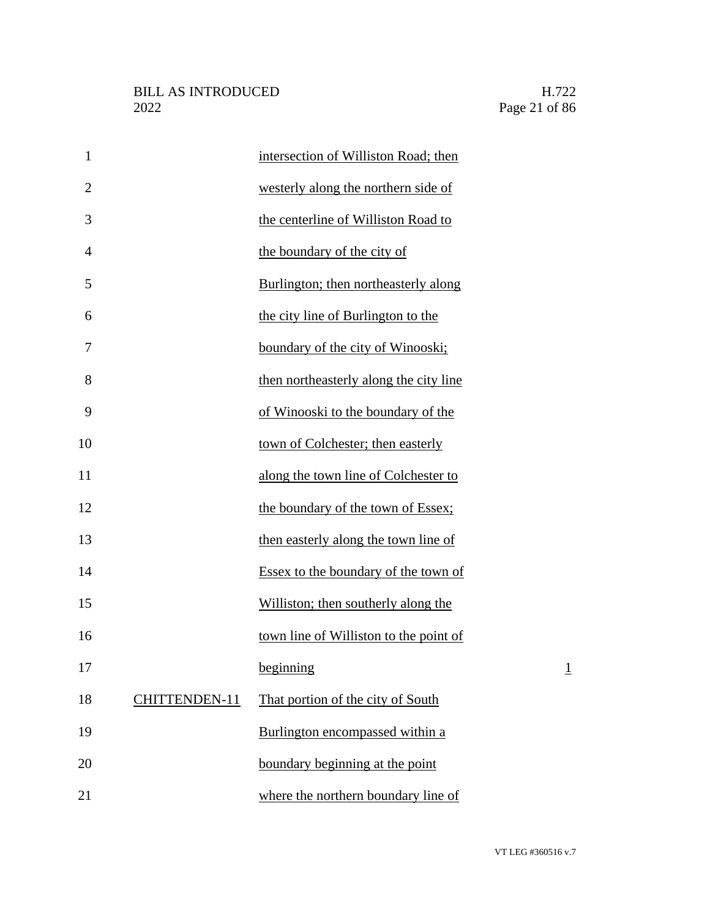| $\mathbf{1}$   |               | intersection of Williston Road; then   |                |
|----------------|---------------|----------------------------------------|----------------|
| $\overline{2}$ |               | westerly along the northern side of    |                |
| 3              |               | the centerline of Williston Road to    |                |
| $\overline{4}$ |               | the boundary of the city of            |                |
| 5              |               | Burlington; then northeasterly along   |                |
| 6              |               | the city line of Burlington to the     |                |
| 7              |               | boundary of the city of Winooski;      |                |
| 8              |               | then northeasterly along the city line |                |
| 9              |               | of Winooski to the boundary of the     |                |
| 10             |               | town of Colchester; then easterly      |                |
| 11             |               | along the town line of Colchester to   |                |
| 12             |               | the boundary of the town of Essex;     |                |
| 13             |               | then easterly along the town line of   |                |
| 14             |               | Essex to the boundary of the town of   |                |
| 15             |               | Williston; then southerly along the    |                |
| 16             |               | town line of Williston to the point of |                |
| 17             |               | beginning                              | $\overline{1}$ |
| 18             | CHITTENDEN-11 | That portion of the city of South      |                |
| 19             |               | Burlington encompassed within a        |                |
| 20             |               | boundary beginning at the point        |                |
| 21             |               | where the northern boundary line of    |                |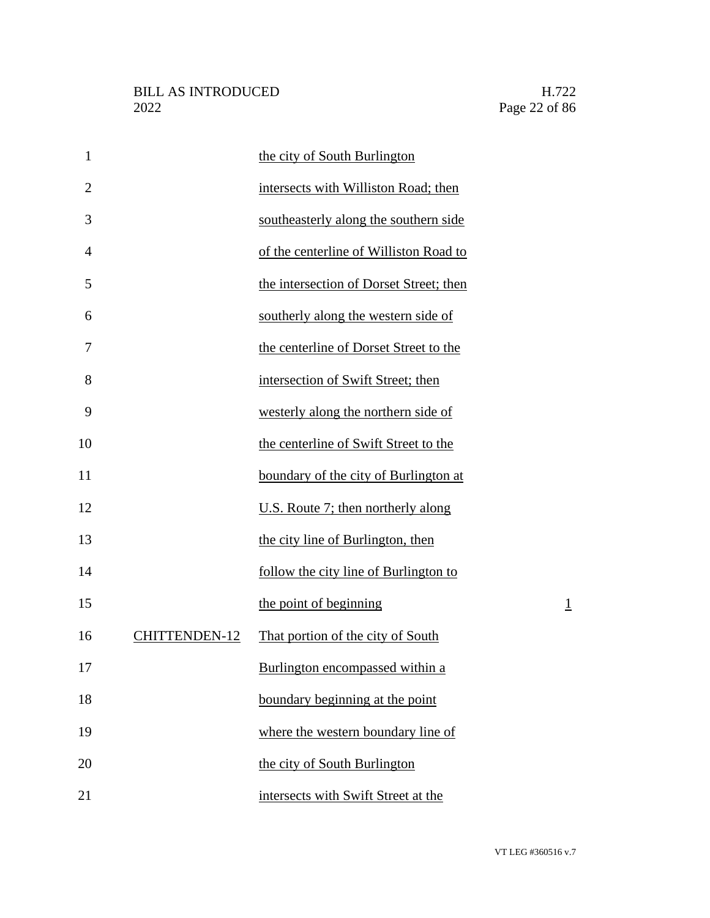| $\mathbf{1}$   |                      | the city of South Burlington            |                |
|----------------|----------------------|-----------------------------------------|----------------|
| $\overline{2}$ |                      | intersects with Williston Road; then    |                |
| 3              |                      | southeasterly along the southern side   |                |
| $\overline{4}$ |                      | of the centerline of Williston Road to  |                |
| 5              |                      | the intersection of Dorset Street; then |                |
| 6              |                      | southerly along the western side of     |                |
| 7              |                      | the centerline of Dorset Street to the  |                |
| 8              |                      | intersection of Swift Street; then      |                |
| 9              |                      | westerly along the northern side of     |                |
| 10             |                      | the centerline of Swift Street to the   |                |
| 11             |                      | boundary of the city of Burlington at   |                |
| 12             |                      | U.S. Route 7; then northerly along      |                |
| 13             |                      | the city line of Burlington, then       |                |
| 14             |                      | follow the city line of Burlington to   |                |
| 15             |                      | the point of beginning                  | $\overline{1}$ |
| 16             | <b>CHITTENDEN-12</b> | That portion of the city of South       |                |
| 17             |                      | Burlington encompassed within a         |                |
| 18             |                      | boundary beginning at the point         |                |
| 19             |                      | where the western boundary line of      |                |
| 20             |                      | the city of South Burlington            |                |
| 21             |                      | intersects with Swift Street at the     |                |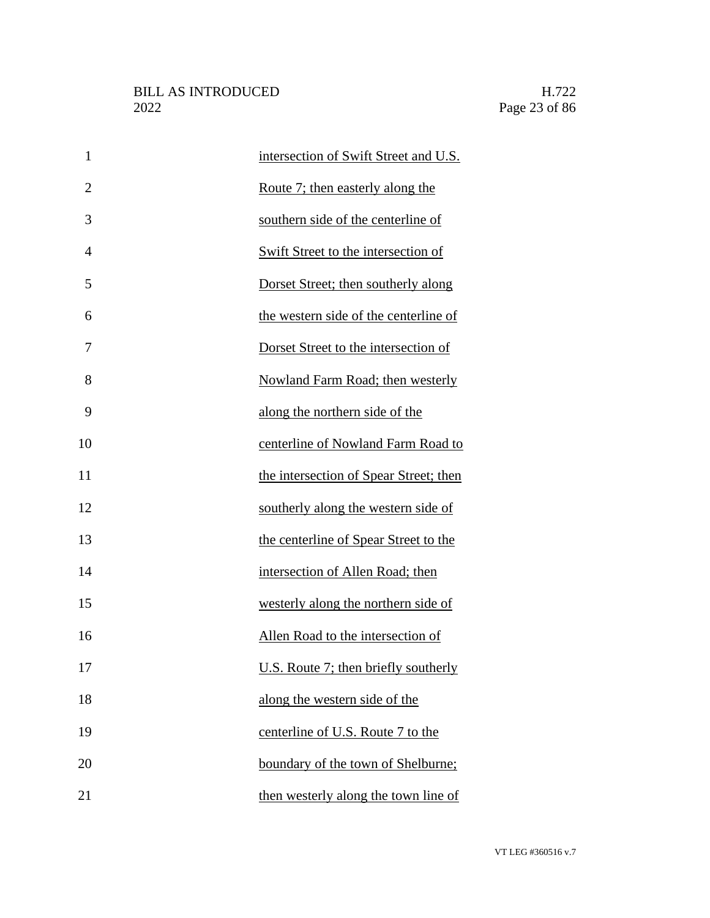| $\mathbf{1}$   | intersection of Swift Street and U.S.   |
|----------------|-----------------------------------------|
| $\overline{2}$ | <u>Route 7; then easterly along the</u> |
| 3              | southern side of the centerline of      |
| $\overline{4}$ | Swift Street to the intersection of     |
| 5              | Dorset Street; then southerly along     |
| 6              | the western side of the centerline of   |
| 7              | Dorset Street to the intersection of    |
| 8              | Nowland Farm Road; then westerly        |
| 9              | along the northern side of the          |
| 10             | centerline of Nowland Farm Road to      |
| 11             | the intersection of Spear Street; then  |
| 12             | southerly along the western side of     |
| 13             | the centerline of Spear Street to the   |
| 14             | intersection of Allen Road; then        |
| 15             | westerly along the northern side of     |
| 16             | Allen Road to the intersection of       |
| 17             | U.S. Route 7; then briefly southerly    |
| 18             | along the western side of the           |
| 19             | centerline of U.S. Route 7 to the       |
| 20             | boundary of the town of Shelburne;      |
| 21             | then westerly along the town line of    |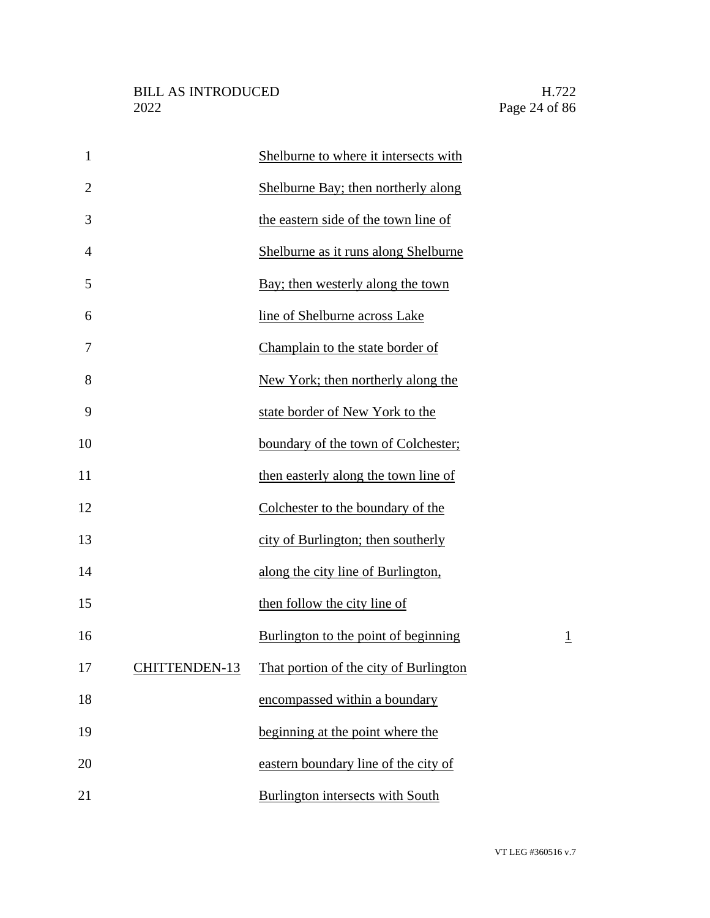| $\mathbf{1}$   |               | Shelburne to where it intersects with   |                |
|----------------|---------------|-----------------------------------------|----------------|
| $\overline{2}$ |               | Shelburne Bay; then northerly along     |                |
| 3              |               | the eastern side of the town line of    |                |
| 4              |               | Shelburne as it runs along Shelburne    |                |
| 5              |               | Bay; then westerly along the town       |                |
| 6              |               | line of Shelburne across Lake           |                |
| 7              |               | Champlain to the state border of        |                |
| 8              |               | New York; then northerly along the      |                |
| 9              |               | state border of New York to the         |                |
| 10             |               | boundary of the town of Colchester;     |                |
| 11             |               | then easterly along the town line of    |                |
| 12             |               | Colchester to the boundary of the       |                |
| 13             |               | city of Burlington; then southerly      |                |
| 14             |               | along the city line of Burlington,      |                |
| 15             |               | then follow the city line of            |                |
| 16             |               | Burlington to the point of beginning    | $\overline{1}$ |
| 17             | CHITTENDEN-13 | That portion of the city of Burlington  |                |
| 18             |               | encompassed within a boundary           |                |
| 19             |               | beginning at the point where the        |                |
| 20             |               | eastern boundary line of the city of    |                |
| 21             |               | <b>Burlington intersects with South</b> |                |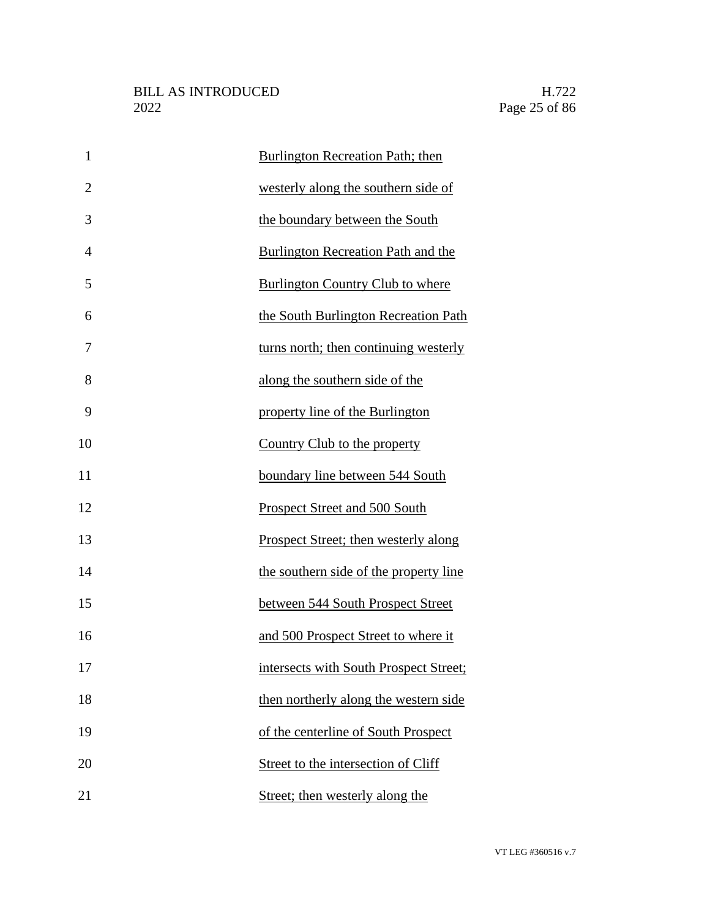| $\mathbf{1}$   | Burlington Recreation Path; then          |
|----------------|-------------------------------------------|
| $\overline{2}$ | westerly along the southern side of       |
| 3              | the boundary between the South            |
| $\overline{4}$ | <b>Burlington Recreation Path and the</b> |
| 5              | <b>Burlington Country Club to where</b>   |
| 6              | the South Burlington Recreation Path      |
| 7              | turns north; then continuing westerly     |
| 8              | along the southern side of the            |
| 9              | property line of the Burlington           |
| 10             | Country Club to the property              |
| 11             | boundary line between 544 South           |
| 12             | Prospect Street and 500 South             |
| 13             | Prospect Street; then westerly along      |
| 14             | the southern side of the property line    |
| 15             | between 544 South Prospect Street         |
| 16             | and 500 Prospect Street to where it       |
| 17             | intersects with South Prospect Street;    |
| 18             | then northerly along the western side     |
| 19             | of the centerline of South Prospect       |
| 20             | Street to the intersection of Cliff       |
| 21             | Street; then westerly along the           |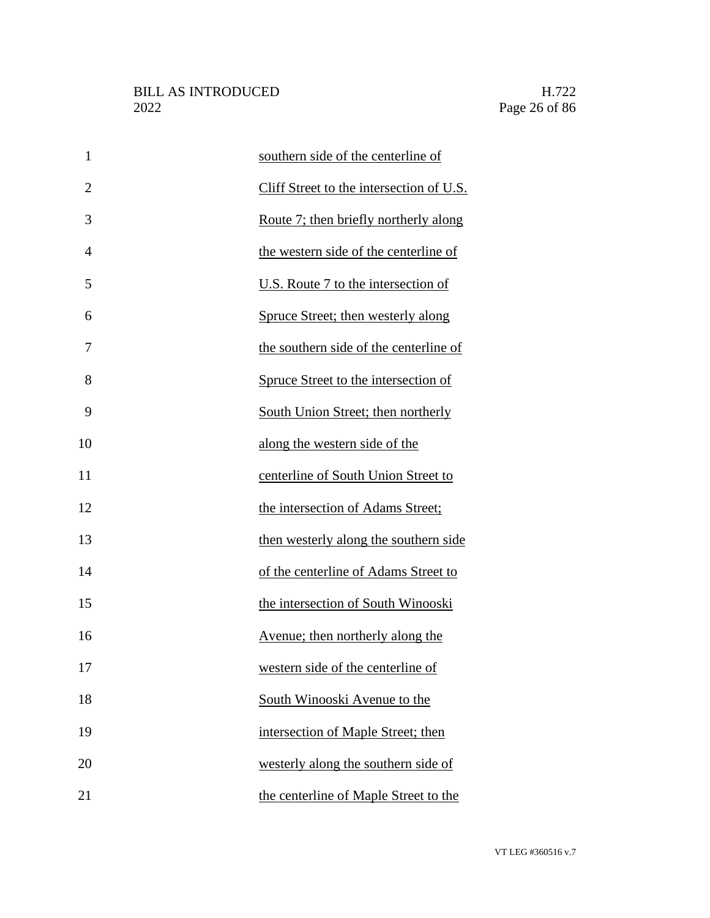| $\mathbf{1}$   | southern side of the centerline of       |
|----------------|------------------------------------------|
| $\overline{2}$ | Cliff Street to the intersection of U.S. |
| 3              | Route 7; then briefly northerly along    |
| $\overline{4}$ | the western side of the centerline of    |
| 5              | U.S. Route 7 to the intersection of      |
| 6              | Spruce Street; then westerly along       |
| 7              | the southern side of the centerline of   |
| 8              | Spruce Street to the intersection of     |
| 9              | South Union Street; then northerly       |
| 10             | along the western side of the            |
| 11             | centerline of South Union Street to      |
| 12             | the intersection of Adams Street;        |
| 13             | then westerly along the southern side    |
| 14             | of the centerline of Adams Street to     |
| 15             | the intersection of South Winooski       |
| 16             | Avenue; then northerly along the         |
| 17             | western side of the centerline of        |
| 18             | South Winooski Avenue to the             |
| 19             | intersection of Maple Street; then       |
| 20             | westerly along the southern side of      |
| 21             | the centerline of Maple Street to the    |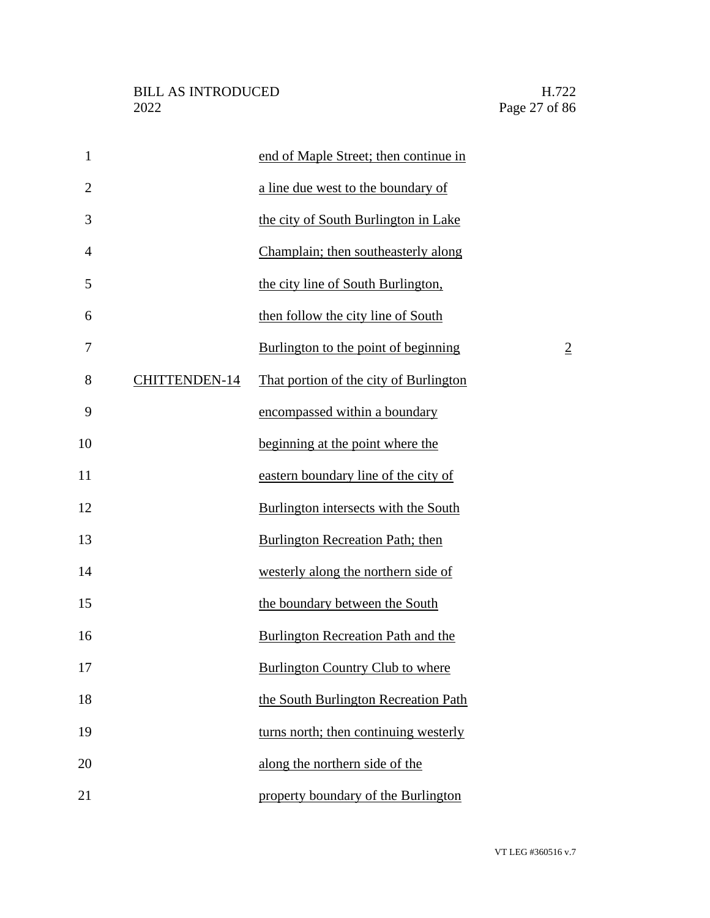| $\mathbf{1}$   |                      | end of Maple Street; then continue in   |                |
|----------------|----------------------|-----------------------------------------|----------------|
| $\overline{2}$ |                      | a line due west to the boundary of      |                |
| 3              |                      | the city of South Burlington in Lake    |                |
| $\overline{4}$ |                      | Champlain; then southeasterly along     |                |
| 5              |                      | the city line of South Burlington,      |                |
| 6              |                      | then follow the city line of South      |                |
| 7              |                      | Burlington to the point of beginning    | $\overline{2}$ |
| 8              | <b>CHITTENDEN-14</b> | That portion of the city of Burlington  |                |
| 9              |                      | encompassed within a boundary           |                |
| 10             |                      | beginning at the point where the        |                |
| 11             |                      | eastern boundary line of the city of    |                |
| 12             |                      | Burlington intersects with the South    |                |
| 13             |                      | Burlington Recreation Path; then        |                |
| 14             |                      | westerly along the northern side of     |                |
| 15             |                      | the boundary between the South          |                |
| 16             |                      | Burlington Recreation Path and the      |                |
| 17             |                      | <b>Burlington Country Club to where</b> |                |
| 18             |                      | the South Burlington Recreation Path    |                |
| 19             |                      | turns north; then continuing westerly   |                |
| 20             |                      | along the northern side of the          |                |
| 21             |                      | property boundary of the Burlington     |                |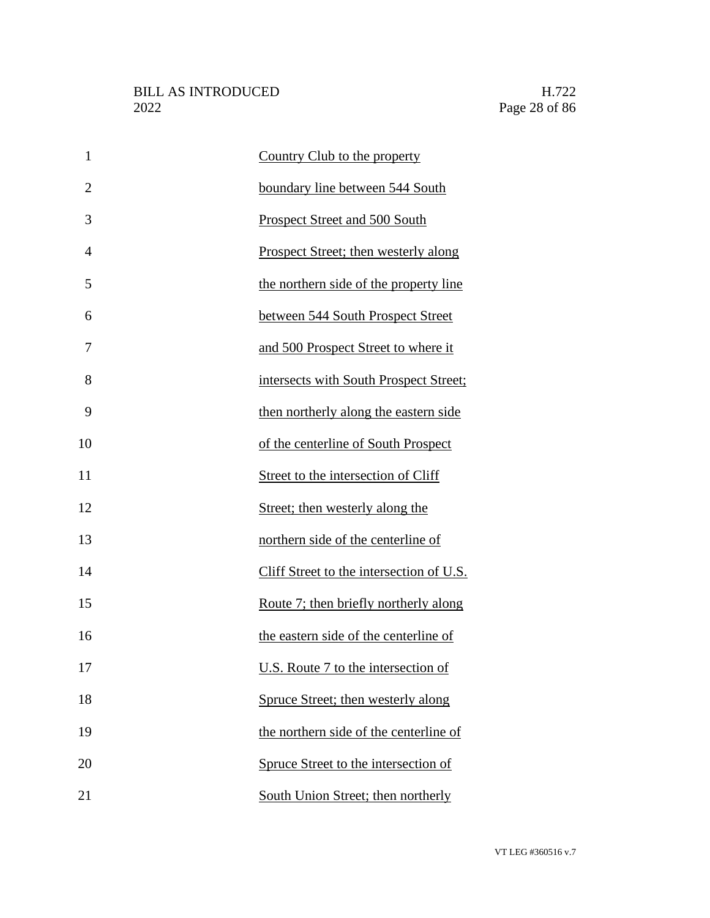| $\mathbf{1}$   | Country Club to the property             |
|----------------|------------------------------------------|
| $\overline{2}$ | boundary line between 544 South          |
| 3              | Prospect Street and 500 South            |
| $\overline{4}$ | Prospect Street; then westerly along     |
| 5              | the northern side of the property line   |
| 6              | between 544 South Prospect Street        |
| 7              | and 500 Prospect Street to where it      |
| 8              | intersects with South Prospect Street;   |
| 9              | then northerly along the eastern side    |
| 10             | of the centerline of South Prospect      |
| 11             | Street to the intersection of Cliff      |
| 12             | Street; then westerly along the          |
| 13             | northern side of the centerline of       |
| 14             | Cliff Street to the intersection of U.S. |
| 15             | Route 7; then briefly northerly along    |
| 16             | the eastern side of the centerline of    |
| 17             | U.S. Route 7 to the intersection of      |
| 18             | Spruce Street; then westerly along       |
| 19             | the northern side of the centerline of   |
| 20             | Spruce Street to the intersection of     |
| 21             | South Union Street; then northerly       |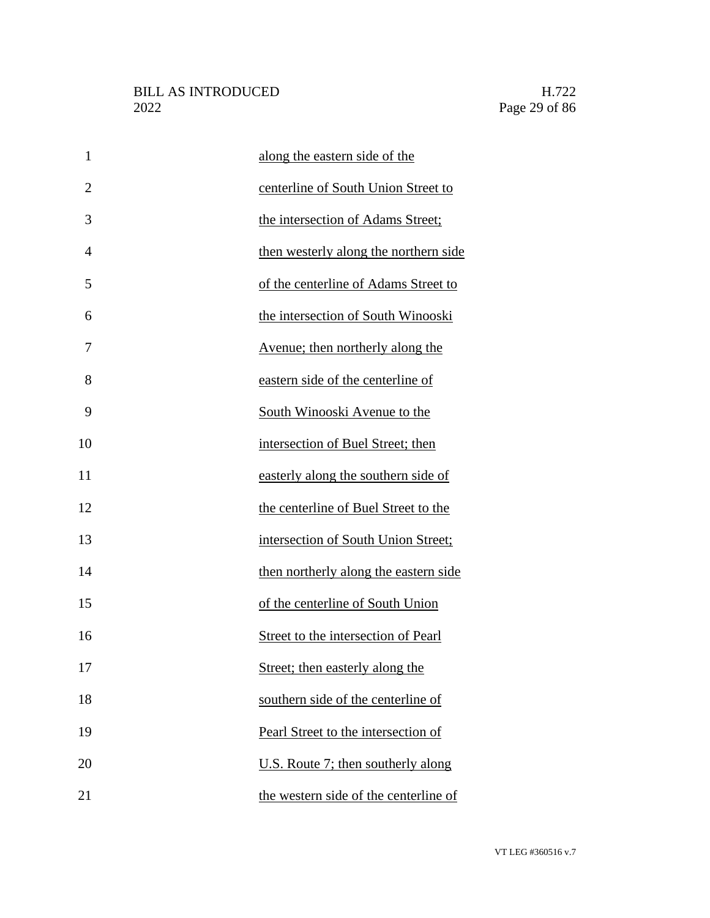| $\mathbf{1}$   | along the eastern side of the           |
|----------------|-----------------------------------------|
| $\overline{2}$ | centerline of South Union Street to     |
| 3              | the intersection of Adams Street;       |
| $\overline{4}$ | then westerly along the northern side   |
| 5              | of the centerline of Adams Street to    |
| 6              | the intersection of South Winooski      |
| 7              | <u>Avenue; then northerly along the</u> |
| 8              | eastern side of the centerline of       |
| 9              | South Winooski Avenue to the            |
| 10             | intersection of Buel Street; then       |
| 11             | easterly along the southern side of     |
| 12             | the centerline of Buel Street to the    |
| 13             | intersection of South Union Street;     |
| 14             | then northerly along the eastern side   |
| 15             | of the centerline of South Union        |
| 16             | Street to the intersection of Pearl     |
| 17             | Street; then easterly along the         |
| 18             | southern side of the centerline of      |
| 19             | Pearl Street to the intersection of     |
| 20             | U.S. Route 7; then southerly along      |
| 21             | the western side of the centerline of   |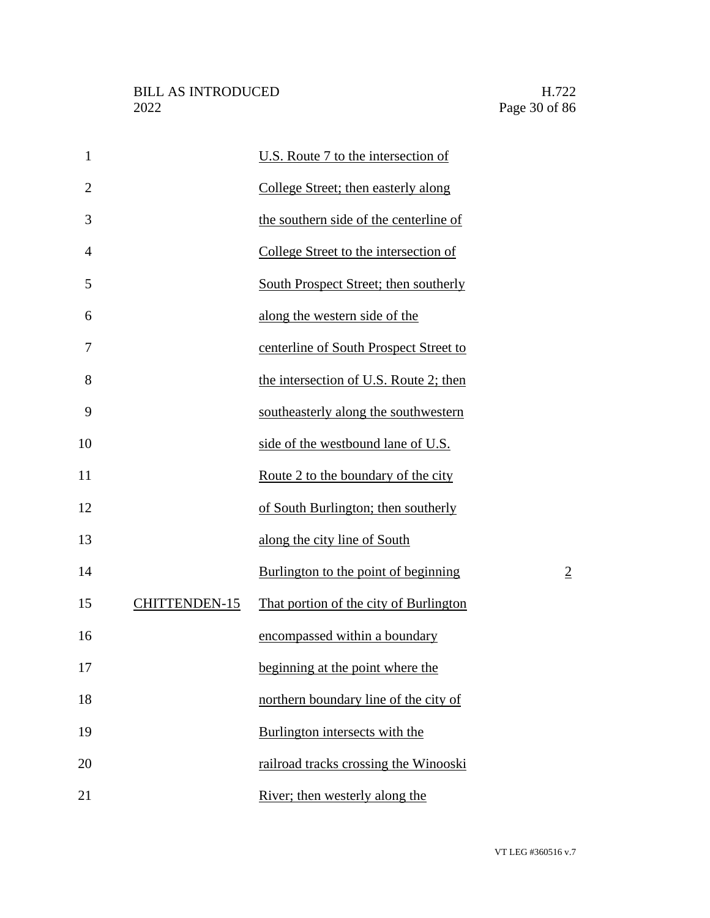| $\mathbf{1}$   |                      | U.S. Route 7 to the intersection of    |                |
|----------------|----------------------|----------------------------------------|----------------|
| $\overline{2}$ |                      | College Street; then easterly along    |                |
| 3              |                      | the southern side of the centerline of |                |
| $\overline{4}$ |                      | College Street to the intersection of  |                |
| 5              |                      | South Prospect Street; then southerly  |                |
| 6              |                      | along the western side of the          |                |
| 7              |                      | centerline of South Prospect Street to |                |
| 8              |                      | the intersection of U.S. Route 2; then |                |
| 9              |                      | southeasterly along the southwestern   |                |
| 10             |                      | side of the westbound lane of U.S.     |                |
| 11             |                      | Route 2 to the boundary of the city    |                |
| 12             |                      | of South Burlington; then southerly    |                |
| 13             |                      | along the city line of South           |                |
| 14             |                      | Burlington to the point of beginning   | $\overline{2}$ |
| 15             | <b>CHITTENDEN-15</b> | That portion of the city of Burlington |                |
| 16             |                      | encompassed within a boundary          |                |
| 17             |                      | beginning at the point where the       |                |
| 18             |                      | northern boundary line of the city of  |                |
| 19             |                      | Burlington intersects with the         |                |
| 20             |                      | railroad tracks crossing the Winooski  |                |
| 21             |                      | River; then westerly along the         |                |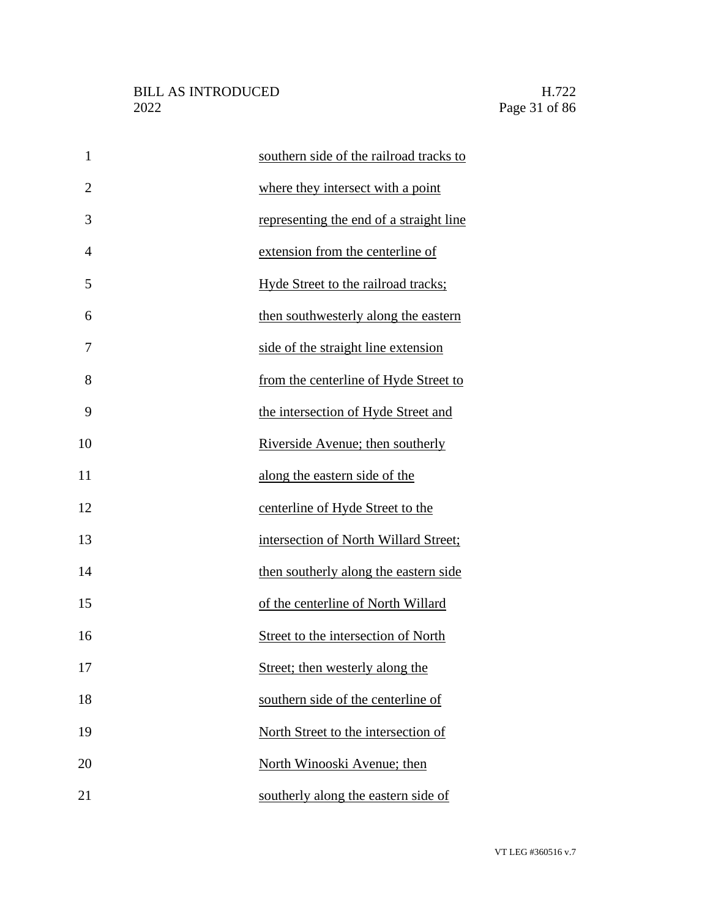| $\mathbf{1}$   | southern side of the railroad tracks to |
|----------------|-----------------------------------------|
| $\overline{2}$ | where they intersect with a point       |
| 3              | representing the end of a straight line |
| 4              | extension from the centerline of        |
| 5              | Hyde Street to the railroad tracks;     |
| 6              | then southwesterly along the eastern    |
| 7              | side of the straight line extension     |
| 8              | from the centerline of Hyde Street to   |
| 9              | the intersection of Hyde Street and     |
| 10             | Riverside Avenue; then southerly        |
| 11             | along the eastern side of the           |
| 12             | centerline of Hyde Street to the        |
| 13             | intersection of North Willard Street;   |
| 14             | then southerly along the eastern side   |
| 15             | of the centerline of North Willard      |
| 16             | Street to the intersection of North     |
| 17             | Street; then westerly along the         |
| 18             | southern side of the centerline of      |
| 19             | North Street to the intersection of     |
| 20             | North Winooski Avenue; then             |
| 21             | southerly along the eastern side of     |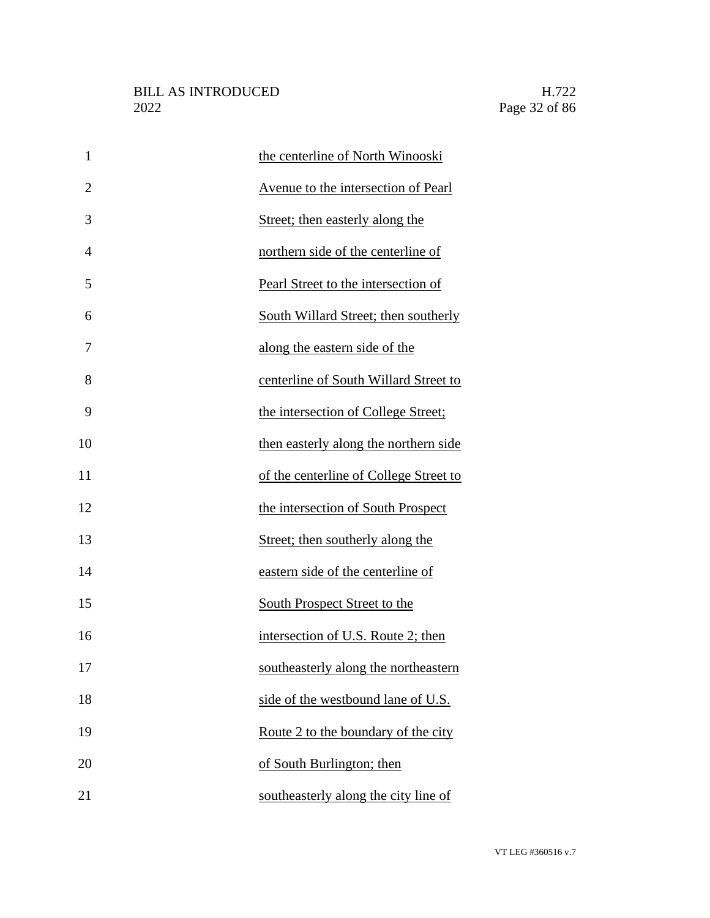| $\mathbf{1}$   | the centerline of North Winooski       |
|----------------|----------------------------------------|
| $\overline{2}$ | Avenue to the intersection of Pearl    |
| 3              | Street; then easterly along the        |
| 4              | northern side of the centerline of     |
| 5              | Pearl Street to the intersection of    |
| 6              | South Willard Street; then southerly   |
| 7              | along the eastern side of the          |
| 8              | centerline of South Willard Street to  |
| 9              | the intersection of College Street;    |
| 10             | then easterly along the northern side  |
| 11             | of the centerline of College Street to |
| 12             | the intersection of South Prospect     |
| 13             | Street; then southerly along the       |
| 14             | eastern side of the centerline of      |
| 15             | South Prospect Street to the           |
| 16             | intersection of U.S. Route 2; then     |
| 17             | southeasterly along the northeastern   |
| 18             | side of the westbound lane of U.S.     |
| 19             | Route 2 to the boundary of the city    |
| 20             | of South Burlington; then              |
| 21             | southeasterly along the city line of   |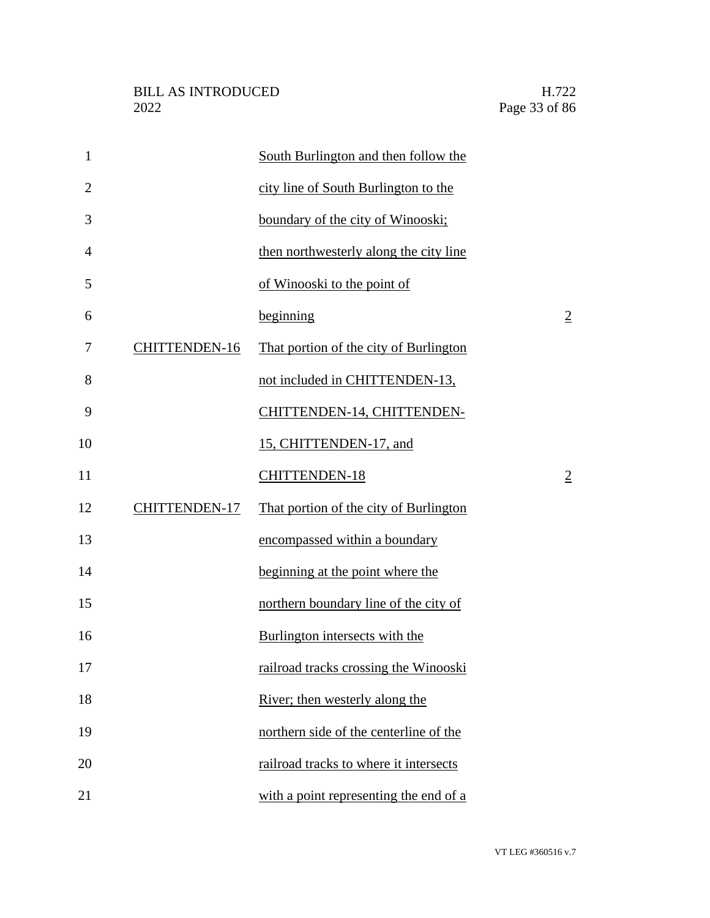| $\mathbf{1}$   |                      | South Burlington and then follow the   |                |
|----------------|----------------------|----------------------------------------|----------------|
| $\overline{2}$ |                      | city line of South Burlington to the   |                |
| 3              |                      | boundary of the city of Winooski;      |                |
| $\overline{4}$ |                      | then northwesterly along the city line |                |
| 5              |                      | of Winooski to the point of            |                |
| 6              |                      | beginning                              | $\overline{2}$ |
| 7              | <b>CHITTENDEN-16</b> | That portion of the city of Burlington |                |
| 8              |                      | not included in CHITTENDEN-13,         |                |
| 9              |                      | CHITTENDEN-14, CHITTENDEN-             |                |
| 10             |                      | 15, CHITTENDEN-17, and                 |                |
| 11             |                      | <b>CHITTENDEN-18</b>                   | $\overline{2}$ |
| 12             | <b>CHITTENDEN-17</b> | That portion of the city of Burlington |                |
| 13             |                      | encompassed within a boundary          |                |
| 14             |                      | beginning at the point where the       |                |
| 15             |                      | northern boundary line of the city of  |                |
| 16             |                      | Burlington intersects with the         |                |
| 17             |                      | railroad tracks crossing the Winooski  |                |
| 18             |                      | River; then westerly along the         |                |
| 19             |                      | northern side of the centerline of the |                |
| 20             |                      | railroad tracks to where it intersects |                |
| 21             |                      | with a point representing the end of a |                |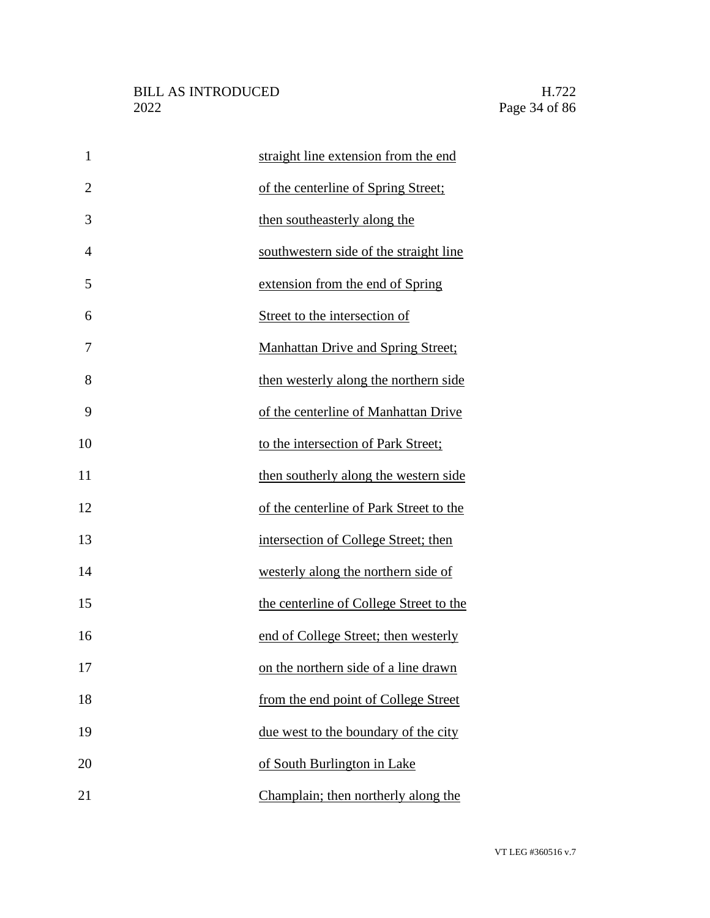| $\mathbf{1}$   | straight line extension from the end      |
|----------------|-------------------------------------------|
| $\overline{2}$ | of the centerline of Spring Street;       |
| 3              | then southeasterly along the              |
| $\overline{4}$ | southwestern side of the straight line    |
| 5              | extension from the end of Spring          |
| 6              | Street to the intersection of             |
| 7              | <b>Manhattan Drive and Spring Street;</b> |
| 8              | then westerly along the northern side     |
| 9              | of the centerline of Manhattan Drive      |
| 10             | to the intersection of Park Street;       |
| 11             | then southerly along the western side     |
| 12             | of the centerline of Park Street to the   |
| 13             | intersection of College Street; then      |
| 14             | westerly along the northern side of       |
| 15             | the centerline of College Street to the   |
| 16             | end of College Street; then westerly      |
| 17             | on the northern side of a line drawn      |
| 18             | from the end point of College Street      |
| 19             | due west to the boundary of the city      |
| 20             | of South Burlington in Lake               |
| 21             | Champlain; then northerly along the       |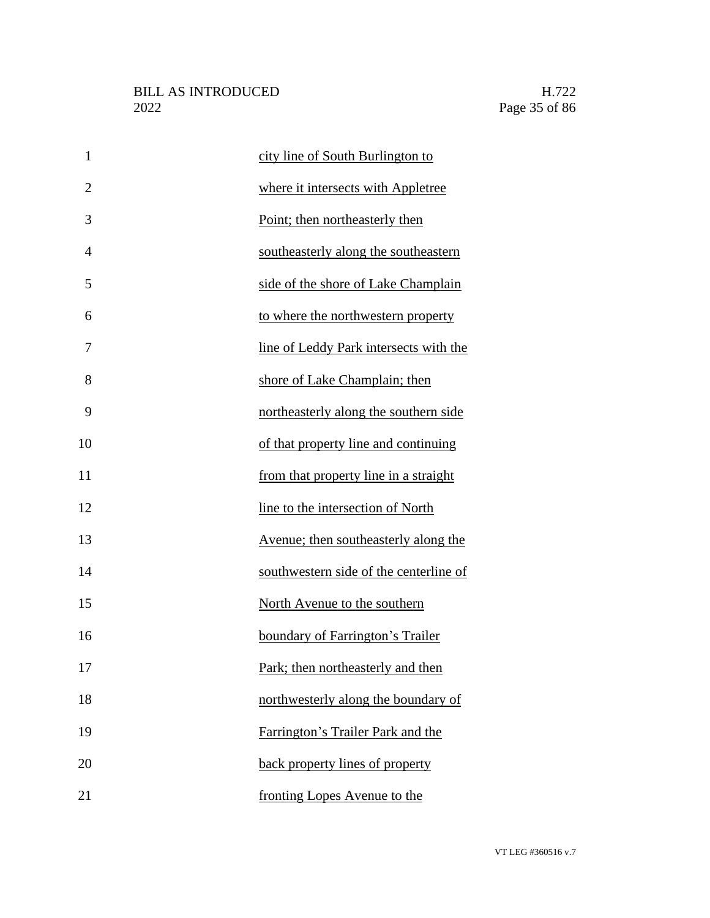| $\mathbf{1}$   | city line of South Burlington to       |
|----------------|----------------------------------------|
| $\overline{2}$ | where it intersects with Appletree     |
| 3              | Point; then northeasterly then         |
| $\overline{4}$ | southeasterly along the southeastern   |
| 5              | side of the shore of Lake Champlain    |
| 6              | to where the northwestern property     |
| 7              | line of Leddy Park intersects with the |
| 8              | shore of Lake Champlain; then          |
| 9              | northeasterly along the southern side  |
| 10             | of that property line and continuing   |
| 11             | from that property line in a straight  |
| 12             | line to the intersection of North      |
| 13             | Avenue; then southeasterly along the   |
| 14             | southwestern side of the centerline of |
| 15             | North Avenue to the southern           |
| 16             | boundary of Farrington's Trailer       |
| 17             | Park; then northeasterly and then      |
| 18             | northwesterly along the boundary of    |
| 19             | Farrington's Trailer Park and the      |
| 20             | back property lines of property        |
| 21             | fronting Lopes Avenue to the           |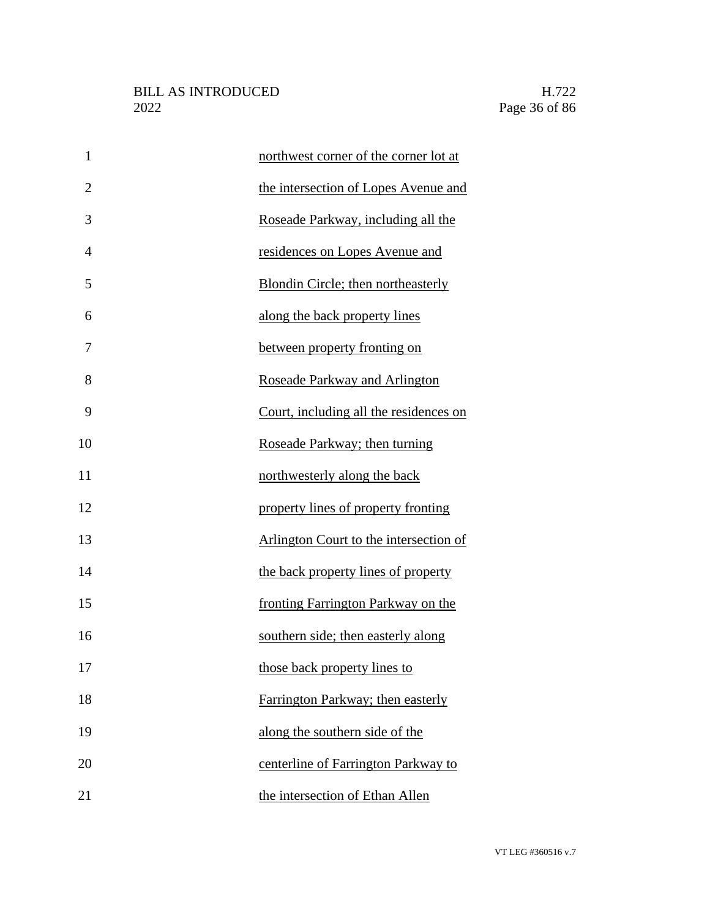| $\mathbf{1}$   | northwest corner of the corner lot at  |
|----------------|----------------------------------------|
| $\overline{2}$ | the intersection of Lopes Avenue and   |
| 3              | Roseade Parkway, including all the     |
| $\overline{4}$ | residences on Lopes Avenue and         |
| 5              | Blondin Circle; then northeasterly     |
| 6              | along the back property lines          |
| 7              | between property fronting on           |
| 8              | Roseade Parkway and Arlington          |
| 9              | Court, including all the residences on |
| 10             | Roseade Parkway; then turning          |
| 11             | northwesterly along the back           |
| 12             | property lines of property fronting    |
| 13             | Arlington Court to the intersection of |
| 14             | the back property lines of property    |
| 15             | fronting Farrington Parkway on the     |
| 16             | southern side; then easterly along     |
| 17             | those back property lines to           |
| 18             | Farrington Parkway; then easterly      |
| 19             | along the southern side of the         |
| 20             | centerline of Farrington Parkway to    |
| 21             | the intersection of Ethan Allen        |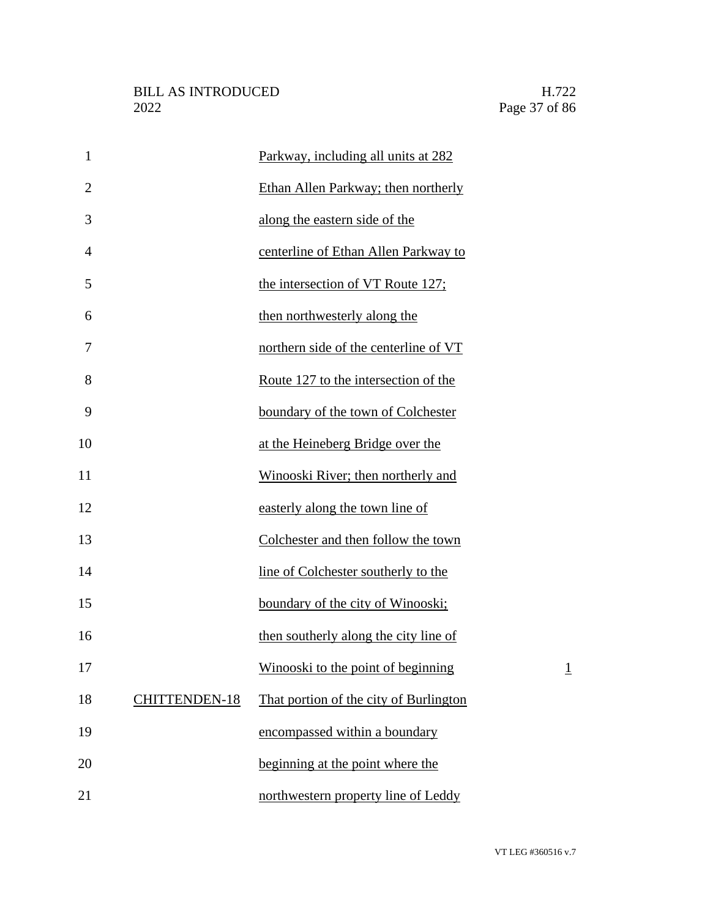| $\mathbf{1}$   |                      | Parkway, including all units at 282    |                 |
|----------------|----------------------|----------------------------------------|-----------------|
| $\overline{2}$ |                      | Ethan Allen Parkway; then northerly    |                 |
| 3              |                      | along the eastern side of the          |                 |
| $\overline{4}$ |                      | centerline of Ethan Allen Parkway to   |                 |
| 5              |                      | the intersection of VT Route 127;      |                 |
| 6              |                      | then northwesterly along the           |                 |
| 7              |                      | northern side of the centerline of VT  |                 |
| 8              |                      | Route 127 to the intersection of the   |                 |
| 9              |                      | boundary of the town of Colchester     |                 |
| 10             |                      | at the Heineberg Bridge over the       |                 |
| 11             |                      | Winooski River; then northerly and     |                 |
| 12             |                      | easterly along the town line of        |                 |
| 13             |                      | Colchester and then follow the town    |                 |
| 14             |                      | line of Colchester southerly to the    |                 |
| 15             |                      | boundary of the city of Winooski;      |                 |
| 16             |                      | then southerly along the city line of  |                 |
| 17             |                      | Winooski to the point of beginning     | $\underline{1}$ |
| 18             | <b>CHITTENDEN-18</b> | That portion of the city of Burlington |                 |
| 19             |                      | encompassed within a boundary          |                 |
| 20             |                      | beginning at the point where the       |                 |
| 21             |                      | northwestern property line of Leddy    |                 |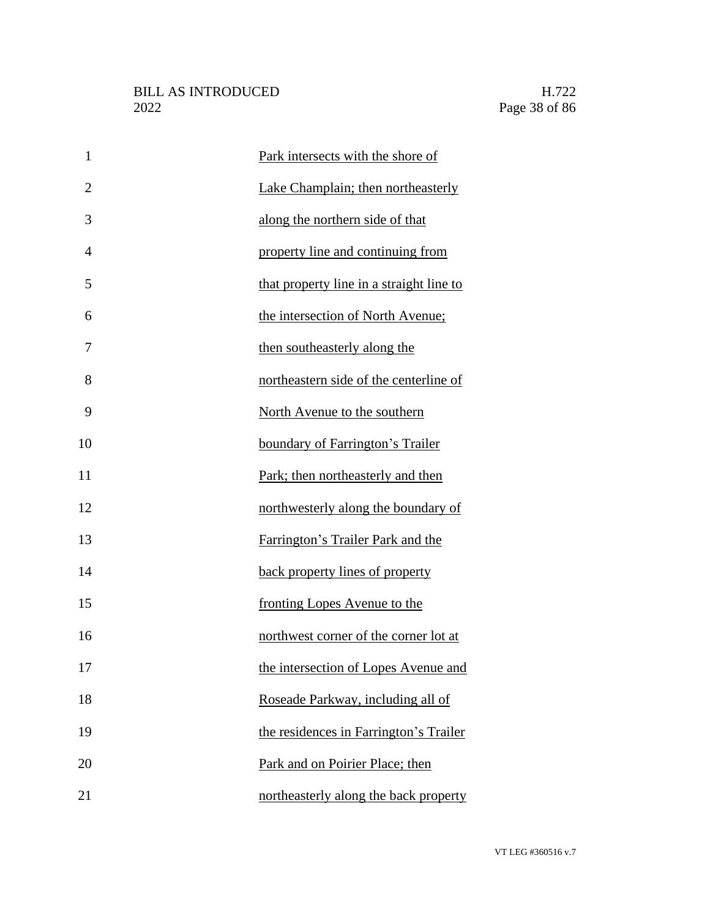| $\mathbf{1}$   | Park intersects with the shore of        |
|----------------|------------------------------------------|
| $\overline{2}$ | Lake Champlain; then northeasterly       |
| 3              | along the northern side of that          |
| $\overline{4}$ | property line and continuing from        |
| 5              | that property line in a straight line to |
| 6              | the intersection of North Avenue;        |
| 7              | then southeasterly along the             |
| 8              | northeastern side of the centerline of   |
| 9              | North Avenue to the southern             |
| 10             | boundary of Farrington's Trailer         |
| 11             | Park; then northeasterly and then        |
| 12             | northwesterly along the boundary of      |
| 13             | Farrington's Trailer Park and the        |
| 14             | back property lines of property          |
| 15             | fronting Lopes Avenue to the             |
| 16             | northwest corner of the corner lot at    |
| 17             | the intersection of Lopes Avenue and     |
| 18             | Roseade Parkway, including all of        |
| 19             | the residences in Farrington's Trailer   |
| 20             | Park and on Poirier Place; then          |
| 21             | northeasterly along the back property    |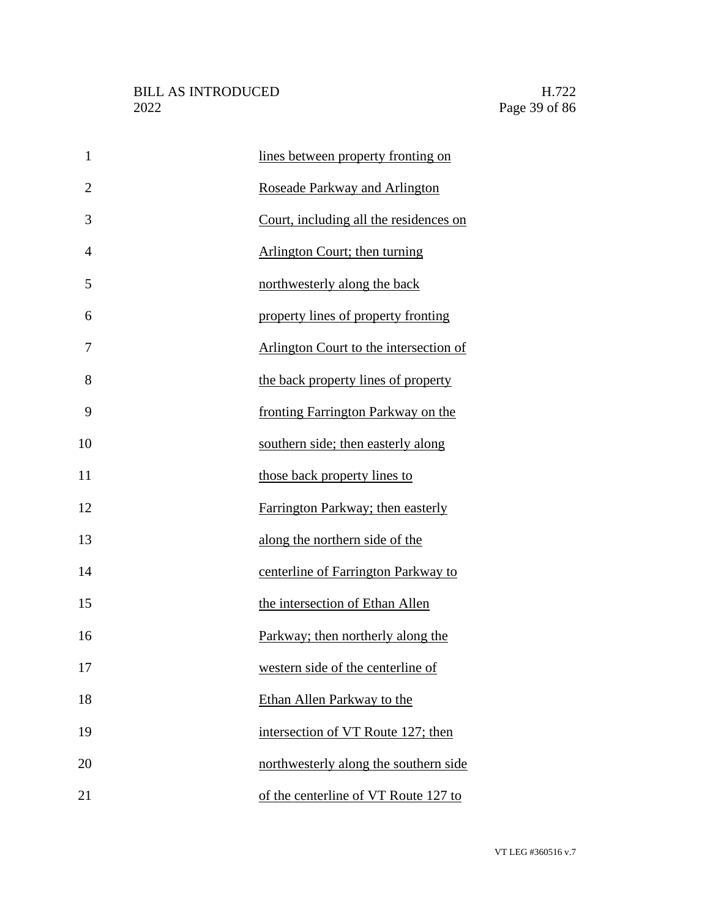| $\mathbf{1}$   | lines between property fronting on     |
|----------------|----------------------------------------|
| $\overline{2}$ | Roseade Parkway and Arlington          |
| 3              | Court, including all the residences on |
| $\overline{4}$ | <b>Arlington Court; then turning</b>   |
| 5              | northwesterly along the back           |
| 6              | property lines of property fronting    |
| 7              | Arlington Court to the intersection of |
| 8              | the back property lines of property    |
| 9              | fronting Farrington Parkway on the     |
| 10             | southern side; then easterly along     |
| 11             | those back property lines to           |
| 12             | Farrington Parkway; then easterly      |
| 13             | along the northern side of the         |
| 14             | centerline of Farrington Parkway to    |
| 15             | the intersection of Ethan Allen        |
| 16             | Parkway; then northerly along the      |
| 17             | western side of the centerline of      |
| 18             | Ethan Allen Parkway to the             |
| 19             | intersection of VT Route 127; then     |
| 20             | northwesterly along the southern side  |
| 21             | of the centerline of VT Route 127 to   |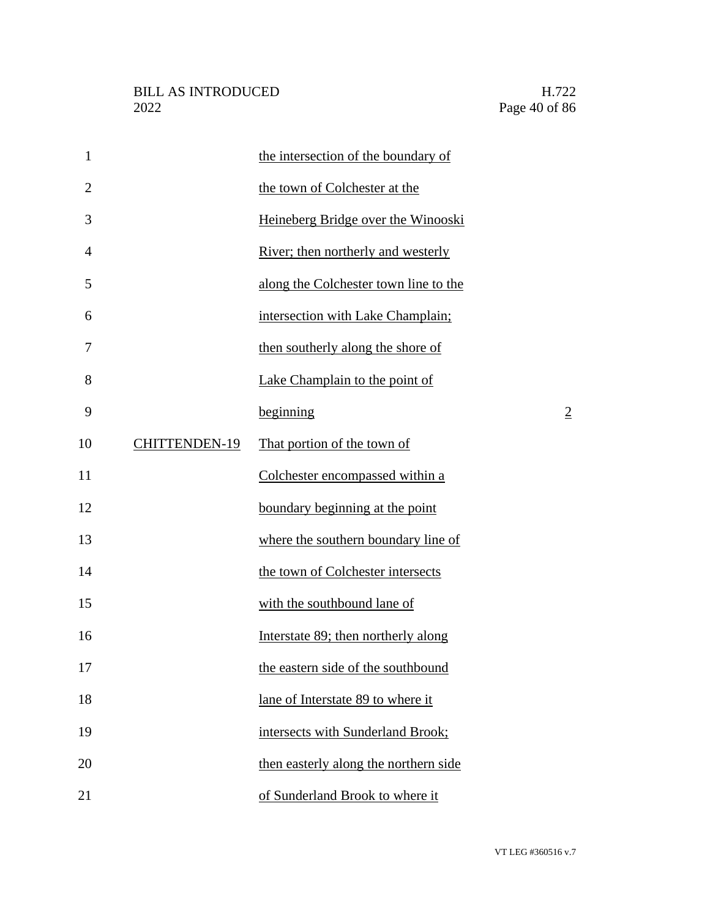| $\mathbf{1}$   |                      | the intersection of the boundary of   |                |
|----------------|----------------------|---------------------------------------|----------------|
| $\overline{2}$ |                      | the town of Colchester at the         |                |
| 3              |                      | Heineberg Bridge over the Winooski    |                |
| $\overline{4}$ |                      | River; then northerly and westerly    |                |
| 5              |                      | along the Colchester town line to the |                |
| 6              |                      | intersection with Lake Champlain;     |                |
| 7              |                      | then southerly along the shore of     |                |
| 8              |                      | Lake Champlain to the point of        |                |
| 9              |                      | beginning                             | $\overline{2}$ |
| 10             | <b>CHITTENDEN-19</b> | That portion of the town of           |                |
| 11             |                      | Colchester encompassed within a       |                |
| 12             |                      | boundary beginning at the point       |                |
| 13             |                      | where the southern boundary line of   |                |
| 14             |                      | the town of Colchester intersects     |                |
| 15             |                      | with the southbound lane of           |                |
| 16             |                      | Interstate 89; then northerly along   |                |
| 17             |                      | the eastern side of the southbound    |                |
| 18             |                      | lane of Interstate 89 to where it     |                |
| 19             |                      | intersects with Sunderland Brook;     |                |
| 20             |                      | then easterly along the northern side |                |
| 21             |                      | of Sunderland Brook to where it       |                |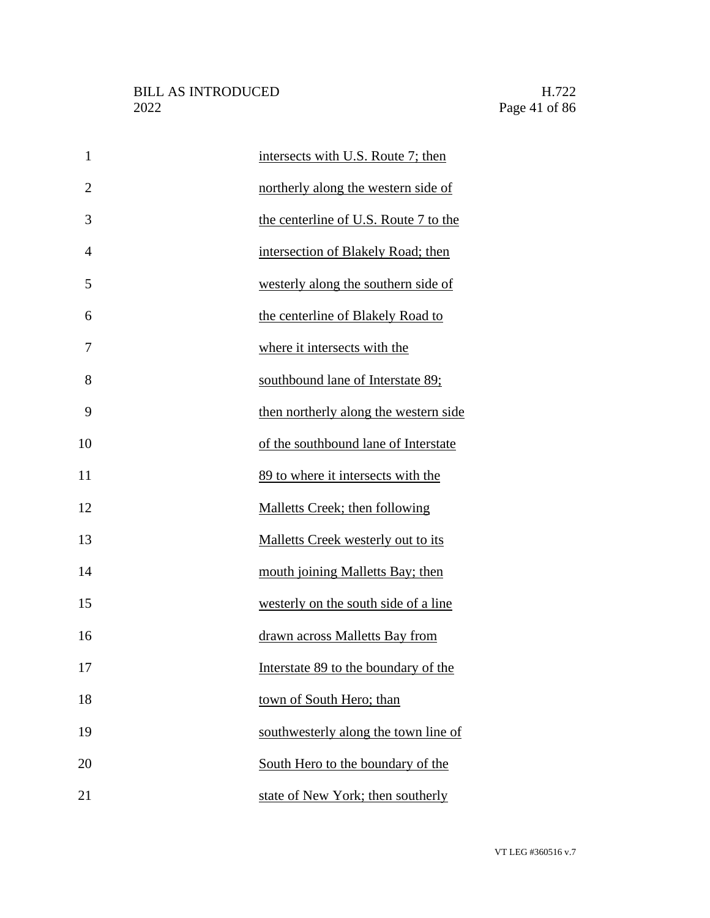| $\mathbf{1}$   | intersects with U.S. Route 7; then     |
|----------------|----------------------------------------|
| $\overline{2}$ | northerly along the western side of    |
| 3              | the centerline of U.S. Route 7 to the  |
| 4              | intersection of Blakely Road; then     |
| 5              | westerly along the southern side of    |
| 6              | the centerline of Blakely Road to      |
| 7              | where it intersects with the           |
| 8              | southbound lane of Interstate 89;      |
| 9              | then northerly along the western side  |
| 10             | of the southbound lane of Interstate   |
| 11             | 89 to where it intersects with the     |
| 12             | <b>Malletts Creek</b> ; then following |
| 13             | Malletts Creek westerly out to its     |
| 14             | mouth joining Malletts Bay; then       |
| 15             | westerly on the south side of a line   |
| 16             | drawn across Malletts Bay from         |
| 17             | Interstate 89 to the boundary of the   |
| 18             | town of South Hero; than               |
| 19             | southwesterly along the town line of   |
| 20             | South Hero to the boundary of the      |
| 21             | state of New York; then southerly      |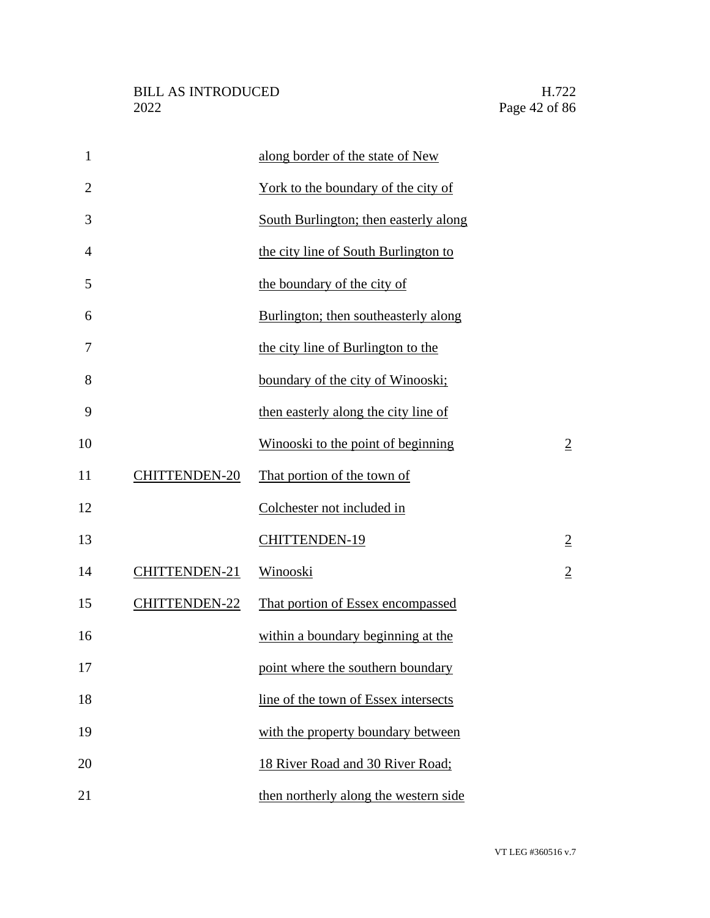| $\mathbf{1}$   |                      | along border of the state of New      |                |
|----------------|----------------------|---------------------------------------|----------------|
| $\overline{2}$ |                      | York to the boundary of the city of   |                |
| 3              |                      | South Burlington; then easterly along |                |
| 4              |                      | the city line of South Burlington to  |                |
| 5              |                      | the boundary of the city of           |                |
| 6              |                      | Burlington; then southeasterly along  |                |
| 7              |                      | the city line of Burlington to the    |                |
| 8              |                      | boundary of the city of Winooski;     |                |
| 9              |                      | then easterly along the city line of  |                |
| 10             |                      | Winooski to the point of beginning    | $\overline{2}$ |
| 11             | <b>CHITTENDEN-20</b> | That portion of the town of           |                |
| 12             |                      | Colchester not included in            |                |
| 13             |                      | CHITTENDEN-19                         | $\overline{2}$ |
| 14             | CHITTENDEN-21        | Winooski                              | $\overline{2}$ |
| 15             | CHITTENDEN-22        | That portion of Essex encompassed     |                |
| 16             |                      | within a boundary beginning at the    |                |
| 17             |                      | point where the southern boundary     |                |
| 18             |                      | line of the town of Essex intersects  |                |
| 19             |                      | with the property boundary between    |                |
| 20             |                      | 18 River Road and 30 River Road;      |                |
| 21             |                      | then northerly along the western side |                |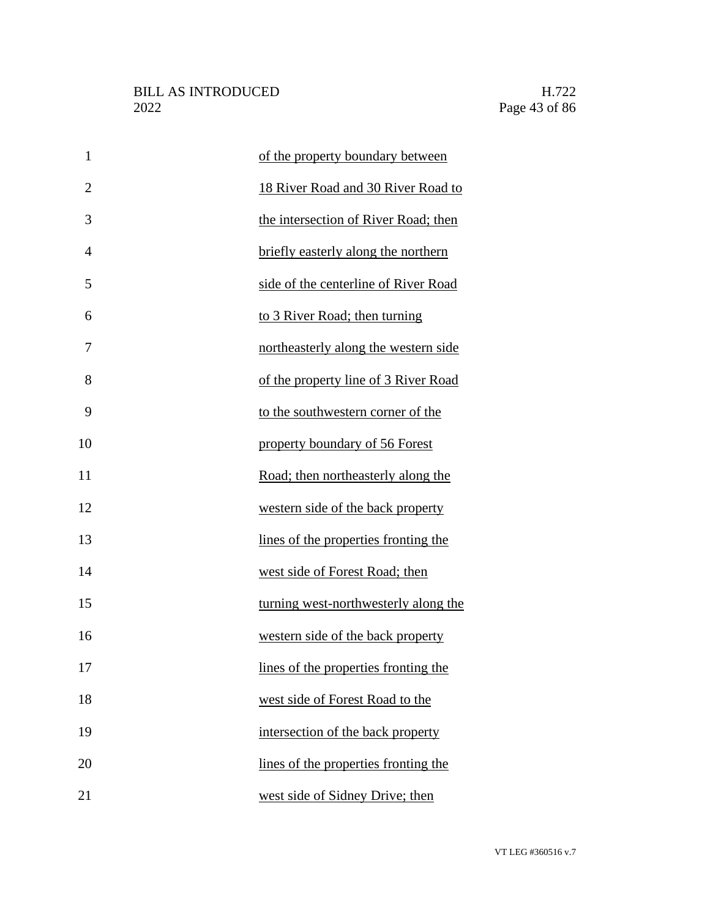| $\mathbf{1}$   | of the property boundary between     |
|----------------|--------------------------------------|
| $\overline{2}$ | 18 River Road and 30 River Road to   |
| 3              | the intersection of River Road; then |
| $\overline{4}$ | briefly easterly along the northern  |
| 5              | side of the centerline of River Road |
| 6              | to 3 River Road; then turning        |
| 7              | northeasterly along the western side |
| 8              | of the property line of 3 River Road |
| 9              | to the southwestern corner of the    |
| 10             | property boundary of 56 Forest       |
| 11             | Road; then northeasterly along the   |
| 12             | western side of the back property    |
| 13             | lines of the properties fronting the |
| 14             | west side of Forest Road; then       |
| 15             | turning west-northwesterly along the |
| 16             | western side of the back property    |
| 17             | lines of the properties fronting the |
| 18             | west side of Forest Road to the      |
| 19             | intersection of the back property    |
| 20             | lines of the properties fronting the |
| 21             | west side of Sidney Drive; then      |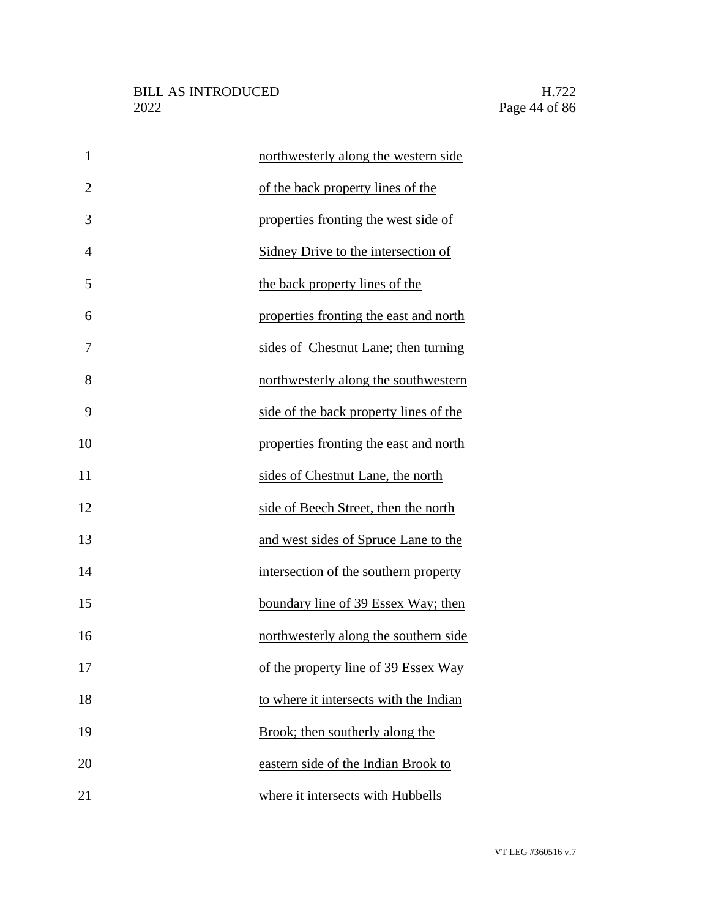| $\mathbf{1}$   | northwesterly along the western side   |
|----------------|----------------------------------------|
| $\overline{2}$ | of the back property lines of the      |
| 3              | properties fronting the west side of   |
| $\overline{4}$ | Sidney Drive to the intersection of    |
| 5              | the back property lines of the         |
| 6              | properties fronting the east and north |
| 7              | sides of Chestnut Lane; then turning   |
| 8              | northwesterly along the southwestern   |
| 9              | side of the back property lines of the |
| 10             | properties fronting the east and north |
| 11             | sides of Chestnut Lane, the north      |
| 12             | side of Beech Street, then the north   |
| 13             | and west sides of Spruce Lane to the   |
| 14             | intersection of the southern property  |
| 15             | boundary line of 39 Essex Way; then    |
| 16             | northwesterly along the southern side  |
| 17             | of the property line of 39 Essex Way   |
| 18             | to where it intersects with the Indian |
| 19             | Brook; then southerly along the        |
| 20             | eastern side of the Indian Brook to    |
| 21             | where it intersects with Hubbells      |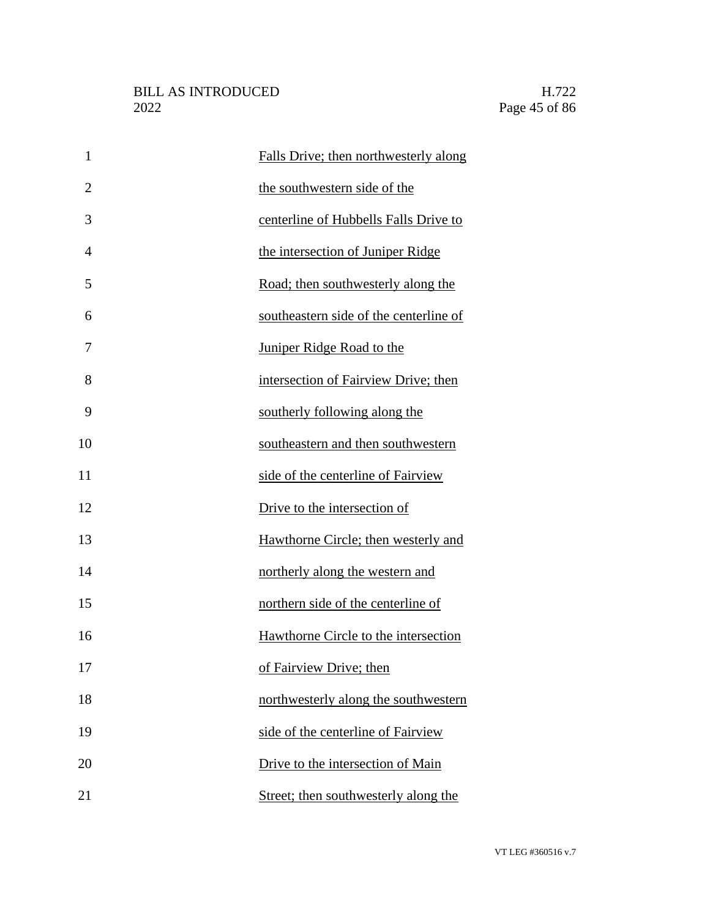| $\mathbf{1}$   | Falls Drive; then northwesterly along  |
|----------------|----------------------------------------|
| $\overline{2}$ | the southwestern side of the           |
| 3              | centerline of Hubbells Falls Drive to  |
| 4              | the intersection of Juniper Ridge      |
| 5              | Road; then southwesterly along the     |
| 6              | southeastern side of the centerline of |
| 7              | Juniper Ridge Road to the              |
| 8              | intersection of Fairview Drive; then   |
| 9              | southerly following along the          |
| 10             | southeastern and then southwestern     |
| 11             | side of the centerline of Fairview     |
| 12             | Drive to the intersection of           |
| 13             | Hawthorne Circle; then westerly and    |
| 14             | northerly along the western and        |
| 15             | northern side of the centerline of     |
| 16             | Hawthorne Circle to the intersection   |
| 17             | of Fairview Drive; then                |
| 18             | northwesterly along the southwestern   |
| 19             | side of the centerline of Fairview     |
| 20             | Drive to the intersection of Main      |
| 21             | Street; then southwesterly along the   |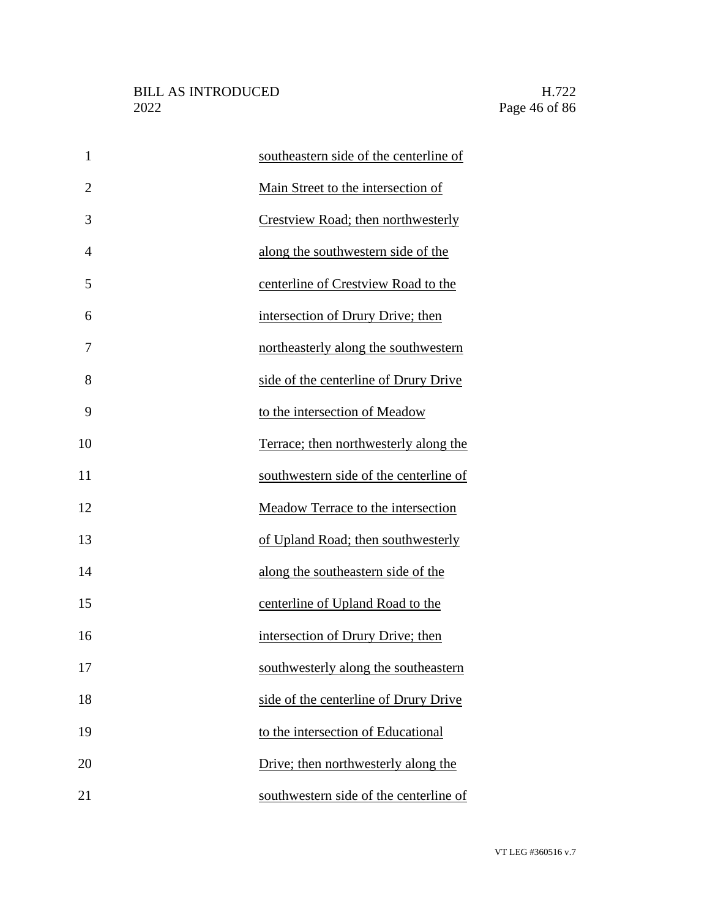| $\mathbf{1}$   | southeastern side of the centerline of |
|----------------|----------------------------------------|
| $\overline{2}$ | Main Street to the intersection of     |
| 3              | Crestview Road; then northwesterly     |
| $\overline{4}$ | along the southwestern side of the     |
| 5              | centerline of Crestview Road to the    |
| 6              | intersection of Drury Drive; then      |
| 7              | northeasterly along the southwestern   |
| 8              | side of the centerline of Drury Drive  |
| 9              | to the intersection of Meadow          |
| 10             | Terrace; then northwesterly along the  |
| 11             | southwestern side of the centerline of |
| 12             | Meadow Terrace to the intersection     |
| 13             | of Upland Road; then southwesterly     |
| 14             | along the southeastern side of the     |
| 15             | centerline of Upland Road to the       |
| 16             | intersection of Drury Drive; then      |
| 17             | southwesterly along the southeastern   |
| 18             | side of the centerline of Drury Drive  |
| 19             | to the intersection of Educational     |
| 20             | Drive; then northwesterly along the    |
| 21             | southwestern side of the centerline of |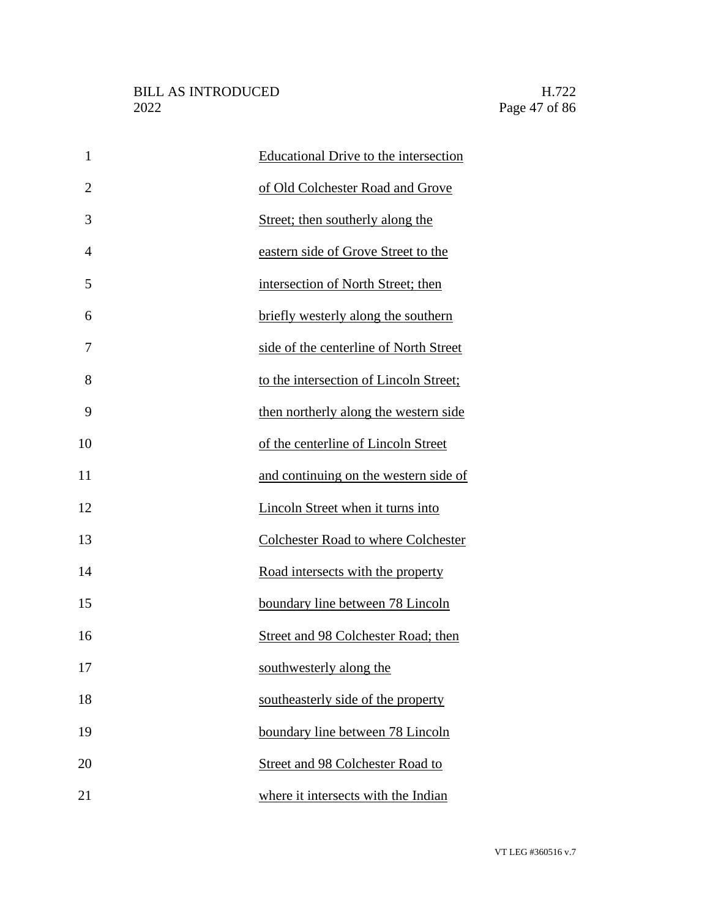| $\mathbf{1}$   | <b>Educational Drive to the intersection</b> |
|----------------|----------------------------------------------|
| $\overline{2}$ | of Old Colchester Road and Grove             |
| 3              | Street; then southerly along the             |
| $\overline{4}$ | eastern side of Grove Street to the          |
| 5              | intersection of North Street; then           |
| 6              | briefly westerly along the southern          |
| 7              | side of the centerline of North Street       |
| 8              | to the intersection of Lincoln Street;       |
| 9              | then northerly along the western side        |
| 10             | of the centerline of Lincoln Street          |
| 11             | and continuing on the western side of        |
| 12             | Lincoln Street when it turns into            |
| 13             | Colchester Road to where Colchester          |
| 14             | Road intersects with the property            |
| 15             | boundary line between 78 Lincoln             |
| 16             | Street and 98 Colchester Road; then          |
| 17             | southwesterly along the                      |
| 18             | southeasterly side of the property           |
| 19             | boundary line between 78 Lincoln             |
| 20             | <b>Street and 98 Colchester Road to</b>      |
| 21             | where it intersects with the Indian          |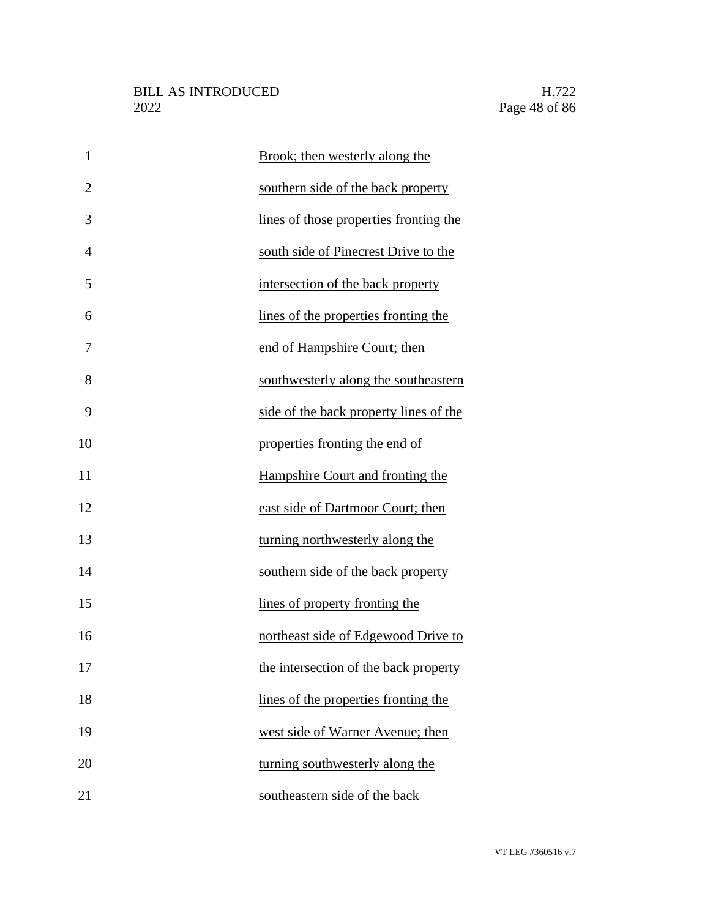| $\mathbf{1}$   | Brook; then westerly along the         |
|----------------|----------------------------------------|
| $\overline{2}$ | southern side of the back property     |
| 3              | lines of those properties fronting the |
| $\overline{4}$ | south side of Pinecrest Drive to the   |
| 5              | intersection of the back property      |
| 6              | lines of the properties fronting the   |
| 7              | end of Hampshire Court; then           |
| 8              | southwesterly along the southeastern   |
| 9              | side of the back property lines of the |
| 10             | properties fronting the end of         |
| 11             | Hampshire Court and fronting the       |
| 12             | east side of Dartmoor Court; then      |
| 13             | turning northwesterly along the        |
| 14             | southern side of the back property     |
| 15             | lines of property fronting the         |
| 16             | northeast side of Edgewood Drive to    |
| 17             | the intersection of the back property  |
| 18             | lines of the properties fronting the   |
| 19             | west side of Warner Avenue; then       |
| 20             | turning southwesterly along the        |
| 21             | southeastern side of the back          |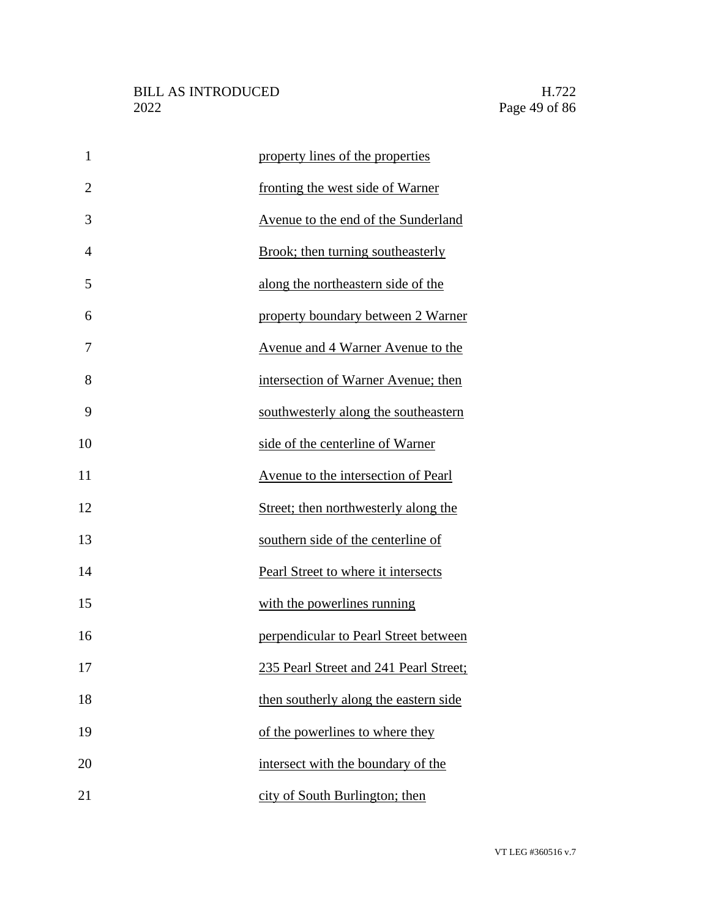| $\mathbf{1}$   | property lines of the properties         |
|----------------|------------------------------------------|
| $\overline{2}$ | fronting the west side of Warner         |
| 3              | Avenue to the end of the Sunderland      |
| $\overline{4}$ | Brook; then turning southeasterly        |
| 5              | along the northeastern side of the       |
| 6              | property boundary between 2 Warner       |
| 7              | <u>Avenue and 4 Warner Avenue to the</u> |
| 8              | intersection of Warner Avenue; then      |
| 9              | southwesterly along the southeastern     |
| 10             | side of the centerline of Warner         |
| 11             | Avenue to the intersection of Pearl      |
| 12             | Street; then northwesterly along the     |
| 13             | southern side of the centerline of       |
| 14             | Pearl Street to where it intersects      |
| 15             | with the powerlines running              |
| 16             | perpendicular to Pearl Street between    |
| 17             | 235 Pearl Street and 241 Pearl Street;   |
| 18             | then southerly along the eastern side    |
| 19             | of the powerlines to where they          |
| 20             | intersect with the boundary of the       |
| 21             | city of South Burlington; then           |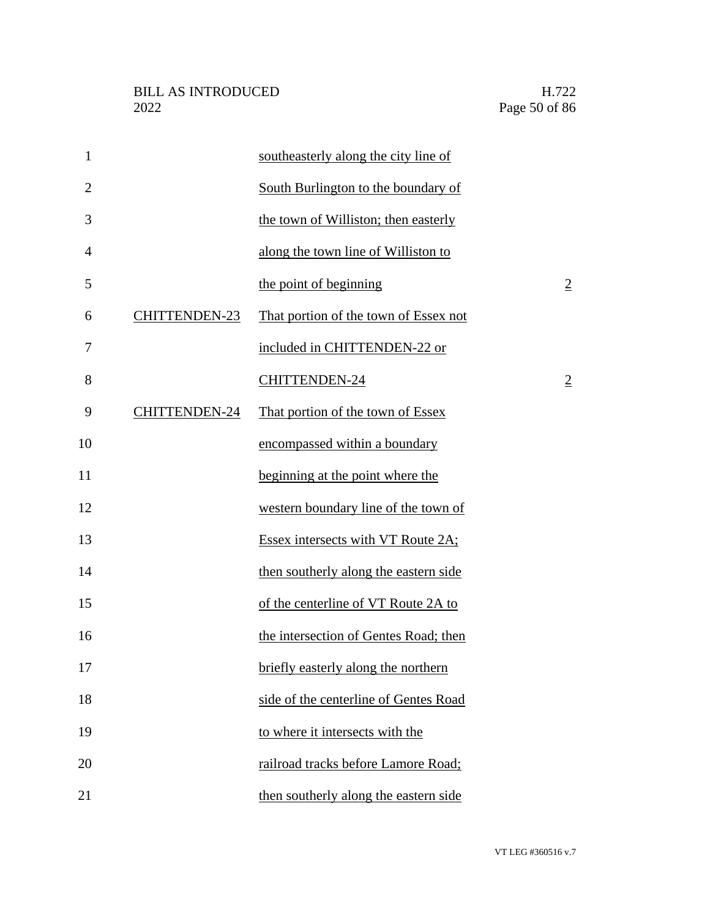| $\mathbf{1}$   |                      | southeasterly along the city line of  |                |
|----------------|----------------------|---------------------------------------|----------------|
| $\overline{2}$ |                      | South Burlington to the boundary of   |                |
| 3              |                      | the town of Williston; then easterly  |                |
| $\overline{4}$ |                      | along the town line of Williston to   |                |
| 5              |                      | the point of beginning                | $\overline{2}$ |
| 6              | <b>CHITTENDEN-23</b> | That portion of the town of Essex not |                |
| 7              |                      | included in CHITTENDEN-22 or          |                |
| 8              |                      | <b>CHITTENDEN-24</b>                  | $\overline{2}$ |
| 9              | <b>CHITTENDEN-24</b> | That portion of the town of Essex     |                |
| 10             |                      | encompassed within a boundary         |                |
| 11             |                      | beginning at the point where the      |                |
| 12             |                      | western boundary line of the town of  |                |
| 13             |                      | Essex intersects with VT Route 2A;    |                |
| 14             |                      | then southerly along the eastern side |                |
| 15             |                      | of the centerline of VT Route 2A to   |                |
| 16             |                      | the intersection of Gentes Road; then |                |
| 17             |                      | briefly easterly along the northern   |                |
| 18             |                      | side of the centerline of Gentes Road |                |
| 19             |                      | to where it intersects with the       |                |
| 20             |                      | railroad tracks before Lamore Road;   |                |
| 21             |                      | then southerly along the eastern side |                |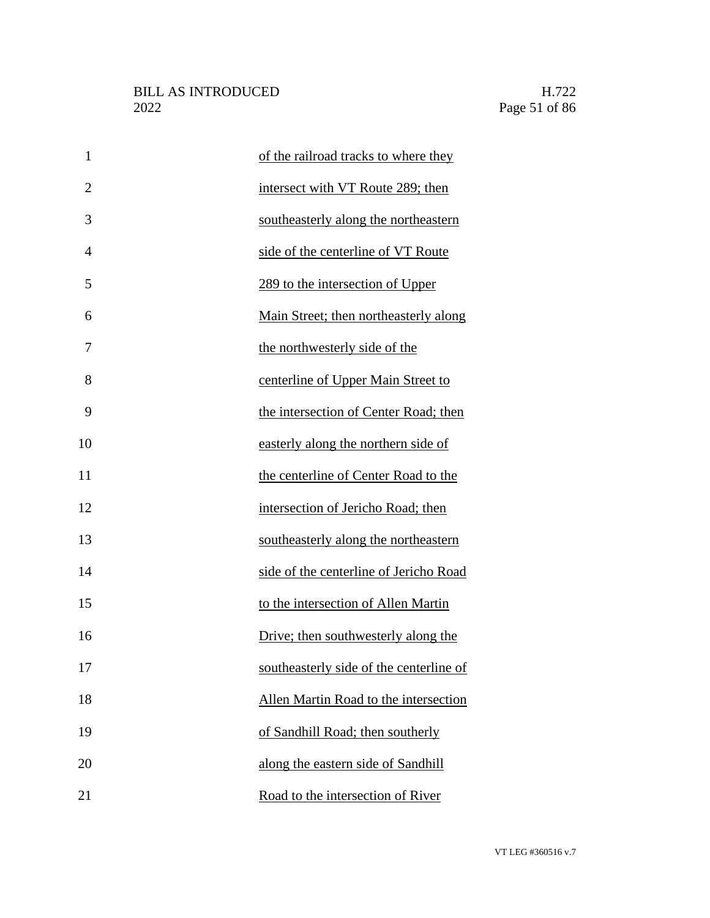| $\mathbf{1}$   | of the railroad tracks to where they    |
|----------------|-----------------------------------------|
| $\overline{2}$ | intersect with VT Route 289; then       |
| 3              | southeasterly along the northeastern    |
| 4              | side of the centerline of VT Route      |
| 5              | 289 to the intersection of Upper        |
| 6              | Main Street; then northeasterly along   |
| 7              | the northwesterly side of the           |
| 8              | centerline of Upper Main Street to      |
| 9              | the intersection of Center Road; then   |
| 10             | easterly along the northern side of     |
| 11             | the centerline of Center Road to the    |
| 12             | intersection of Jericho Road; then      |
| 13             | southeasterly along the northeastern    |
| 14             | side of the centerline of Jericho Road  |
| 15             | to the intersection of Allen Martin     |
| 16             | Drive; then southwesterly along the     |
| 17             | southeasterly side of the centerline of |
| 18             | Allen Martin Road to the intersection   |
| 19             | of Sandhill Road; then southerly        |
| 20             | along the eastern side of Sandhill      |
| 21             | Road to the intersection of River       |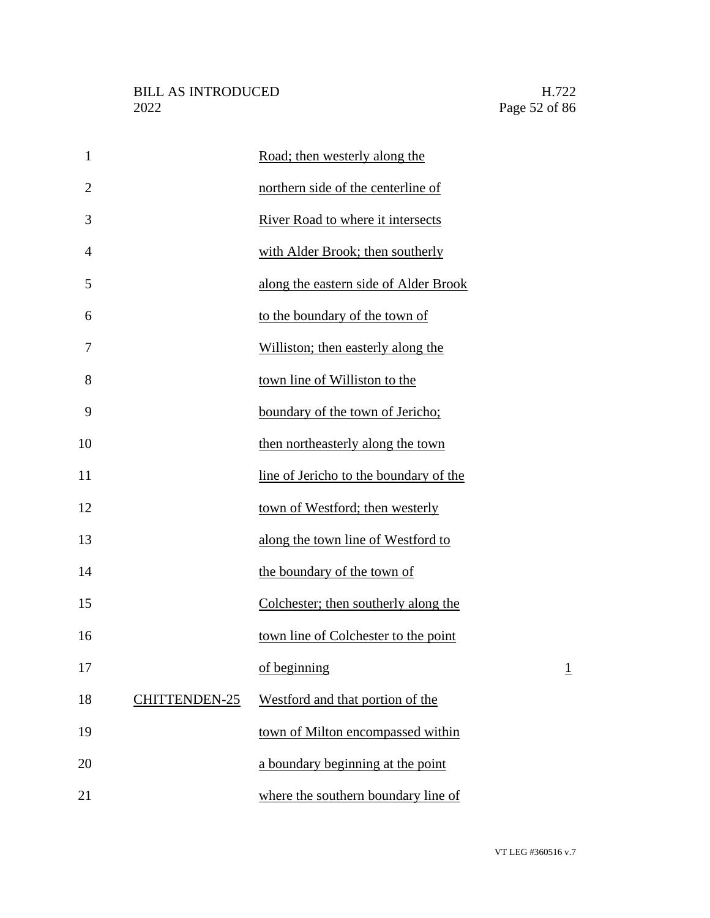| $\mathbf{1}$   |                      | Road; then westerly along the          |                |
|----------------|----------------------|----------------------------------------|----------------|
| $\overline{2}$ |                      | northern side of the centerline of     |                |
| 3              |                      | River Road to where it intersects      |                |
| 4              |                      | with Alder Brook; then southerly       |                |
| 5              |                      | along the eastern side of Alder Brook  |                |
| 6              |                      | to the boundary of the town of         |                |
| 7              |                      | Williston; then easterly along the     |                |
| 8              |                      | town line of Williston to the          |                |
| 9              |                      | boundary of the town of Jericho;       |                |
| 10             |                      | then northeasterly along the town      |                |
| 11             |                      | line of Jericho to the boundary of the |                |
| 12             |                      | town of Westford; then westerly        |                |
| 13             |                      | along the town line of Westford to     |                |
| 14             |                      | the boundary of the town of            |                |
| 15             |                      | Colchester; then southerly along the   |                |
| 16             |                      | town line of Colchester to the point   |                |
| 17             |                      | of beginning                           | $\overline{1}$ |
| 18             | <b>CHITTENDEN-25</b> | Westford and that portion of the       |                |
| 19             |                      | town of Milton encompassed within      |                |
| 20             |                      | a boundary beginning at the point      |                |
| 21             |                      | where the southern boundary line of    |                |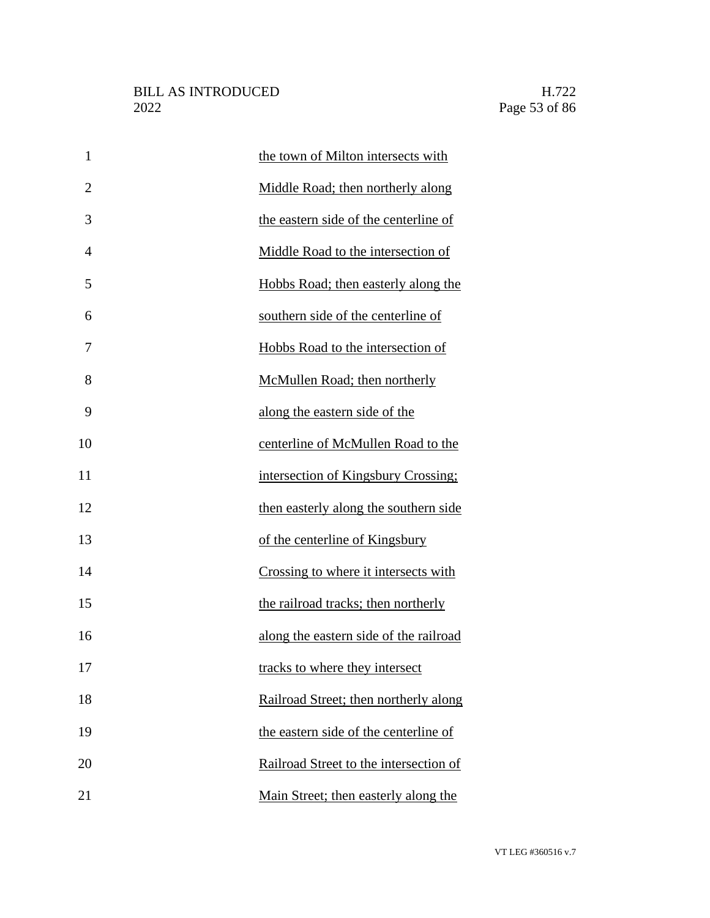| $\mathbf{1}$   | the town of Milton intersects with     |
|----------------|----------------------------------------|
| $\overline{2}$ | Middle Road; then northerly along      |
| 3              | the eastern side of the centerline of  |
| $\overline{4}$ | Middle Road to the intersection of     |
| 5              | Hobbs Road; then easterly along the    |
| 6              | southern side of the centerline of     |
| 7              | Hobbs Road to the intersection of      |
| 8              | McMullen Road; then northerly          |
| 9              | along the eastern side of the          |
| 10             | centerline of McMullen Road to the     |
| 11             | intersection of Kingsbury Crossing;    |
| 12             | then easterly along the southern side  |
| 13             | of the centerline of Kingsbury         |
| 14             | Crossing to where it intersects with   |
| 15             | the railroad tracks; then northerly    |
| 16             | along the eastern side of the railroad |
| 17             | tracks to where they intersect         |
| 18             | Railroad Street; then northerly along  |
| 19             | the eastern side of the centerline of  |
| 20             | Railroad Street to the intersection of |
| 21             | Main Street; then easterly along the   |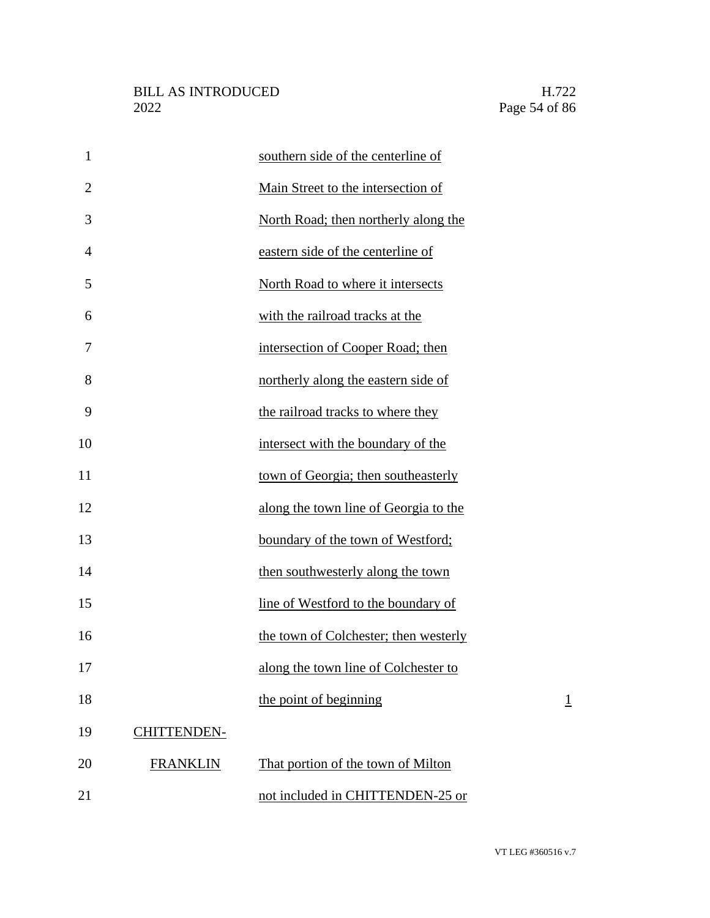| $\mathbf{1}$   |                    | southern side of the centerline of    |                |
|----------------|--------------------|---------------------------------------|----------------|
| $\overline{2}$ |                    | Main Street to the intersection of    |                |
| 3              |                    | North Road; then northerly along the  |                |
| $\overline{4}$ |                    | eastern side of the centerline of     |                |
| 5              |                    | North Road to where it intersects     |                |
| 6              |                    | with the railroad tracks at the       |                |
| 7              |                    | intersection of Cooper Road; then     |                |
| 8              |                    | northerly along the eastern side of   |                |
| 9              |                    | the railroad tracks to where they     |                |
| 10             |                    | intersect with the boundary of the    |                |
| 11             |                    | town of Georgia; then southeasterly   |                |
| 12             |                    | along the town line of Georgia to the |                |
| 13             |                    | boundary of the town of Westford;     |                |
| 14             |                    | then southwesterly along the town     |                |
| 15             |                    | line of Westford to the boundary of   |                |
| 16             |                    | the town of Colchester; then westerly |                |
| 17             |                    | along the town line of Colchester to  |                |
| 18             |                    | the point of beginning                | $\overline{1}$ |
| 19             | <b>CHITTENDEN-</b> |                                       |                |
| 20             | <b>FRANKLIN</b>    | That portion of the town of Milton    |                |
| 21             |                    | not included in CHITTENDEN-25 or      |                |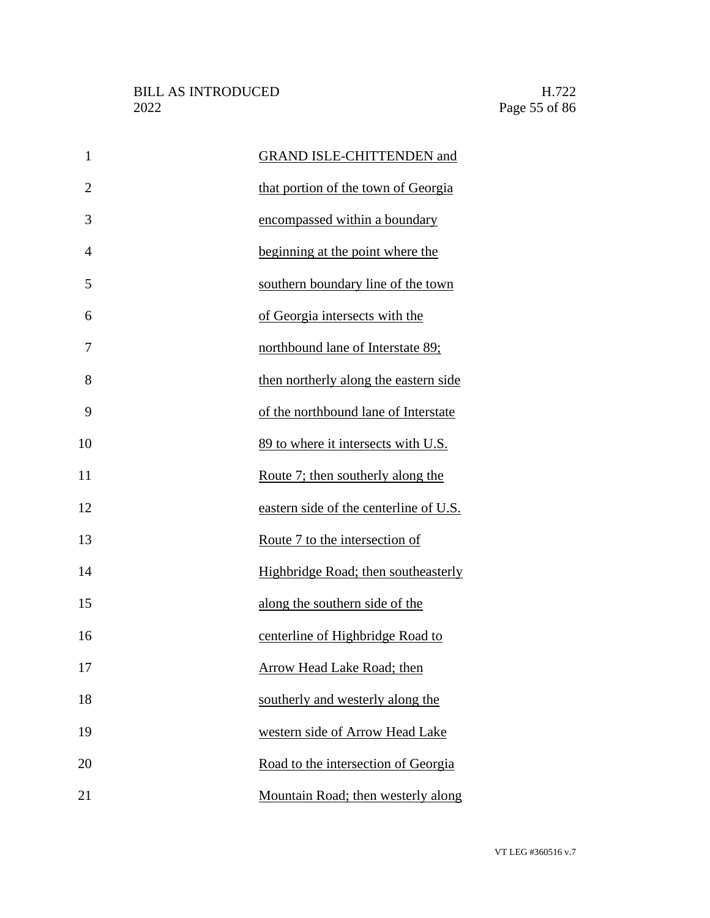| $\mathbf{1}$   | <b>GRAND ISLE-CHITTENDEN and</b>       |
|----------------|----------------------------------------|
| $\overline{2}$ | that portion of the town of Georgia    |
| 3              | encompassed within a boundary          |
| $\overline{4}$ | beginning at the point where the       |
| 5              | southern boundary line of the town     |
| 6              | of Georgia intersects with the         |
| 7              | northbound lane of Interstate 89;      |
| 8              | then northerly along the eastern side  |
| 9              | of the northbound lane of Interstate   |
| 10             | 89 to where it intersects with U.S.    |
| 11             | Route 7; then southerly along the      |
| 12             | eastern side of the centerline of U.S. |
| 13             | Route 7 to the intersection of         |
| 14             | Highbridge Road; then southeasterly    |
| 15             | along the southern side of the         |
| 16             | centerline of Highbridge Road to       |
| 17             | <b>Arrow Head Lake Road; then</b>      |
| 18             | southerly and westerly along the       |
| 19             | western side of Arrow Head Lake        |
| 20             | Road to the intersection of Georgia    |
| 21             | Mountain Road; then westerly along     |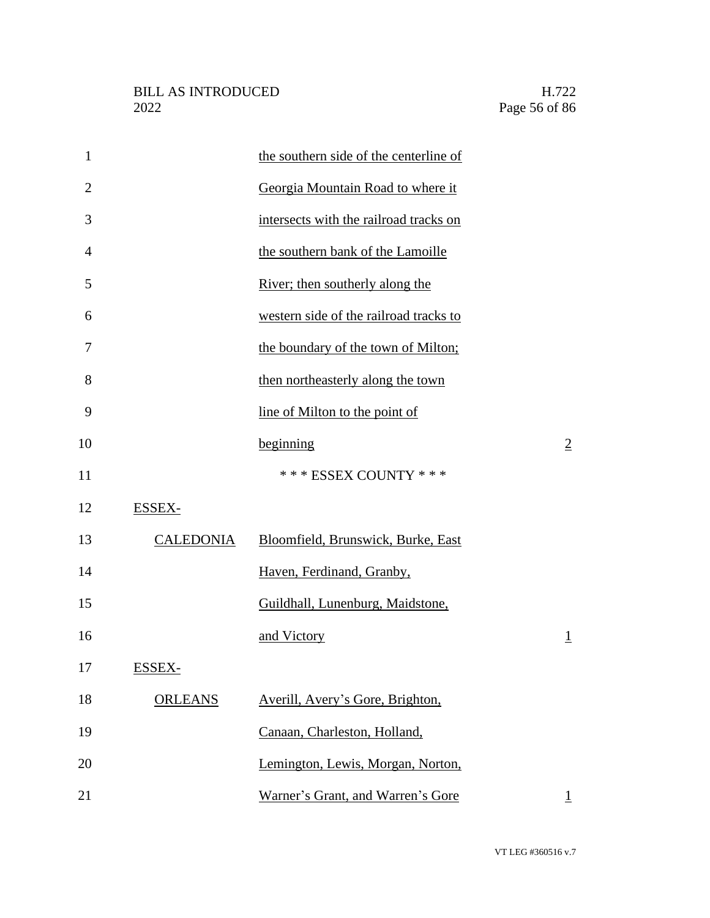| $\mathbf{1}$   |                  | the southern side of the centerline of |                |
|----------------|------------------|----------------------------------------|----------------|
| $\overline{2}$ |                  | Georgia Mountain Road to where it      |                |
| 3              |                  | intersects with the railroad tracks on |                |
| $\overline{4}$ |                  | the southern bank of the Lamoille      |                |
| 5              |                  | River; then southerly along the        |                |
| 6              |                  | western side of the railroad tracks to |                |
| 7              |                  | the boundary of the town of Milton;    |                |
| 8              |                  | then northeasterly along the town      |                |
| 9              |                  | line of Milton to the point of         |                |
| 10             |                  | beginning                              | $\overline{2}$ |
| 11             |                  | *** ESSEX COUNTY ***                   |                |
| 12             | ESSEX-           |                                        |                |
| 13             | <b>CALEDONIA</b> | Bloomfield, Brunswick, Burke, East     |                |
| 14             |                  | Haven, Ferdinand, Granby,              |                |
| 15             |                  | Guildhall, Lunenburg, Maidstone,       |                |
| 16             |                  | and Victory                            | $\overline{1}$ |
| 17             | ESSEX-           |                                        |                |
| 18             | <b>ORLEANS</b>   | Averill, Avery's Gore, Brighton,       |                |
| 19             |                  | Canaan, Charleston, Holland,           |                |
| 20             |                  | Lemington, Lewis, Morgan, Norton,      |                |
| 21             |                  | Warner's Grant, and Warren's Gore      | $\mathbf{1}$   |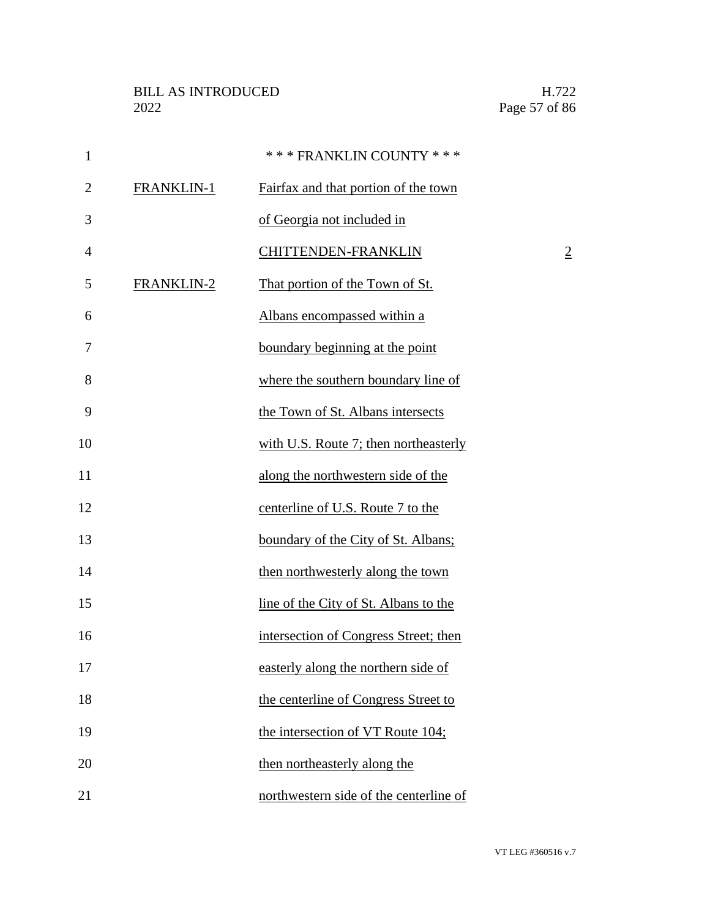| $\mathbf{1}$   |            | *** FRANKLIN COUNTY ***                |                |
|----------------|------------|----------------------------------------|----------------|
| $\overline{2}$ | FRANKLIN-1 | Fairfax and that portion of the town   |                |
| 3              |            | of Georgia not included in             |                |
| $\overline{4}$ |            | CHITTENDEN-FRANKLIN                    | $\overline{2}$ |
| 5              | FRANKLIN-2 | That portion of the Town of St.        |                |
| 6              |            | Albans encompassed within a            |                |
| 7              |            | boundary beginning at the point        |                |
| 8              |            | where the southern boundary line of    |                |
| 9              |            | the Town of St. Albans intersects      |                |
| 10             |            | with U.S. Route 7; then northeasterly  |                |
| 11             |            | along the northwestern side of the     |                |
| 12             |            | centerline of U.S. Route 7 to the      |                |
| 13             |            | boundary of the City of St. Albans;    |                |
| 14             |            | then northwesterly along the town      |                |
| 15             |            | line of the City of St. Albans to the  |                |
| 16             |            | intersection of Congress Street; then  |                |
| 17             |            | easterly along the northern side of    |                |
| 18             |            | the centerline of Congress Street to   |                |
| 19             |            | the intersection of VT Route 104;      |                |
| 20             |            | then northeasterly along the           |                |
| 21             |            | northwestern side of the centerline of |                |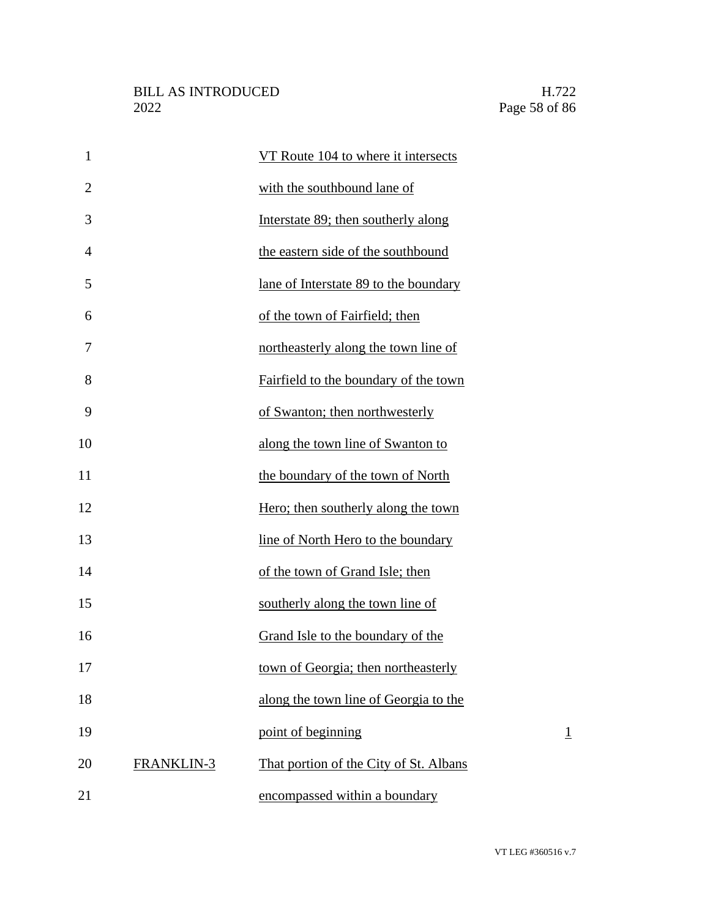| $\mathbf{1}$   |                   | VT Route 104 to where it intersects    |                |
|----------------|-------------------|----------------------------------------|----------------|
| $\overline{2}$ |                   | with the southbound lane of            |                |
| 3              |                   | Interstate 89; then southerly along    |                |
| 4              |                   | the eastern side of the southbound     |                |
| 5              |                   | lane of Interstate 89 to the boundary  |                |
| 6              |                   | of the town of Fairfield; then         |                |
| 7              |                   | northeasterly along the town line of   |                |
| 8              |                   | Fairfield to the boundary of the town  |                |
| 9              |                   | of Swanton; then northwesterly         |                |
| 10             |                   | along the town line of Swanton to      |                |
| 11             |                   | the boundary of the town of North      |                |
| 12             |                   | Hero; then southerly along the town    |                |
| 13             |                   | line of North Hero to the boundary     |                |
| 14             |                   | of the town of Grand Isle; then        |                |
| 15             |                   | southerly along the town line of       |                |
| 16             |                   | Grand Isle to the boundary of the      |                |
| 17             |                   | town of Georgia; then northeasterly    |                |
| 18             |                   | along the town line of Georgia to the  |                |
| 19             |                   | point of beginning                     | $\overline{1}$ |
| 20             | <b>FRANKLIN-3</b> | That portion of the City of St. Albans |                |
| 21             |                   | encompassed within a boundary          |                |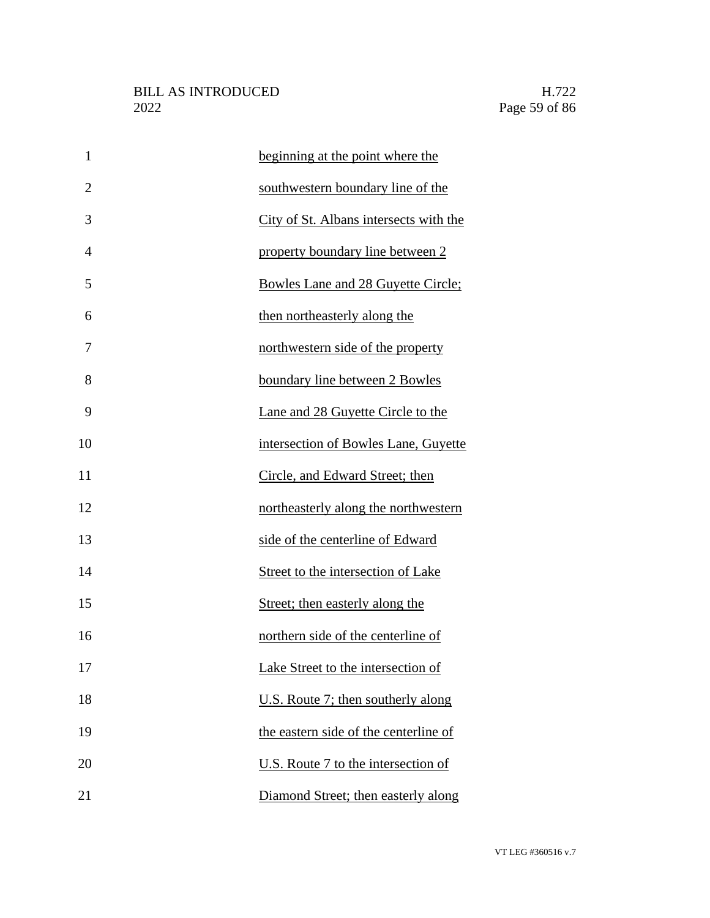| $\mathbf{1}$   | beginning at the point where the       |
|----------------|----------------------------------------|
| $\overline{2}$ | southwestern boundary line of the      |
| 3              | City of St. Albans intersects with the |
| 4              | property boundary line between 2       |
| 5              | Bowles Lane and 28 Guyette Circle;     |
| 6              | then northeasterly along the           |
| 7              | northwestern side of the property      |
| 8              | boundary line between 2 Bowles         |
| 9              | Lane and 28 Guyette Circle to the      |
| 10             | intersection of Bowles Lane, Guyette   |
| 11             | Circle, and Edward Street; then        |
| 12             | northeasterly along the northwestern   |
| 13             | side of the centerline of Edward       |
| 14             | Street to the intersection of Lake     |
| 15             | Street; then easterly along the        |
| 16             | northern side of the centerline of     |
| 17             | Lake Street to the intersection of     |
| 18             | U.S. Route 7; then southerly along     |
| 19             | the eastern side of the centerline of  |
| 20             | U.S. Route 7 to the intersection of    |
| 21             | Diamond Street; then easterly along    |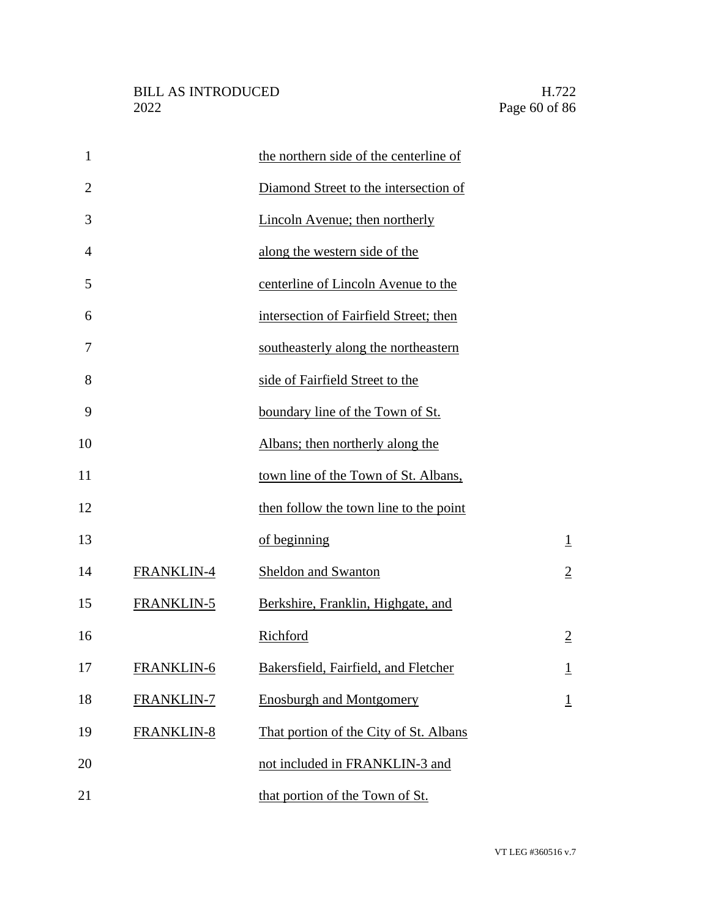| $\mathbf{1}$   |            | the northern side of the centerline of |                |
|----------------|------------|----------------------------------------|----------------|
| $\overline{2}$ |            | Diamond Street to the intersection of  |                |
| 3              |            | Lincoln Avenue; then northerly         |                |
| $\overline{4}$ |            | along the western side of the          |                |
| 5              |            | centerline of Lincoln Avenue to the    |                |
| 6              |            | intersection of Fairfield Street; then |                |
| 7              |            | southeasterly along the northeastern   |                |
| 8              |            | side of Fairfield Street to the        |                |
| 9              |            | boundary line of the Town of St.       |                |
| 10             |            | Albans; then northerly along the       |                |
| 11             |            | town line of the Town of St. Albans,   |                |
| 12             |            | then follow the town line to the point |                |
| 13             |            | of beginning                           | $\perp$        |
| 14             | FRANKLIN-4 | <b>Sheldon and Swanton</b>             | $\overline{2}$ |
| 15             | FRANKLIN-5 | Berkshire, Franklin, Highgate, and     |                |
| 16             |            | Richford                               | $\overline{2}$ |
| 17             | FRANKLIN-6 | Bakersfield, Fairfield, and Fletcher   | $\perp$        |
| 18             | FRANKLIN-7 | <b>Enosburgh and Montgomery</b>        | $\overline{1}$ |
| 19             | FRANKLIN-8 | That portion of the City of St. Albans |                |
| 20             |            | not included in FRANKLIN-3 and         |                |
| 21             |            | that portion of the Town of St.        |                |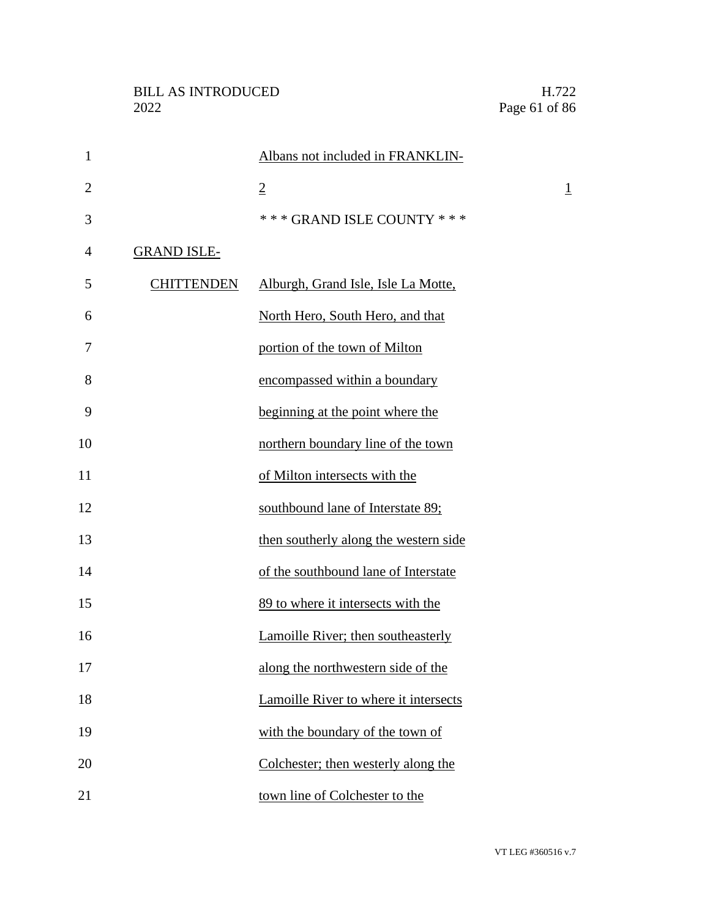| $\mathbf{1}$   |                    | Albans not included in FRANKLIN-      |                |
|----------------|--------------------|---------------------------------------|----------------|
| $\overline{2}$ |                    | $\overline{2}$                        | $\overline{1}$ |
| 3              |                    | *** GRAND ISLE COUNTY ***             |                |
| $\overline{4}$ | <b>GRAND ISLE-</b> |                                       |                |
| 5              | <b>CHITTENDEN</b>  | Alburgh, Grand Isle, Isle La Motte,   |                |
| 6              |                    | North Hero, South Hero, and that      |                |
| 7              |                    | portion of the town of Milton         |                |
| 8              |                    | encompassed within a boundary         |                |
| 9              |                    | beginning at the point where the      |                |
| 10             |                    | northern boundary line of the town    |                |
| 11             |                    | of Milton intersects with the         |                |
| 12             |                    | southbound lane of Interstate 89;     |                |
| 13             |                    | then southerly along the western side |                |
| 14             |                    | of the southbound lane of Interstate  |                |
| 15             |                    | 89 to where it intersects with the    |                |
| 16             |                    | Lamoille River; then southeasterly    |                |
| 17             |                    | along the northwestern side of the    |                |
| 18             |                    | Lamoille River to where it intersects |                |
| 19             |                    | with the boundary of the town of      |                |
| 20             |                    | Colchester; then westerly along the   |                |
| 21             |                    | town line of Colchester to the        |                |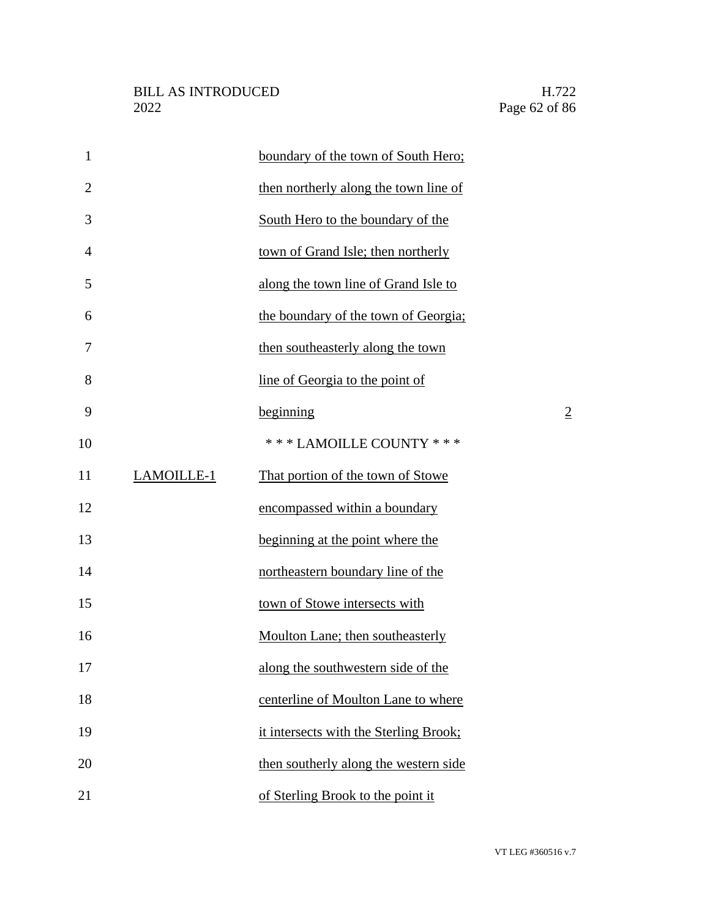| $\mathbf{1}$   |            | boundary of the town of South Hero;    |                |
|----------------|------------|----------------------------------------|----------------|
| $\overline{2}$ |            | then northerly along the town line of  |                |
| 3              |            | South Hero to the boundary of the      |                |
| 4              |            | town of Grand Isle; then northerly     |                |
| 5              |            | along the town line of Grand Isle to   |                |
| 6              |            | the boundary of the town of Georgia;   |                |
| 7              |            | then southeasterly along the town      |                |
| 8              |            | line of Georgia to the point of        |                |
| 9              |            | beginning                              | $\overline{2}$ |
| 10             |            | *** LAMOILLE COUNTY ***                |                |
| 11             | LAMOILLE-1 | That portion of the town of Stowe      |                |
| 12             |            | encompassed within a boundary          |                |
| 13             |            | beginning at the point where the       |                |
| 14             |            | northeastern boundary line of the      |                |
| 15             |            | town of Stowe intersects with          |                |
| 16             |            | Moulton Lane; then southeasterly       |                |
| 17             |            | along the southwestern side of the     |                |
| 18             |            | centerline of Moulton Lane to where    |                |
| 19             |            | it intersects with the Sterling Brook; |                |
| 20             |            | then southerly along the western side  |                |
| 21             |            | of Sterling Brook to the point it      |                |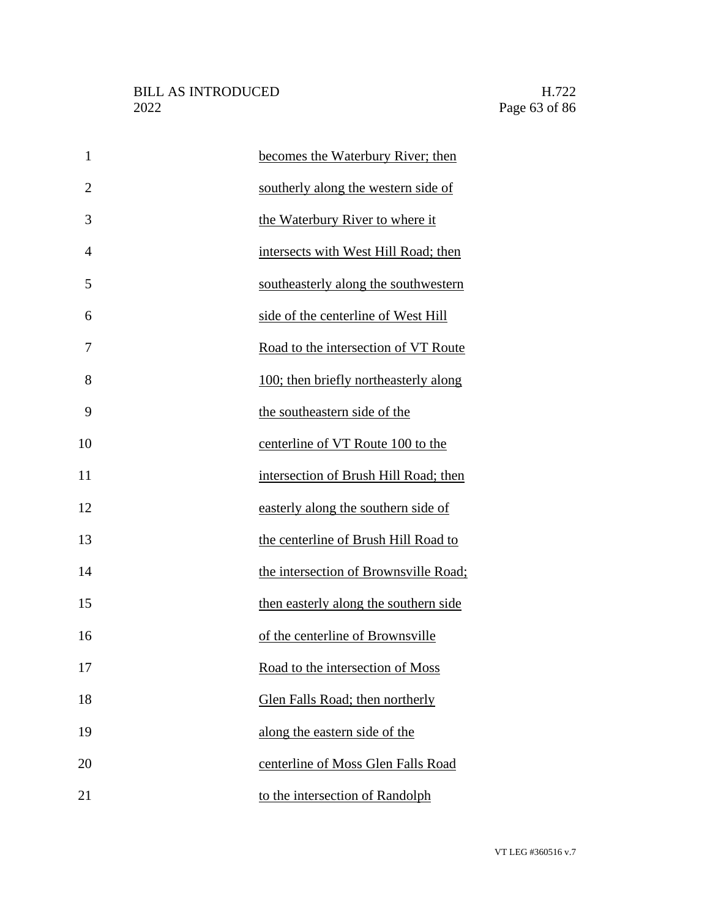| $\mathbf{1}$   | becomes the Waterbury River; then     |
|----------------|---------------------------------------|
| $\overline{2}$ | southerly along the western side of   |
| 3              | the Waterbury River to where it       |
| 4              | intersects with West Hill Road; then  |
| 5              | southeasterly along the southwestern  |
| 6              | side of the centerline of West Hill   |
| 7              | Road to the intersection of VT Route  |
| 8              | 100; then briefly northeasterly along |
| 9              | the southeastern side of the          |
| 10             | centerline of VT Route 100 to the     |
| 11             | intersection of Brush Hill Road; then |
| 12             | easterly along the southern side of   |
| 13             | the centerline of Brush Hill Road to  |
| 14             | the intersection of Brownsville Road; |
| 15             | then easterly along the southern side |
| 16             | of the centerline of Brownsville      |
| 17             | Road to the intersection of Moss      |
| 18             | Glen Falls Road; then northerly       |
| 19             | along the eastern side of the         |
| 20             | centerline of Moss Glen Falls Road    |
| 21             | to the intersection of Randolph       |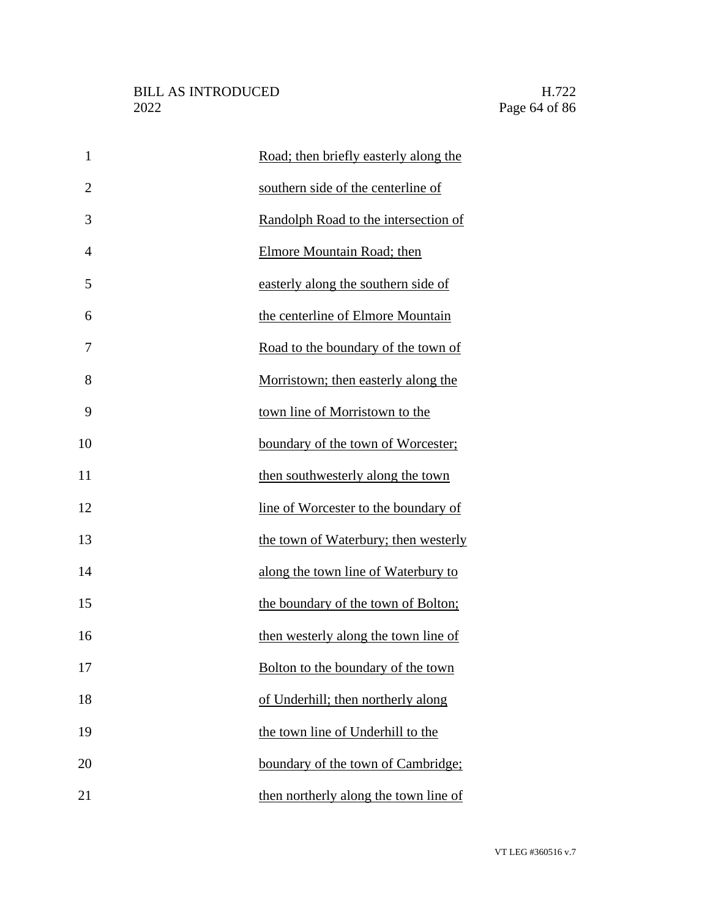| $\mathbf{1}$   | Road; then briefly easterly along the |
|----------------|---------------------------------------|
| $\overline{2}$ | southern side of the centerline of    |
| 3              | Randolph Road to the intersection of  |
| 4              | <b>Elmore Mountain Road; then</b>     |
| 5              | easterly along the southern side of   |
| 6              | the centerline of Elmore Mountain     |
| 7              | Road to the boundary of the town of   |
| 8              | Morristown; then easterly along the   |
| 9              | town line of Morristown to the        |
| 10             | boundary of the town of Worcester;    |
| 11             | then southwesterly along the town     |
| 12             | line of Worcester to the boundary of  |
| 13             | the town of Waterbury; then westerly  |
| 14             | along the town line of Waterbury to   |
| 15             | the boundary of the town of Bolton;   |
| 16             | then westerly along the town line of  |
| 17             | Bolton to the boundary of the town    |
| 18             | of Underhill; then northerly along    |
| 19             | the town line of Underhill to the     |
| 20             | boundary of the town of Cambridge;    |
| 21             | then northerly along the town line of |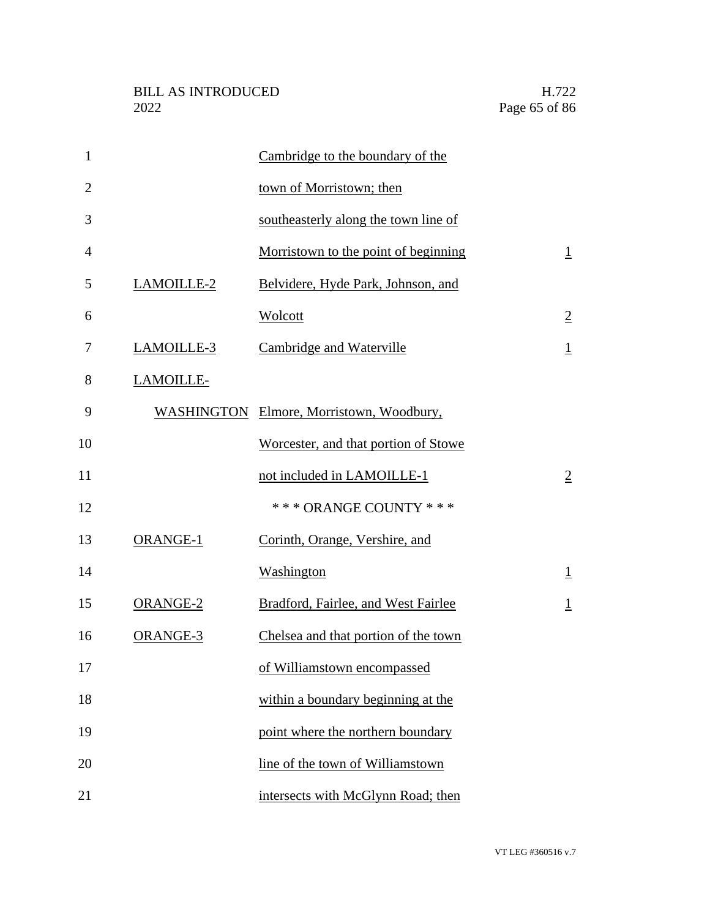| $\mathbf{1}$   |                  | Cambridge to the boundary of the         |                |
|----------------|------------------|------------------------------------------|----------------|
| $\overline{2}$ |                  | town of Morristown; then                 |                |
| 3              |                  | southeasterly along the town line of     |                |
| $\overline{4}$ |                  | Morristown to the point of beginning     | $\perp$        |
| 5              | LAMOILLE-2       | Belvidere, Hyde Park, Johnson, and       |                |
| 6              |                  | Wolcott                                  | $\overline{2}$ |
| 7              | LAMOILLE-3       | Cambridge and Waterville                 | $\mathbf{1}$   |
| 8              | <b>LAMOILLE-</b> |                                          |                |
| 9              |                  | WASHINGTON Elmore, Morristown, Woodbury, |                |
| 10             |                  | Worcester, and that portion of Stowe     |                |
| 11             |                  | not included in LAMOILLE-1               | $\overline{2}$ |
| 12             |                  | *** ORANGE COUNTY ***                    |                |
| 13             | ORANGE-1         | Corinth, Orange, Vershire, and           |                |
| 14             |                  | Washington                               | $\perp$        |
| 15             | <b>ORANGE-2</b>  | Bradford, Fairlee, and West Fairlee      | $\overline{1}$ |
| 16             | ORANGE-3         | Chelsea and that portion of the town     |                |
| 17             |                  | of Williamstown encompassed              |                |
| 18             |                  | within a boundary beginning at the       |                |
| 19             |                  | point where the northern boundary        |                |
| 20             |                  | line of the town of Williamstown         |                |
| 21             |                  | intersects with McGlynn Road; then       |                |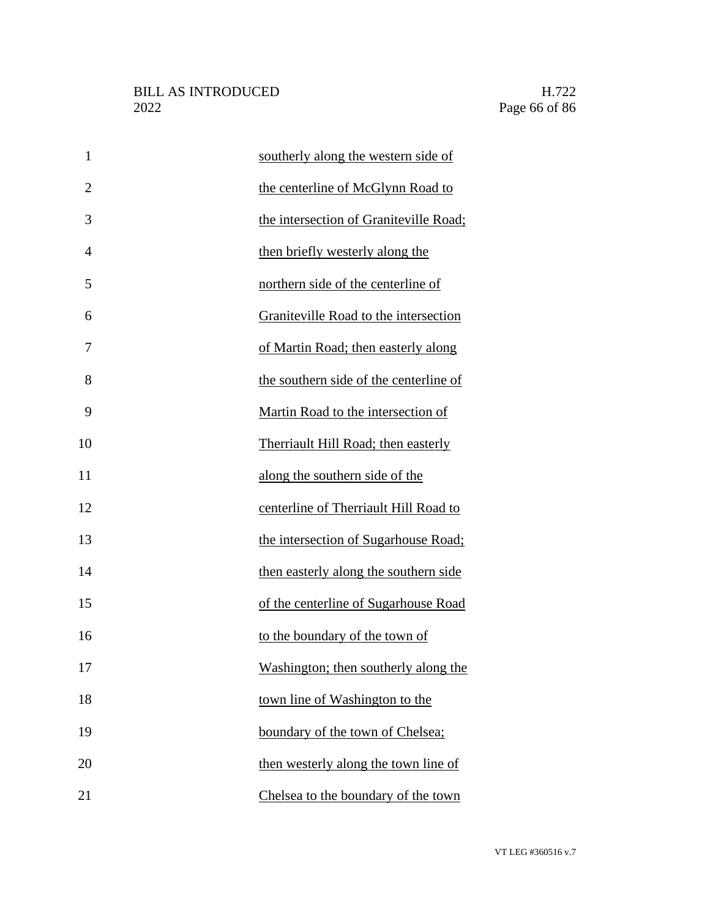| $\mathbf{1}$   | southerly along the western side of    |
|----------------|----------------------------------------|
| $\overline{2}$ | the centerline of McGlynn Road to      |
| 3              | the intersection of Graniteville Road; |
| $\overline{4}$ | then briefly westerly along the        |
| 5              | northern side of the centerline of     |
| 6              | Graniteville Road to the intersection  |
| 7              | of Martin Road; then easterly along    |
| 8              | the southern side of the centerline of |
| 9              | Martin Road to the intersection of     |
| 10             | Therriault Hill Road; then easterly    |
| 11             | along the southern side of the         |
| 12             | centerline of Therriault Hill Road to  |
| 13             | the intersection of Sugarhouse Road;   |
| 14             | then easterly along the southern side  |
| 15             | of the centerline of Sugarhouse Road   |
| 16             | to the boundary of the town of         |
| 17             | Washington; then southerly along the   |
| 18             | town line of Washington to the         |
| 19             | boundary of the town of Chelsea;       |
| 20             | then westerly along the town line of   |
| 21             | Chelsea to the boundary of the town    |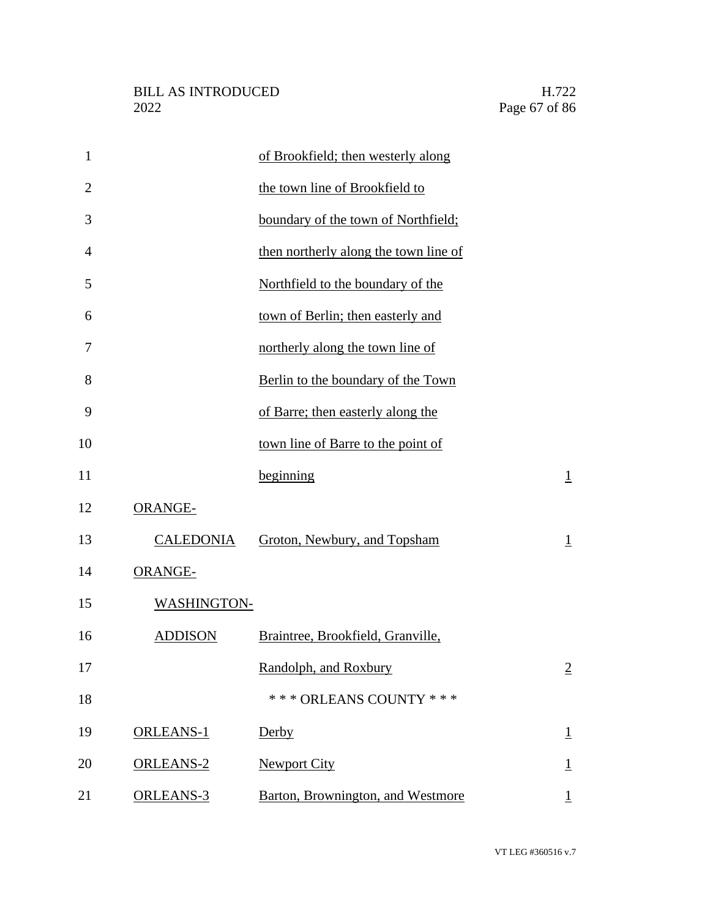| $\mathbf{1}$   |                    | of Brookfield; then westerly along    |                          |
|----------------|--------------------|---------------------------------------|--------------------------|
| $\overline{2}$ |                    | the town line of Brookfield to        |                          |
| 3              |                    | boundary of the town of Northfield;   |                          |
| $\overline{4}$ |                    | then northerly along the town line of |                          |
| 5              |                    | Northfield to the boundary of the     |                          |
| 6              |                    | town of Berlin; then easterly and     |                          |
| 7              |                    | northerly along the town line of      |                          |
| 8              |                    | Berlin to the boundary of the Town    |                          |
| 9              |                    | of Barre; then easterly along the     |                          |
| 10             |                    | town line of Barre to the point of    |                          |
| 11             |                    | beginning                             | $\perp$                  |
| 12             | ORANGE-            |                                       |                          |
| 13             | <b>CALEDONIA</b>   | Groton, Newbury, and Topsham          | $\overline{1}$           |
| 14             | ORANGE-            |                                       |                          |
| 15             | <b>WASHINGTON-</b> |                                       |                          |
| 16             | <b>ADDISON</b>     | Braintree, Brookfield, Granville,     |                          |
| 17             |                    | Randolph, and Roxbury                 | $\overline{2}$           |
| 18             |                    | *** ORLEANS COUNTY ***                |                          |
| 19             | <b>ORLEANS-1</b>   | Derby                                 | $\mathbf{\underline{1}}$ |
| 20             | ORLEANS-2          | <b>Newport City</b>                   | $\overline{1}$           |
| 21             | ORLEANS-3          | Barton, Brownington, and Westmore     |                          |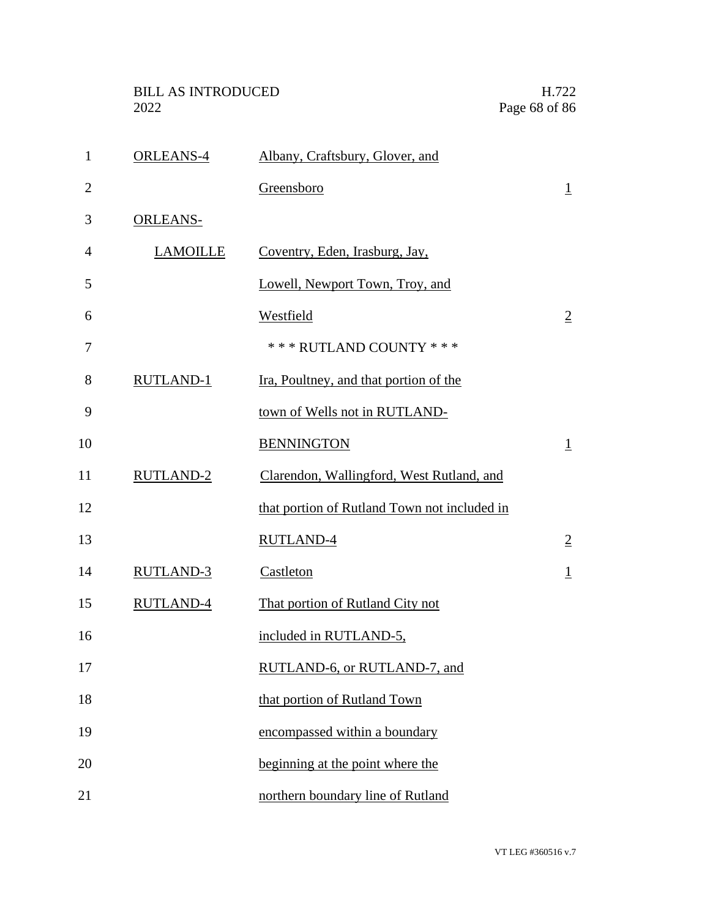| $\mathbf{1}$   | <b>ORLEANS-4</b> | Albany, Craftsbury, Glover, and              |                |
|----------------|------------------|----------------------------------------------|----------------|
| $\overline{2}$ |                  | Greensboro                                   | $\perp$        |
| 3              | <b>ORLEANS-</b>  |                                              |                |
| $\overline{4}$ | <b>LAMOILLE</b>  | Coventry, Eden, Irasburg, Jay,               |                |
| 5              |                  | Lowell, Newport Town, Troy, and              |                |
| 6              |                  | <b>Westfield</b>                             | $\overline{2}$ |
| 7              |                  | *** RUTLAND COUNTY ***                       |                |
| 8              | RUTLAND-1        | Ira, Poultney, and that portion of the       |                |
| 9              |                  | town of Wells not in RUTLAND-                |                |
| 10             |                  | <b>BENNINGTON</b>                            | $\perp$        |
| 11             | RUTLAND-2        | Clarendon, Wallingford, West Rutland, and    |                |
| 12             |                  | that portion of Rutland Town not included in |                |
| 13             |                  | <b>RUTLAND-4</b>                             | $\overline{2}$ |
| 14             | <b>RUTLAND-3</b> | Castleton                                    | $\perp$        |
| 15             | RUTLAND-4        | That portion of Rutland City not             |                |
| 16             |                  | included in RUTLAND-5,                       |                |
| 17             |                  | RUTLAND-6, or RUTLAND-7, and                 |                |
| 18             |                  | that portion of Rutland Town                 |                |
| 19             |                  | encompassed within a boundary                |                |
| 20             |                  | beginning at the point where the             |                |
| 21             |                  | northern boundary line of Rutland            |                |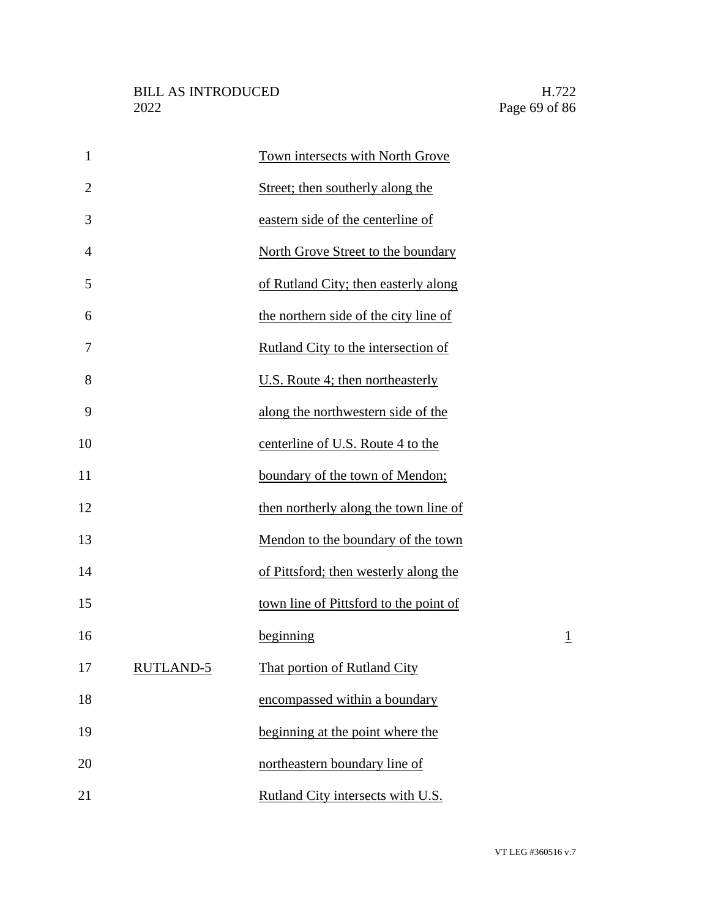| $\mathbf{1}$   |                  | Town intersects with North Grove       |                |
|----------------|------------------|----------------------------------------|----------------|
| $\overline{2}$ |                  | Street; then southerly along the       |                |
| 3              |                  | eastern side of the centerline of      |                |
| $\overline{4}$ |                  | North Grove Street to the boundary     |                |
| 5              |                  | of Rutland City; then easterly along   |                |
| 6              |                  | the northern side of the city line of  |                |
| 7              |                  | Rutland City to the intersection of    |                |
| 8              |                  | U.S. Route 4; then northeasterly       |                |
| 9              |                  | along the northwestern side of the     |                |
| 10             |                  | centerline of U.S. Route 4 to the      |                |
| 11             |                  | boundary of the town of Mendon;        |                |
| 12             |                  | then northerly along the town line of  |                |
| 13             |                  | Mendon to the boundary of the town     |                |
| 14             |                  | of Pittsford; then westerly along the  |                |
| 15             |                  | town line of Pittsford to the point of |                |
| 16             |                  | beginning                              | $\overline{1}$ |
| 17             | <b>RUTLAND-5</b> | That portion of Rutland City           |                |
| 18             |                  | encompassed within a boundary          |                |
| 19             |                  | beginning at the point where the       |                |
| 20             |                  | northeastern boundary line of          |                |
| 21             |                  | Rutland City intersects with U.S.      |                |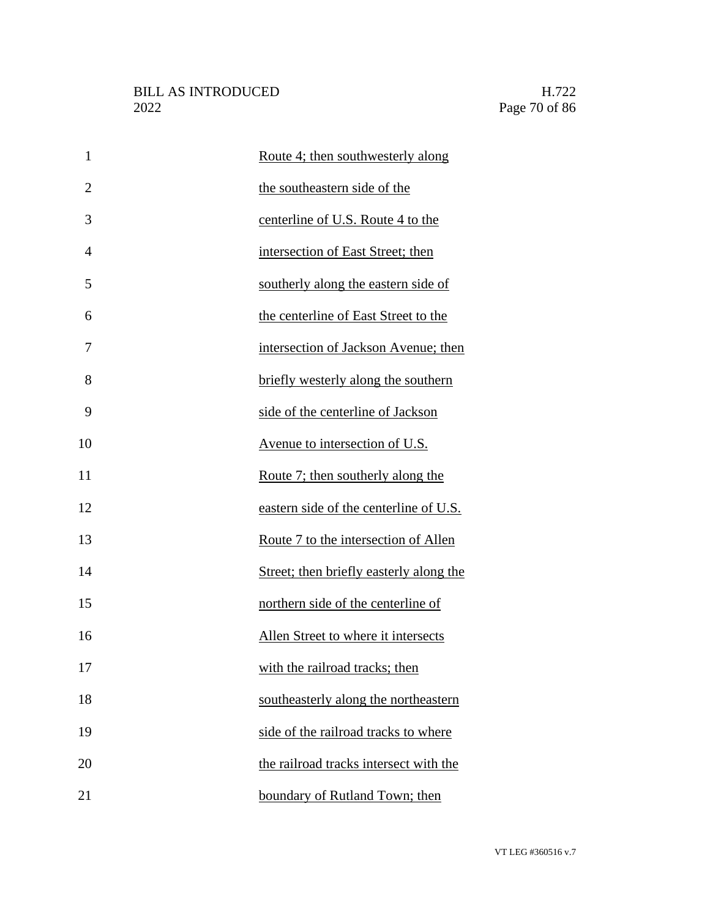| $\mathbf{1}$   | Route 4; then southwesterly along       |
|----------------|-----------------------------------------|
| $\overline{2}$ | the southeastern side of the            |
| 3              | centerline of U.S. Route 4 to the       |
| 4              | intersection of East Street; then       |
| 5              | southerly along the eastern side of     |
| 6              | the centerline of East Street to the    |
| 7              | intersection of Jackson Avenue; then    |
| 8              | briefly westerly along the southern     |
| 9              | side of the centerline of Jackson       |
| 10             | Avenue to intersection of U.S.          |
| 11             | Route 7; then southerly along the       |
| 12             | eastern side of the centerline of U.S.  |
| 13             | Route 7 to the intersection of Allen    |
| 14             | Street; then briefly easterly along the |
| 15             | northern side of the centerline of      |
| 16             | Allen Street to where it intersects     |
| 17             | with the railroad tracks; then          |
| 18             | southeasterly along the northeastern    |
| 19             | side of the railroad tracks to where    |
| 20             | the railroad tracks intersect with the  |
| 21             | boundary of Rutland Town; then          |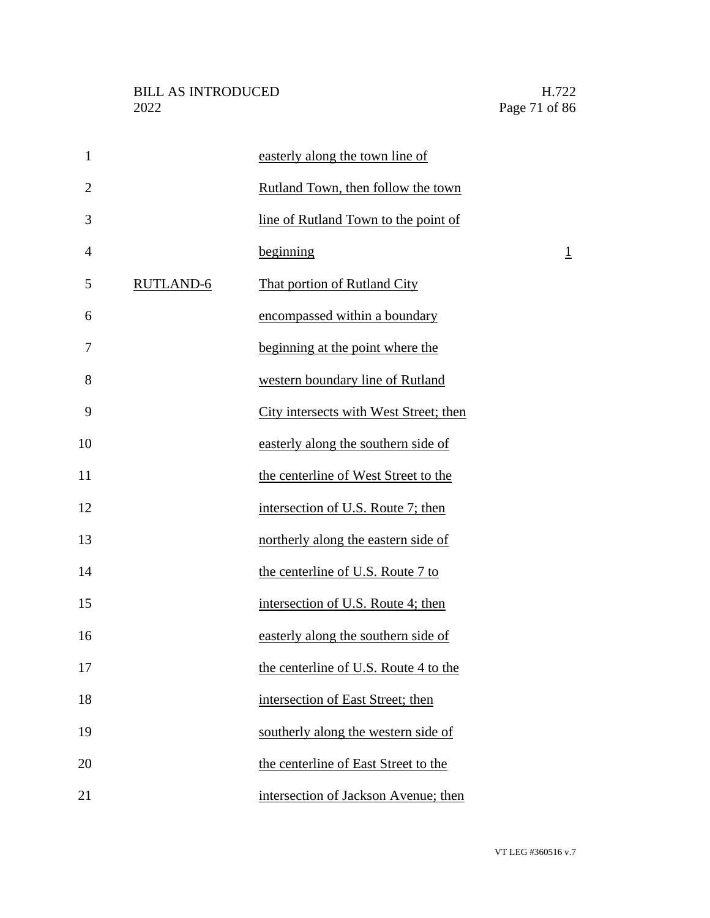| $\mathbf{1}$   |                  | easterly along the town line of        |                |
|----------------|------------------|----------------------------------------|----------------|
| $\overline{2}$ |                  | Rutland Town, then follow the town     |                |
| 3              |                  | line of Rutland Town to the point of   |                |
| 4              |                  | beginning                              | $\overline{1}$ |
| 5              | <b>RUTLAND-6</b> | That portion of Rutland City           |                |
| 6              |                  | encompassed within a boundary          |                |
| 7              |                  | beginning at the point where the       |                |
| 8              |                  | western boundary line of Rutland       |                |
| 9              |                  | City intersects with West Street; then |                |
| 10             |                  | easterly along the southern side of    |                |
| 11             |                  | the centerline of West Street to the   |                |
| 12             |                  | intersection of U.S. Route 7; then     |                |
| 13             |                  | northerly along the eastern side of    |                |
| 14             |                  | the centerline of U.S. Route 7 to      |                |
| 15             |                  | intersection of U.S. Route 4; then     |                |
| 16             |                  | easterly along the southern side of    |                |
| 17             |                  | the centerline of U.S. Route 4 to the  |                |
| 18             |                  | intersection of East Street; then      |                |
| 19             |                  | southerly along the western side of    |                |
| 20             |                  | the centerline of East Street to the   |                |
| 21             |                  | intersection of Jackson Avenue; then   |                |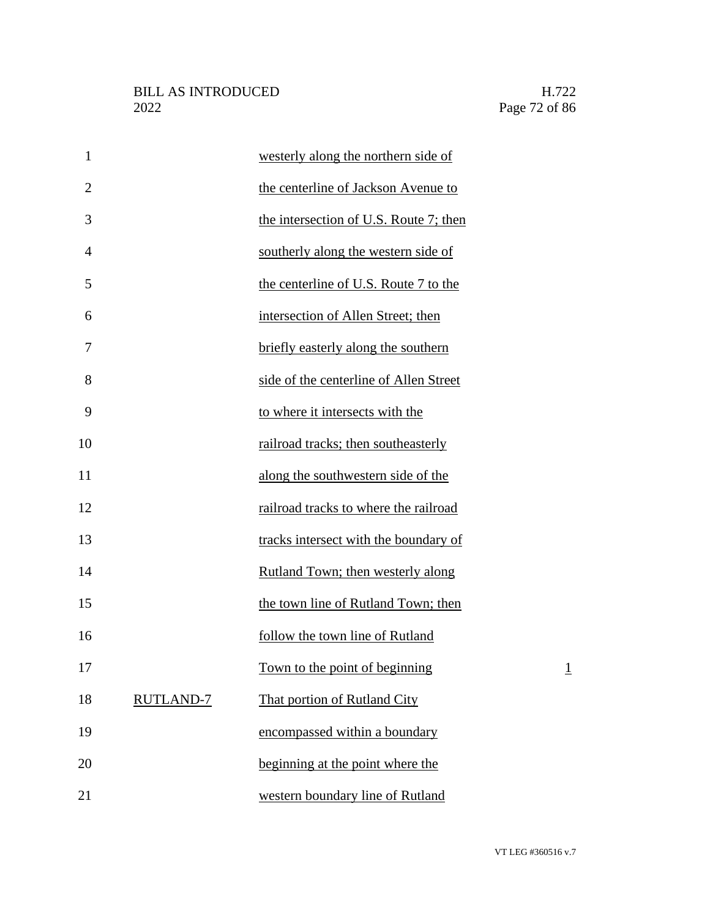| $\mathbf{1}$   |                  | westerly along the northern side of    |                |
|----------------|------------------|----------------------------------------|----------------|
| $\overline{2}$ |                  | the centerline of Jackson Avenue to    |                |
| 3              |                  | the intersection of U.S. Route 7; then |                |
| 4              |                  | southerly along the western side of    |                |
| 5              |                  | the centerline of U.S. Route 7 to the  |                |
| 6              |                  | intersection of Allen Street; then     |                |
| 7              |                  | briefly easterly along the southern    |                |
| 8              |                  | side of the centerline of Allen Street |                |
| 9              |                  | to where it intersects with the        |                |
| 10             |                  | railroad tracks; then southeasterly    |                |
| 11             |                  | along the southwestern side of the     |                |
| 12             |                  | railroad tracks to where the railroad  |                |
| 13             |                  | tracks intersect with the boundary of  |                |
| 14             |                  | Rutland Town; then westerly along      |                |
| 15             |                  | the town line of Rutland Town; then    |                |
| 16             |                  | follow the town line of Rutland        |                |
| 17             |                  | <u>Town to the point of beginning</u>  | $\overline{1}$ |
| 18             | <b>RUTLAND-7</b> | That portion of Rutland City           |                |
| 19             |                  | encompassed within a boundary          |                |
| 20             |                  | beginning at the point where the       |                |
| 21             |                  | western boundary line of Rutland       |                |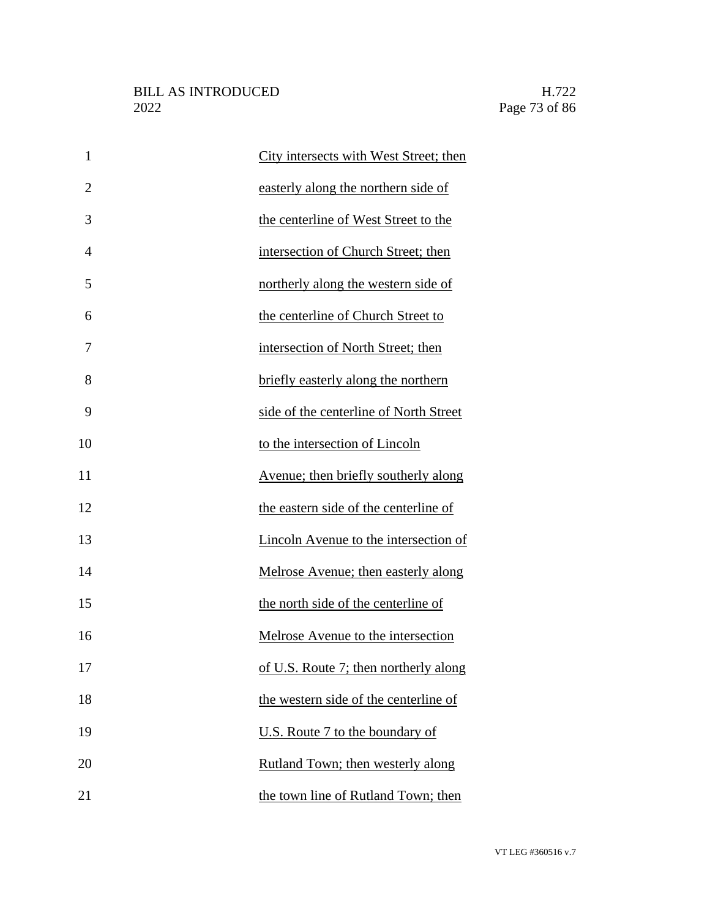| $\mathbf{1}$   | City intersects with West Street; then |
|----------------|----------------------------------------|
| $\overline{2}$ | easterly along the northern side of    |
| 3              | the centerline of West Street to the   |
| $\overline{4}$ | intersection of Church Street; then    |
| 5              | northerly along the western side of    |
| 6              | the centerline of Church Street to     |
| 7              | intersection of North Street; then     |
| 8              | briefly easterly along the northern    |
| 9              | side of the centerline of North Street |
| 10             | to the intersection of Lincoln         |
| 11             | Avenue; then briefly southerly along   |
| 12             | the eastern side of the centerline of  |
| 13             | Lincoln Avenue to the intersection of  |
| 14             | Melrose Avenue; then easterly along    |
| 15             | the north side of the centerline of    |
| 16             | Melrose Avenue to the intersection     |
| 17             | of U.S. Route 7; then northerly along  |
| 18             | the western side of the centerline of  |
| 19             | U.S. Route 7 to the boundary of        |
| 20             | Rutland Town; then westerly along      |
| 21             | the town line of Rutland Town; then    |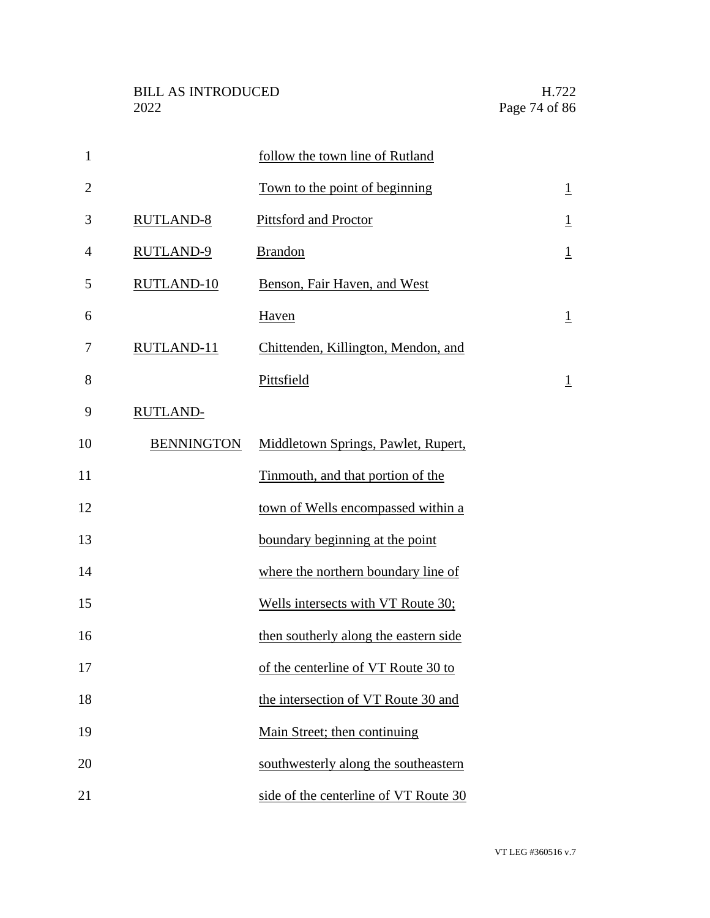| $\mathbf{1}$   |                   | follow the town line of Rutland       |                 |
|----------------|-------------------|---------------------------------------|-----------------|
| $\overline{2}$ |                   | Town to the point of beginning        | $\underline{1}$ |
| 3              | <b>RUTLAND-8</b>  | Pittsford and Proctor                 | $\overline{1}$  |
| $\overline{4}$ | <b>RUTLAND-9</b>  | <b>Brandon</b>                        | $\underline{1}$ |
| 5              | <b>RUTLAND-10</b> | Benson, Fair Haven, and West          |                 |
| 6              |                   | Haven                                 | $\underline{1}$ |
| 7              | RUTLAND-11        | Chittenden, Killington, Mendon, and   |                 |
| 8              |                   | Pittsfield                            | $\overline{1}$  |
| 9              | <b>RUTLAND-</b>   |                                       |                 |
| 10             | <b>BENNINGTON</b> | Middletown Springs, Pawlet, Rupert,   |                 |
| 11             |                   | Tinmouth, and that portion of the     |                 |
| 12             |                   | town of Wells encompassed within a    |                 |
| 13             |                   | boundary beginning at the point       |                 |
| 14             |                   | where the northern boundary line of   |                 |
| 15             |                   | Wells intersects with VT Route 30;    |                 |
| 16             |                   | then southerly along the eastern side |                 |
| 17             |                   | of the centerline of VT Route 30 to   |                 |
| 18             |                   | the intersection of VT Route 30 and   |                 |
| 19             |                   | Main Street; then continuing          |                 |
| 20             |                   | southwesterly along the southeastern  |                 |
| 21             |                   | side of the centerline of VT Route 30 |                 |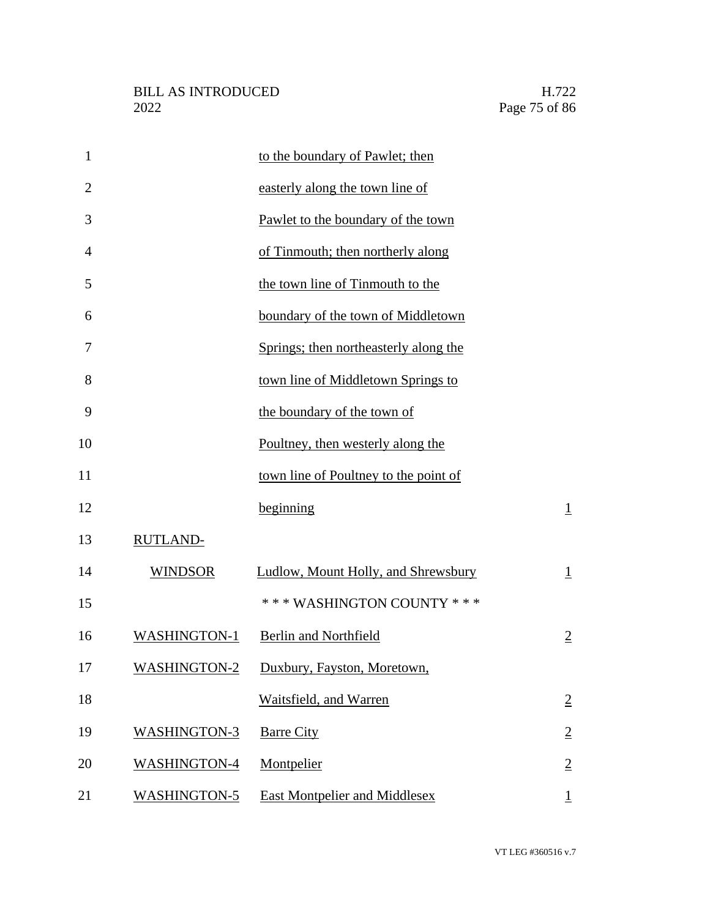| $\mathbf{1}$   |                     | to the boundary of Pawlet; then       |                |
|----------------|---------------------|---------------------------------------|----------------|
| $\overline{2}$ |                     | easterly along the town line of       |                |
| 3              |                     | Pawlet to the boundary of the town    |                |
| $\overline{4}$ |                     | of Tinmouth; then northerly along     |                |
| 5              |                     | the town line of Tinmouth to the      |                |
| 6              |                     | boundary of the town of Middletown    |                |
| 7              |                     | Springs; then northeasterly along the |                |
| 8              |                     | town line of Middletown Springs to    |                |
| 9              |                     | the boundary of the town of           |                |
| 10             |                     | Poultney, then westerly along the     |                |
| 11             |                     | town line of Poultney to the point of |                |
| 12             |                     | beginning                             | $\perp$        |
| 13             | <b>RUTLAND-</b>     |                                       |                |
| 14             | <b>WINDSOR</b>      | Ludlow, Mount Holly, and Shrewsbury   | $\perp$        |
| 15             |                     | *** WASHINGTON COUNTY ***             |                |
| 16             | <b>WASHINGTON-1</b> | <b>Berlin and Northfield</b>          | $\overline{2}$ |
| 17             | <b>WASHINGTON-2</b> | Duxbury, Fayston, Moretown,           |                |
| 18             |                     | Waitsfield, and Warren                | $\overline{2}$ |
| 19             | <b>WASHINGTON-3</b> | <b>Barre City</b>                     | $\overline{2}$ |
| 20             | <b>WASHINGTON-4</b> | Montpelier                            | $\overline{2}$ |
| 21             | <b>WASHINGTON-5</b> | East Montpelier and Middlesex         | $\overline{1}$ |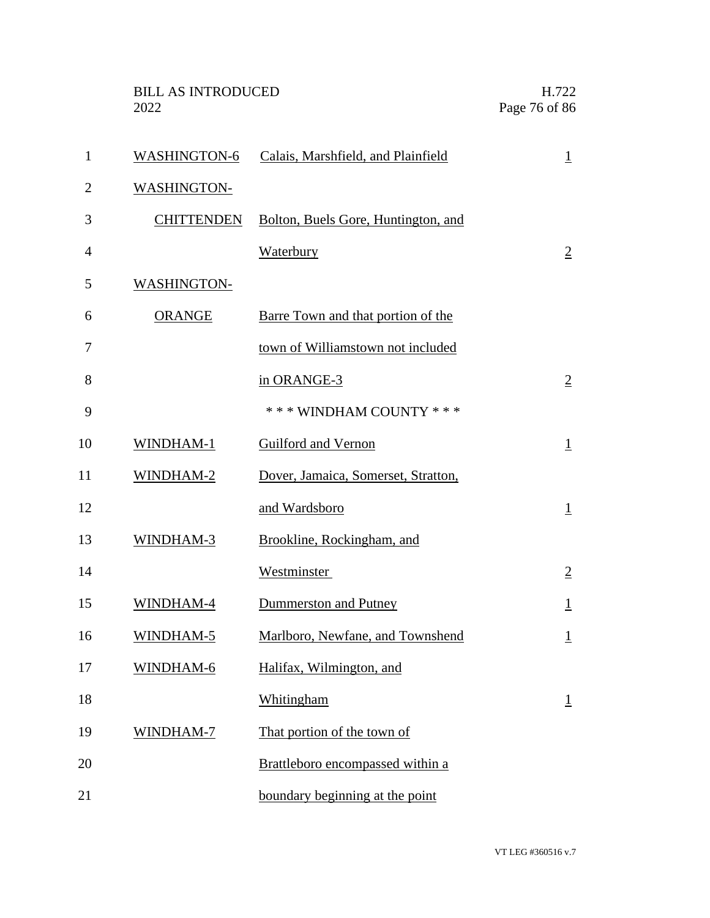|                | <b>BILL AS INTRODUCED</b><br>2022 |                                     | H.722<br>Page 76 of 86 |
|----------------|-----------------------------------|-------------------------------------|------------------------|
| $\mathbf{1}$   | <b>WASHINGTON-6</b>               | Calais, Marshfield, and Plainfield  | $\overline{1}$         |
| $\overline{2}$ | <b>WASHINGTON-</b>                |                                     |                        |
| 3              | <b>CHITTENDEN</b>                 | Bolton, Buels Gore, Huntington, and |                        |
| $\overline{4}$ |                                   | Waterbury                           | $\overline{2}$         |
| 5              | WASHINGTON-                       |                                     |                        |
| 6              | <b>ORANGE</b>                     | Barre Town and that portion of the  |                        |
| 7              |                                   | town of Williamstown not included   |                        |
| 8              |                                   | in ORANGE-3                         | $\overline{2}$         |
| 9              |                                   | *** WINDHAM COUNTY ***              |                        |
| 10             | WINDHAM-1                         | Guilford and Vernon                 | $\overline{1}$         |
| 11             | WINDHAM-2                         | Dover, Jamaica, Somerset, Stratton, |                        |
| 12             |                                   | and Wardsboro                       | $\overline{1}$         |
| 13             | WINDHAM-3                         | Brookline, Rockingham, and          |                        |
| 14             |                                   | Westminster                         | $\overline{2}$         |
| 15             | WINDHAM-4                         | Dummerston and Putney               | $\overline{1}$         |
| 16             | WINDHAM-5                         | Marlboro, Newfane, and Townshend    | $\overline{1}$         |
| 17             | WINDHAM-6                         | Halifax, Wilmington, and            |                        |
| 18             |                                   | Whitingham                          | $\overline{1}$         |
| 19             | WINDHAM-7                         | That portion of the town of         |                        |
| 20             |                                   | Brattleboro encompassed within a    |                        |
| 21             |                                   | boundary beginning at the point     |                        |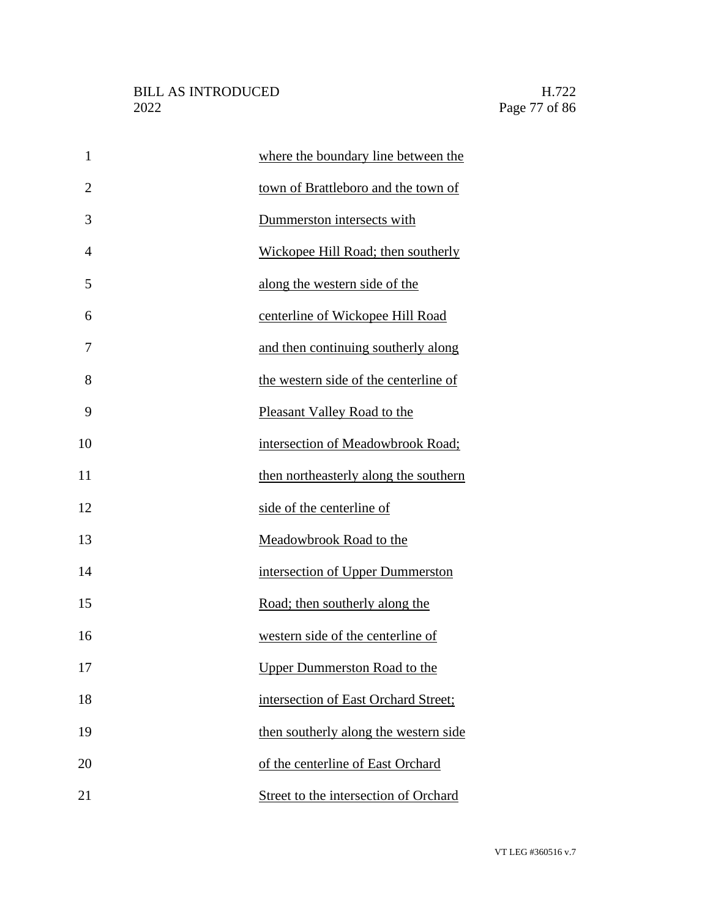| $\mathbf{1}$   | where the boundary line between the   |
|----------------|---------------------------------------|
| $\overline{2}$ | town of Brattleboro and the town of   |
| 3              | Dummerston intersects with            |
| 4              | Wickopee Hill Road; then southerly    |
| 5              | along the western side of the         |
| 6              | centerline of Wickopee Hill Road      |
| 7              | and then continuing southerly along   |
| 8              | the western side of the centerline of |
| 9              | Pleasant Valley Road to the           |
| 10             | intersection of Meadowbrook Road;     |
| 11             | then northeasterly along the southern |
| 12             | side of the centerline of             |
| 13             | Meadowbrook Road to the               |
| 14             | intersection of Upper Dummerston      |
| 15             | Road; then southerly along the        |
| 16             | western side of the centerline of     |
| 17             | <b>Upper Dummerston Road to the</b>   |
| 18             | intersection of East Orchard Street;  |
| 19             | then southerly along the western side |
| 20             | of the centerline of East Orchard     |
| 21             | Street to the intersection of Orchard |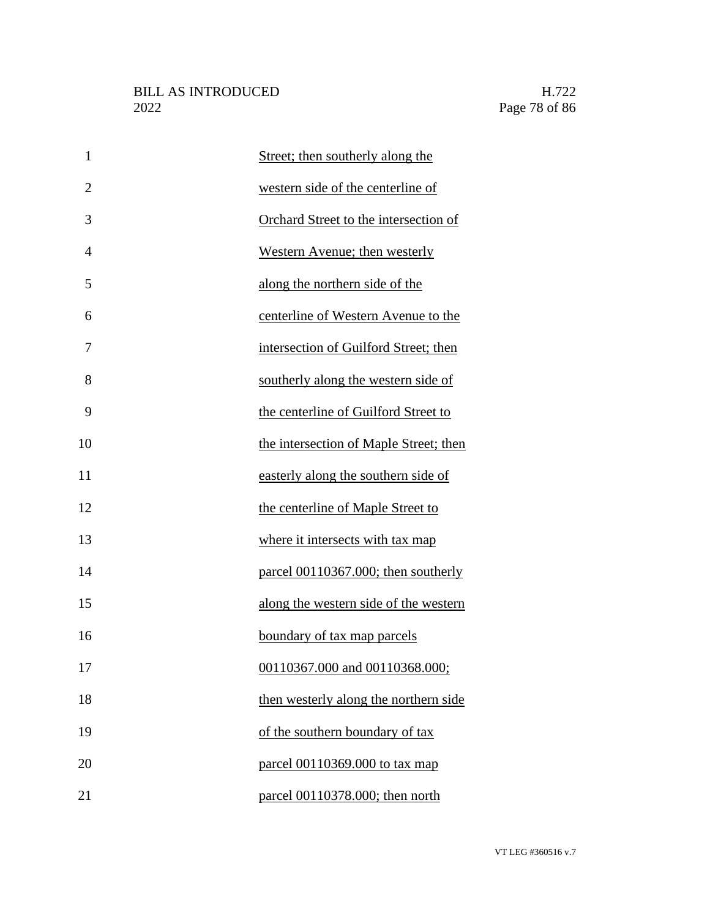| $\mathbf{1}$   | Street; then southerly along the       |
|----------------|----------------------------------------|
| $\overline{2}$ | western side of the centerline of      |
| 3              | Orchard Street to the intersection of  |
| $\overline{4}$ | Western Avenue; then westerly          |
| 5              | along the northern side of the         |
| 6              | centerline of Western Avenue to the    |
| 7              | intersection of Guilford Street; then  |
| 8              | southerly along the western side of    |
| 9              | the centerline of Guilford Street to   |
| 10             | the intersection of Maple Street; then |
| 11             | easterly along the southern side of    |
| 12             | the centerline of Maple Street to      |
| 13             | where it intersects with tax map       |
| 14             | parcel 00110367.000; then southerly    |
| 15             | along the western side of the western  |
| 16             | boundary of tax map parcels            |
| 17             | 00110367.000 and 00110368.000;         |
| 18             | then westerly along the northern side  |
| 19             | of the southern boundary of tax        |
| 20             | parcel 00110369.000 to tax map         |
| 21             | parcel 00110378.000; then north        |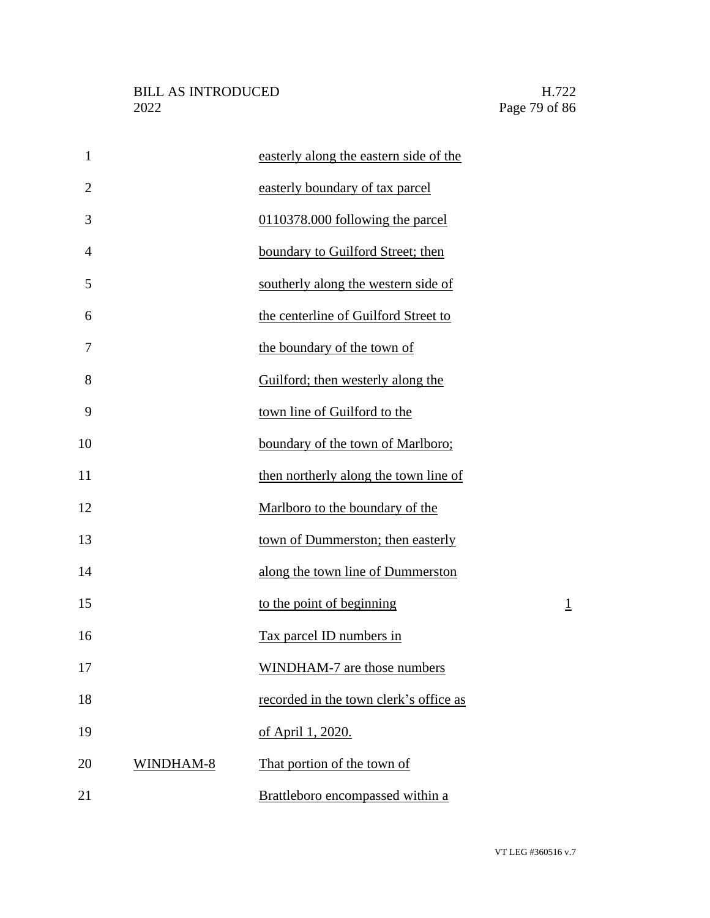| $\mathbf{1}$   |           | easterly along the eastern side of the |         |
|----------------|-----------|----------------------------------------|---------|
| $\overline{2}$ |           | easterly boundary of tax parcel        |         |
| 3              |           | 0110378.000 following the parcel       |         |
| $\overline{4}$ |           | boundary to Guilford Street; then      |         |
| 5              |           | southerly along the western side of    |         |
| 6              |           | the centerline of Guilford Street to   |         |
| 7              |           | the boundary of the town of            |         |
| 8              |           | Guilford; then westerly along the      |         |
| 9              |           | town line of Guilford to the           |         |
| 10             |           | boundary of the town of Marlboro;      |         |
| 11             |           | then northerly along the town line of  |         |
| 12             |           | Marlboro to the boundary of the        |         |
| 13             |           | town of Dummerston; then easterly      |         |
| 14             |           | along the town line of Dummerston      |         |
| 15             |           | to the point of beginning              | $\perp$ |
| 16             |           | Tax parcel ID numbers in               |         |
| 17             |           | <b>WINDHAM-7</b> are those numbers     |         |
| 18             |           | recorded in the town clerk's office as |         |
| 19             |           | of April 1, 2020.                      |         |
| 20             | WINDHAM-8 | That portion of the town of            |         |
| 21             |           | Brattleboro encompassed within a       |         |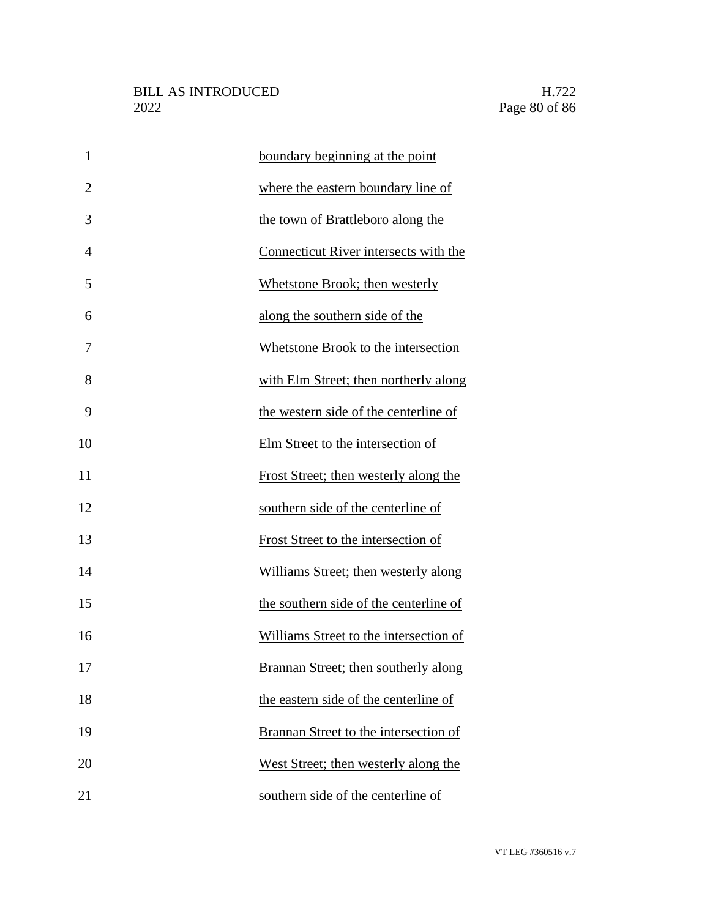| $\mathbf{1}$   | boundary beginning at the point        |
|----------------|----------------------------------------|
| $\overline{2}$ | where the eastern boundary line of     |
| 3              | the town of Brattleboro along the      |
| 4              | Connecticut River intersects with the  |
| 5              | Whetstone Brook; then westerly         |
| 6              | along the southern side of the         |
| 7              | Whetstone Brook to the intersection    |
| 8              | with Elm Street; then northerly along  |
| 9              | the western side of the centerline of  |
| 10             | Elm Street to the intersection of      |
| 11             | Frost Street; then westerly along the  |
| 12             | southern side of the centerline of     |
| 13             | Frost Street to the intersection of    |
| 14             | Williams Street; then westerly along   |
| 15             | the southern side of the centerline of |
| 16             | Williams Street to the intersection of |
| 17             | Brannan Street; then southerly along   |
| 18             | the eastern side of the centerline of  |
| 19             | Brannan Street to the intersection of  |
| 20             | West Street; then westerly along the   |
| 21             | southern side of the centerline of     |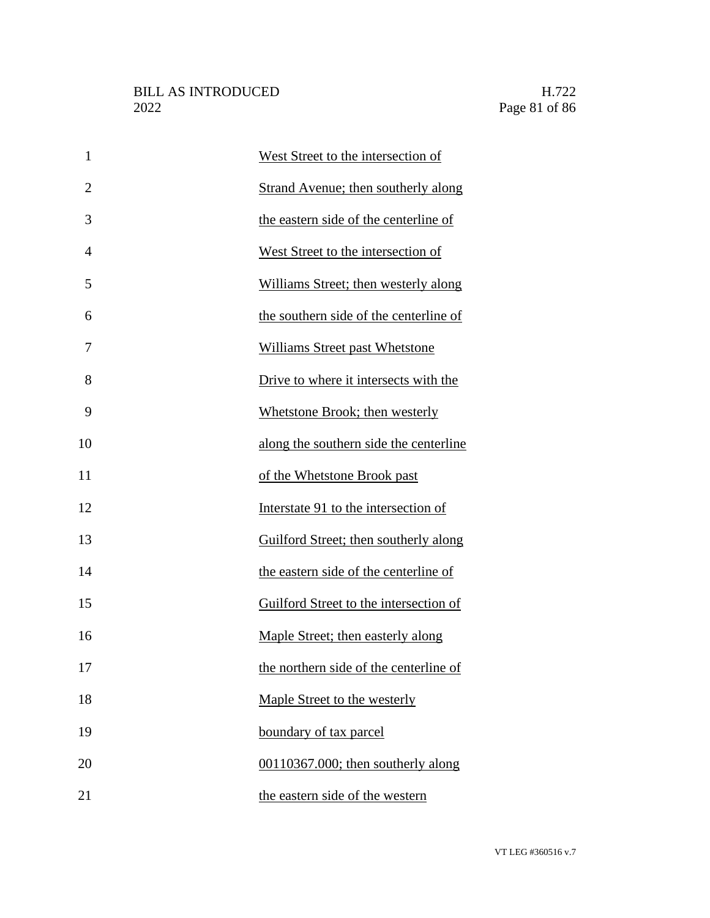| $\mathbf{1}$   | West Street to the intersection of                |
|----------------|---------------------------------------------------|
| $\overline{2}$ | <b>Strand Avenue; then southerly along</b>        |
| 3              | the eastern side of the centerline of             |
| $\overline{4}$ | West Street to the intersection of                |
| 5              | Williams Street; then westerly along              |
| 6              | the southern side of the centerline of            |
| 7              | <b>Williams Street past Whetstone</b>             |
| 8              | Drive to where it intersects with the             |
| 9              | Whetstone Brook; then westerly                    |
| 10             | along the southern side the centerline            |
| 11             | of the Whetstone Brook past                       |
| 12             | Interstate 91 to the intersection of              |
| 13             | Guilford Street; then southerly along             |
| 14             | the eastern side of the centerline of             |
| 15             | Guilford Street to the intersection of            |
| 16             | Maple Street; then easterly along                 |
| 17             | the northern side of the centerline of            |
| 18             | Maple Street to the westerly                      |
| 19             | boundary of tax parcel                            |
| 20             | $\underline{00110367.000}$ ; then southerly along |
| 21             | the eastern side of the western                   |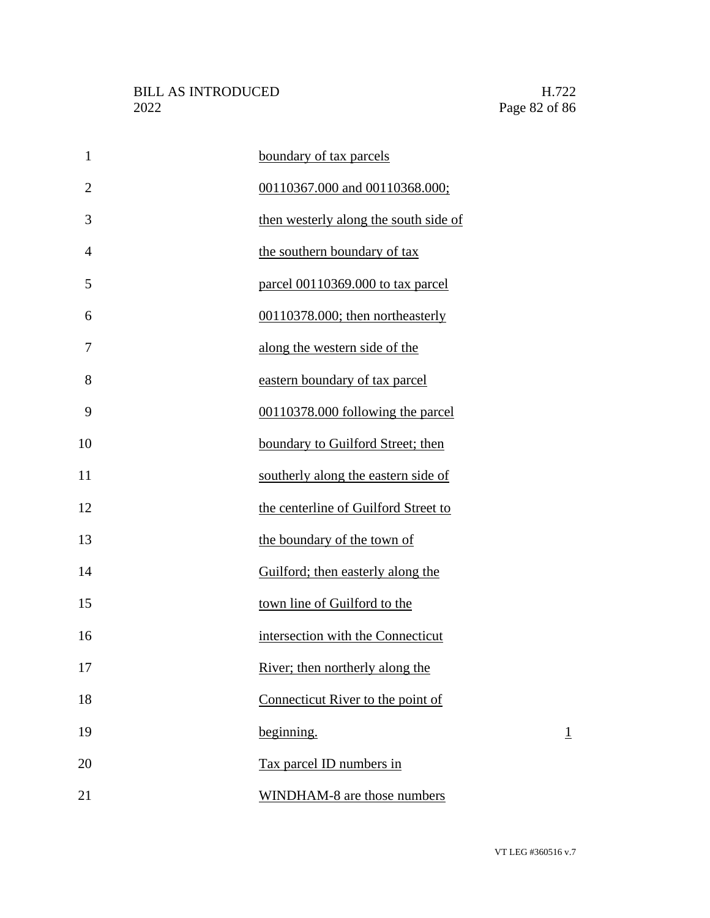| $\mathbf{1}$   | boundary of tax parcels               |
|----------------|---------------------------------------|
| $\overline{2}$ | 00110367.000 and 00110368.000;        |
| 3              | then westerly along the south side of |
| 4              | the southern boundary of tax          |
| 5              | parcel 00110369.000 to tax parcel     |
| 6              | 00110378.000; then northeasterly      |
| 7              | along the western side of the         |
| 8              | eastern boundary of tax parcel        |
| 9              | 00110378.000 following the parcel     |
| 10             | boundary to Guilford Street; then     |
| 11             | southerly along the eastern side of   |
| 12             | the centerline of Guilford Street to  |
| 13             | the boundary of the town of           |
| 14             | Guilford; then easterly along the     |
| 15             | town line of Guilford to the          |
| 16             | intersection with the Connecticut     |
| 17             | River; then northerly along the       |
| 18             | Connecticut River to the point of     |
| 19             | <u>beginning.</u><br>$\overline{1}$   |
| 20             | Tax parcel ID numbers in              |
| 21             | WINDHAM-8 are those numbers           |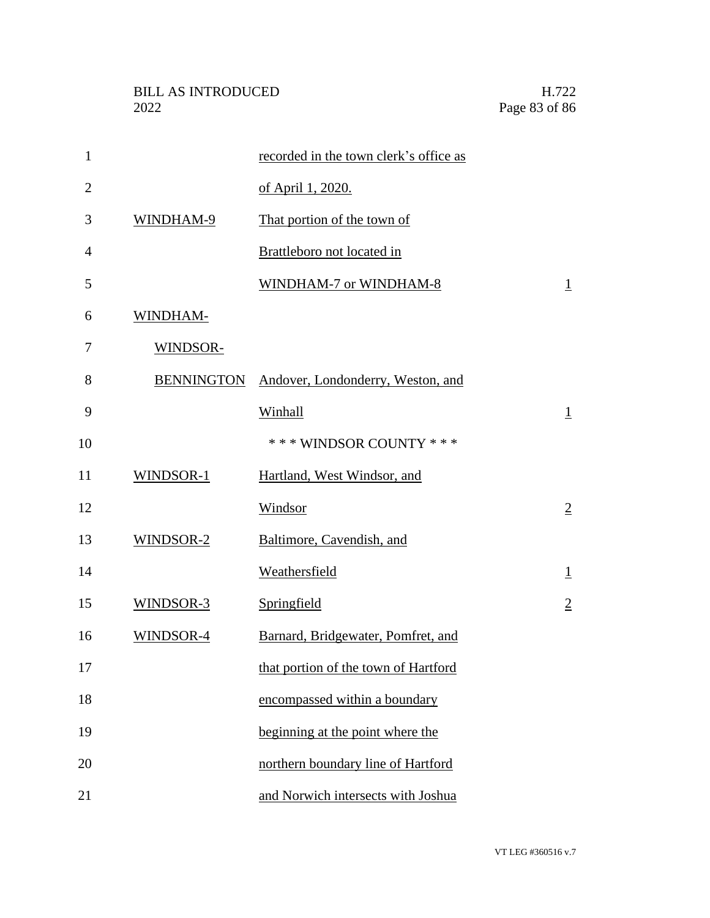| $\mathbf{1}$   |                   | recorded in the town clerk's office as |                |
|----------------|-------------------|----------------------------------------|----------------|
| $\overline{2}$ |                   | of April 1, 2020.                      |                |
| 3              | WINDHAM-9         | That portion of the town of            |                |
| $\overline{4}$ |                   | Brattleboro not located in             |                |
| 5              |                   | WINDHAM-7 or WINDHAM-8                 | $\overline{1}$ |
| 6              | WINDHAM-          |                                        |                |
| 7              | WINDSOR-          |                                        |                |
| 8              | <b>BENNINGTON</b> | Andover, Londonderry, Weston, and      |                |
| 9              |                   | Winhall                                | $\perp$        |
| 10             |                   | *** WINDSOR COUNTY ***                 |                |
| 11             | WINDSOR-1         | Hartland, West Windsor, and            |                |
| 12             |                   | Windsor                                | $\overline{2}$ |
| 13             | WINDSOR-2         | Baltimore, Cavendish, and              |                |
| 14             |                   | Weathersfield                          | $\perp$        |
| 15             | WINDSOR-3         | Springfield                            | $\overline{2}$ |
| 16             | WINDSOR-4         | Barnard, Bridgewater, Pomfret, and     |                |
| 17             |                   | that portion of the town of Hartford   |                |
| 18             |                   | encompassed within a boundary          |                |
| 19             |                   | beginning at the point where the       |                |
| 20             |                   | northern boundary line of Hartford     |                |
| 21             |                   | and Norwich intersects with Joshua     |                |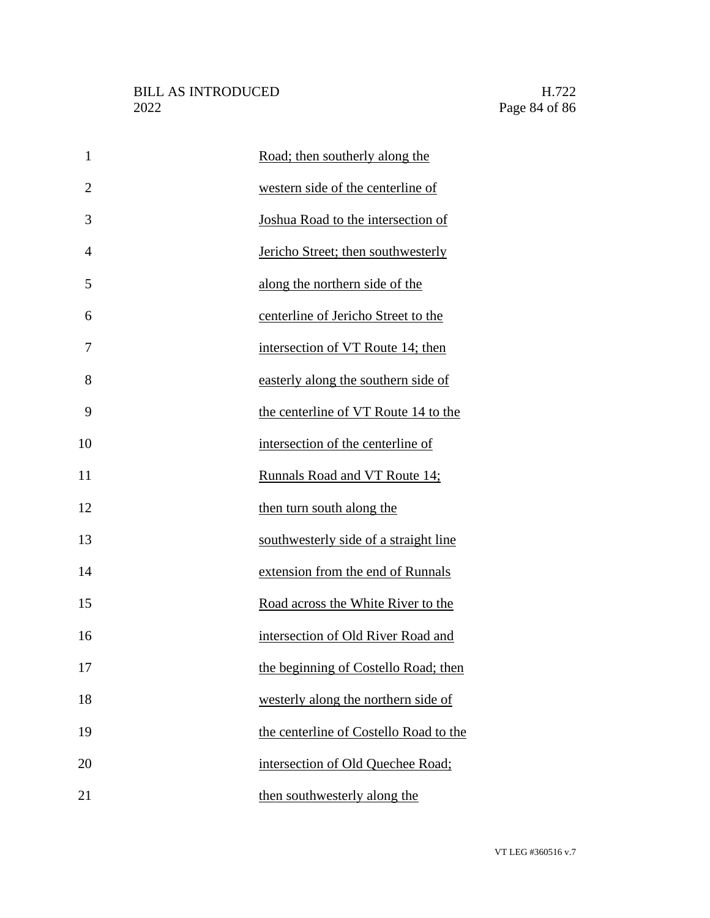| $\mathbf{1}$   | Road; then southerly along the         |
|----------------|----------------------------------------|
| $\overline{2}$ | western side of the centerline of      |
| 3              | Joshua Road to the intersection of     |
| $\overline{4}$ | Jericho Street; then southwesterly     |
| 5              | along the northern side of the         |
| 6              | centerline of Jericho Street to the    |
| 7              | intersection of VT Route 14; then      |
| 8              | easterly along the southern side of    |
| 9              | the centerline of VT Route 14 to the   |
| 10             | intersection of the centerline of      |
| 11             | Runnals Road and VT Route 14;          |
| 12             | then turn south along the              |
| 13             | southwesterly side of a straight line  |
| 14             | extension from the end of Runnals      |
| 15             | Road across the White River to the     |
| 16             | intersection of Old River Road and     |
| 17             | the beginning of Costello Road; then   |
| 18             | westerly along the northern side of    |
| 19             | the centerline of Costello Road to the |
| 20             | intersection of Old Quechee Road;      |
| 21             | then southwesterly along the           |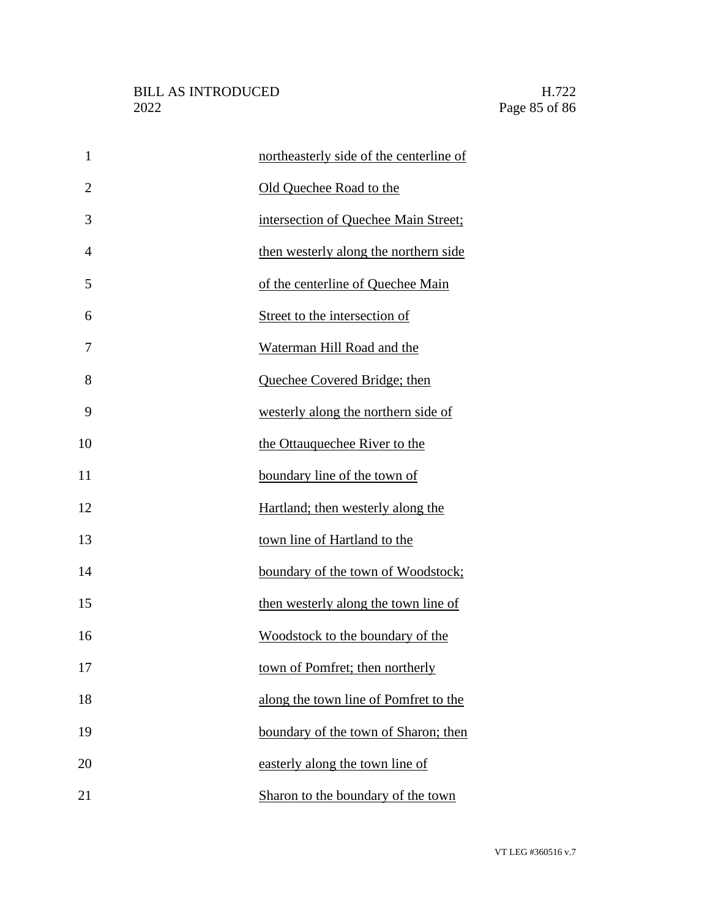| $\mathbf{1}$   | northeasterly side of the centerline of |  |
|----------------|-----------------------------------------|--|
| $\overline{2}$ | Old Quechee Road to the                 |  |
| 3              | intersection of Quechee Main Street;    |  |
| 4              | then westerly along the northern side   |  |
| 5              | of the centerline of Quechee Main       |  |
| 6              | Street to the intersection of           |  |
| 7              | Waterman Hill Road and the              |  |
| 8              | Quechee Covered Bridge; then            |  |
| 9              | westerly along the northern side of     |  |
| 10             | the Ottauquechee River to the           |  |
| 11             | boundary line of the town of            |  |
| 12             | Hartland; then westerly along the       |  |
| 13             | town line of Hartland to the            |  |
| 14             | boundary of the town of Woodstock;      |  |
| 15             | then westerly along the town line of    |  |
| 16             | Woodstock to the boundary of the        |  |
| 17             | town of Pomfret; then northerly         |  |
| 18             | along the town line of Pomfret to the   |  |
| 19             | boundary of the town of Sharon; then    |  |
| 20             | easterly along the town line of         |  |
| 21             | Sharon to the boundary of the town      |  |